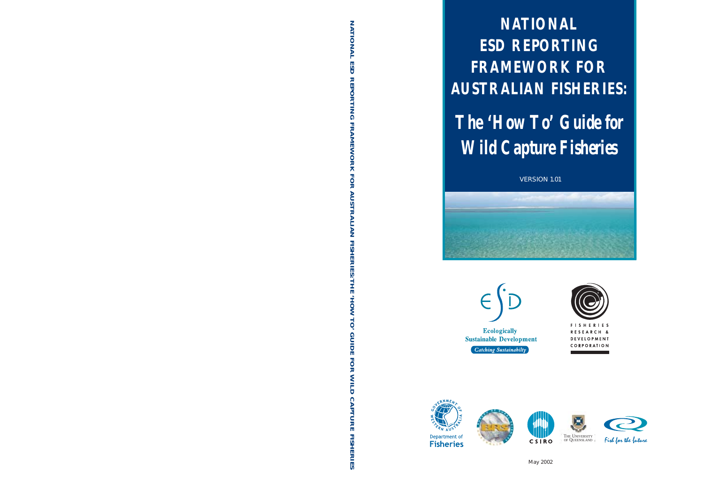**NATIONAL ESD REPORTING FRAMEWORK FOR AUSTRALIAN FISHERIES:**

# *The 'How To' Guide for Wild Capture Fisheries*

VERSION 1.01

















May 2002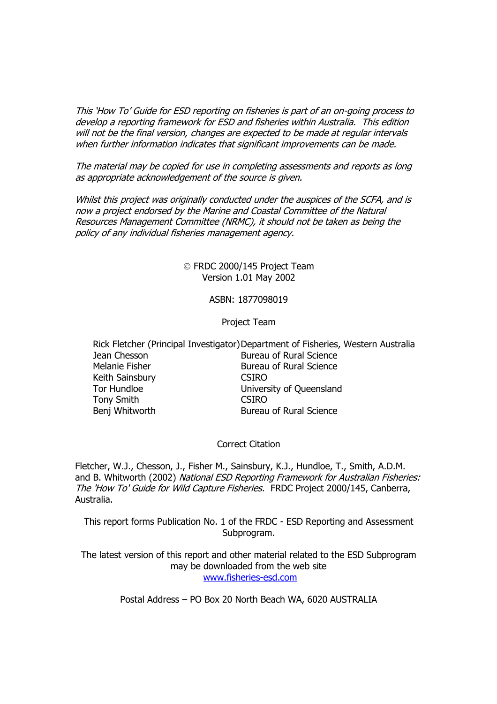This 'How To' Guide for ESD reporting on fisheries is part of an on-going process to develop a reporting framework for ESD and fisheries within Australia. This edition will not be the final version, changes are expected to be made at regular intervals when further information indicates that significant improvements can be made.

The material may be copied for use in completing assessments and reports as long as appropriate acknowledgement of the source is given.

Whilst this project was originally conducted under the auspices of the SCFA, and is now a project endorsed by the Marine and Coastal Committee of the Natural Resources Management Committee (NRMC), it should not be taken as being the policy of any individual fisheries management agency.

> FRDC 2000/145 Project Team Version 1.01 May 2002

#### ASBN: 1877098019

#### Project Team

Rick Fletcher (Principal Investigator) Department of Fisheries, Western Australia Jean Chesson Bureau of Rural Science Melanie Fisher **Bureau of Rural Science** Keith Sainsbury **CSIRO** Tor Hundloe University of Queensland Tony Smith CSIRO Benj Whitworth **Bureau of Rural Science** 

#### Correct Citation

Fletcher, W.J., Chesson, J., Fisher M., Sainsbury, K.J., Hundloe, T., Smith, A.D.M. and B. Whitworth (2002) National ESD Reporting Framework for Australian Fisheries: The 'How To' Guide for Wild Capture Fisheries. FRDC Project 2000/145, Canberra, Australia.

This report forms Publication No. 1 of the FRDC - ESD Reporting and Assessment Subprogram.

The latest version of this report and other material related to the ESD Subprogram may be downloaded from the web site www.fisheries-esd.com

Postal Address – PO Box 20 North Beach WA, 6020 AUSTRALIA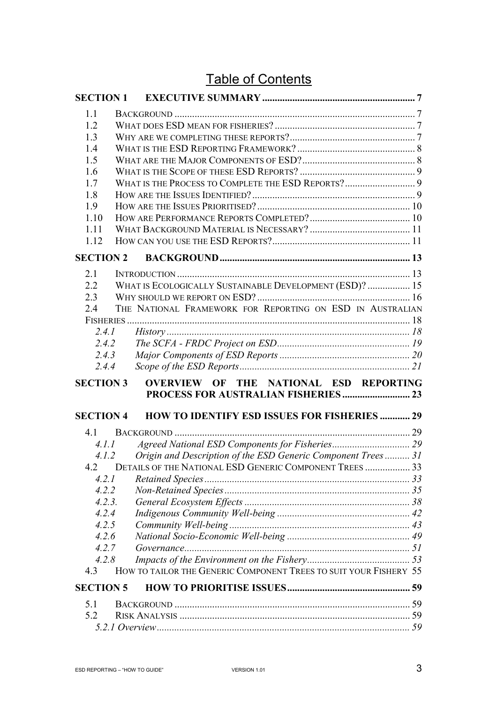## Table of Contents

| <b>SECTION 1</b> |                                                                       |  |
|------------------|-----------------------------------------------------------------------|--|
| 1.1              |                                                                       |  |
| 1.2              |                                                                       |  |
| 1.3              |                                                                       |  |
| 1.4              |                                                                       |  |
| 1.5              |                                                                       |  |
| 1.6              |                                                                       |  |
| 1.7              |                                                                       |  |
| 1.8              |                                                                       |  |
| 1.9              |                                                                       |  |
| 1.10             |                                                                       |  |
| 1.11             |                                                                       |  |
| 1.12             |                                                                       |  |
| <b>SECTION 2</b> |                                                                       |  |
| 2.1              |                                                                       |  |
| 2.2              | WHAT IS ECOLOGICALLY SUSTAINABLE DEVELOPMENT (ESD)?  15               |  |
| 2.3              |                                                                       |  |
| 2.4              | THE NATIONAL FRAMEWORK FOR REPORTING ON ESD IN AUSTRALIAN             |  |
|                  |                                                                       |  |
|                  | 2.4.1                                                                 |  |
| 2.4.2            |                                                                       |  |
| 2.4.3            |                                                                       |  |
| 2.4.4            |                                                                       |  |
| <b>SECTION 3</b> | OVERVIEW OF THE NATIONAL ESD REPORTING                                |  |
|                  |                                                                       |  |
| <b>SECTION 4</b> | <b>HOW TO IDENTIFY ESD ISSUES FOR FISHERIES  29</b>                   |  |
| 4.1              |                                                                       |  |
|                  | 4.1.1                                                                 |  |
|                  | Origin and Description of the ESD Generic Component Trees 31<br>4.1.2 |  |
|                  | 4.2 DETAILS OF THE NATIONAL ESD GENERIC COMPONENT TREES  33           |  |
| 4.2.1            |                                                                       |  |
| 4.2.2            |                                                                       |  |
| 4.2.3.           |                                                                       |  |
| 4.2.4            |                                                                       |  |
| 4.2.5            |                                                                       |  |
| 4.2.6            |                                                                       |  |
| 4.2.7            |                                                                       |  |
| 4.2.8            |                                                                       |  |
| 4.3              | HOW TO TAILOR THE GENERIC COMPONENT TREES TO SUIT YOUR FISHERY 55     |  |
| <b>SECTION 5</b> |                                                                       |  |
| 5.1              |                                                                       |  |
| 5.2              |                                                                       |  |
|                  |                                                                       |  |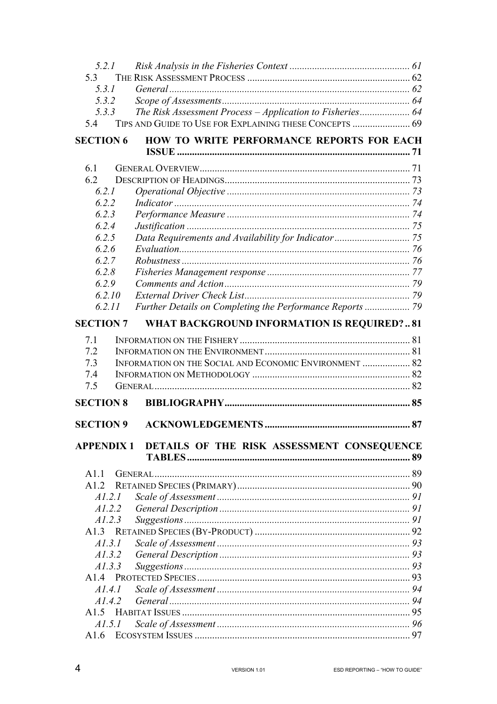| 5.2.1                                                                 |  |
|-----------------------------------------------------------------------|--|
| 5.3                                                                   |  |
| 5.3.1                                                                 |  |
| 5.3.2                                                                 |  |
| The Risk Assessment Process - Application to Fisheries 64<br>5.3.3    |  |
| TIPS AND GUIDE TO USE FOR EXPLAINING THESE CONCEPTS  69<br>5.4        |  |
| HOW TO WRITE PERFORMANCE REPORTS FOR EACH<br><b>SECTION 6</b>         |  |
| 6.1                                                                   |  |
| 6.2                                                                   |  |
| 6.2.1                                                                 |  |
| 6.2.2                                                                 |  |
| 6.2.3                                                                 |  |
| 6.2.4                                                                 |  |
| 6.2.5                                                                 |  |
| 6.2.6                                                                 |  |
| 6.2.7                                                                 |  |
| 6.2.8                                                                 |  |
| 6.2.9                                                                 |  |
| 6.2.10                                                                |  |
| Further Details on Completing the Performance Reports  79<br>6.2.11   |  |
|                                                                       |  |
| <b>SECTION 7</b><br><b>WHAT BACKGROUND INFORMATION IS REQUIRED?81</b> |  |
| 7.1                                                                   |  |
| 7.2                                                                   |  |
| INFORMATION ON THE SOCIAL AND ECONOMIC ENVIRONMENT  82<br>7.3         |  |
| 7.4                                                                   |  |
| 7.5                                                                   |  |
| <b>SECTION 8</b>                                                      |  |
| <b>SECTION 9</b>                                                      |  |
|                                                                       |  |
| DETAILS OF THE RISK ASSESSMENT CONSEQUENCE<br><b>APPENDIX 1</b>       |  |
| A11                                                                   |  |
|                                                                       |  |
| A1.2.1                                                                |  |
| A1.2.2                                                                |  |
| A1.2.3                                                                |  |
|                                                                       |  |
| AI.3.1                                                                |  |
| AI.3.2                                                                |  |
|                                                                       |  |
|                                                                       |  |
| A1.3.3                                                                |  |
|                                                                       |  |
| A1.4.1                                                                |  |
| A1.4.2                                                                |  |
| A1.5                                                                  |  |
| <i>A1.5.1</i>                                                         |  |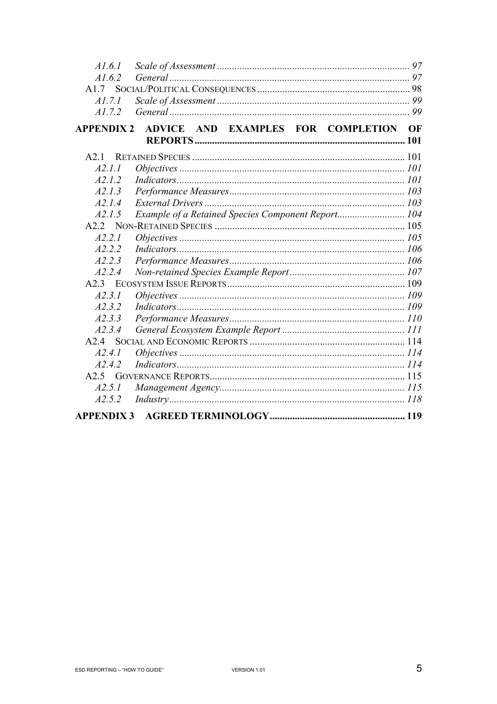| AI.6.1            |                                                    |    |
|-------------------|----------------------------------------------------|----|
| A1.6.2            |                                                    |    |
| A1.7              |                                                    |    |
| A1.7.1            |                                                    |    |
| A1.7.2            |                                                    |    |
| <b>APPENDIX 2</b> | AND EXAMPLES FOR COMPLETION<br><b>ADVICE</b>       | OF |
|                   |                                                    |    |
| A2 <sub>1</sub>   |                                                    |    |
| A2.1.1            |                                                    |    |
| A2.1.2            |                                                    |    |
| A2.1.3            |                                                    |    |
| A2.1.4            |                                                    |    |
| A2.1.5            | Example of a Retained Species Component Report 104 |    |
|                   |                                                    |    |
| A2.2.1            |                                                    |    |
| A2.2.2            |                                                    |    |
| A2.2.3            |                                                    |    |
| A2.2.4            |                                                    |    |
|                   |                                                    |    |
| A2.3.1            |                                                    |    |
| A2.3.2            |                                                    |    |
| A2.3.3            |                                                    |    |
| A2.3.4            |                                                    |    |
| A2.4              |                                                    |    |
| A2.4.1            |                                                    |    |
| A2.4.2            |                                                    |    |
|                   |                                                    |    |
| A2.5.1            |                                                    |    |
| A2.5.2            |                                                    |    |
| <b>APPENDIX 3</b> |                                                    |    |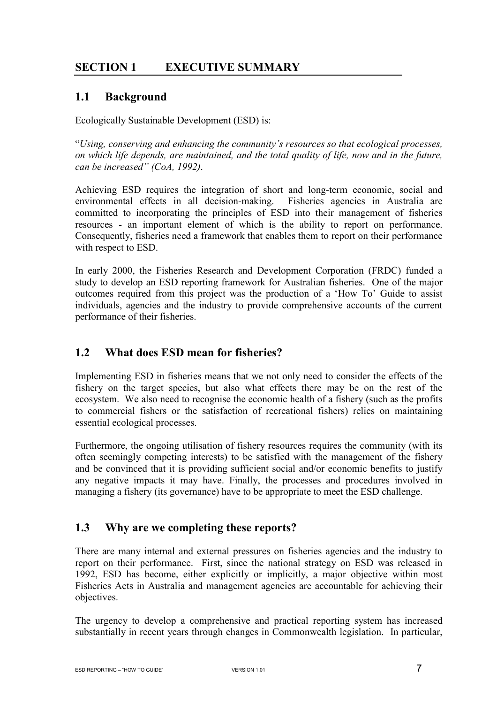## **SECTION 1 EXECUTIVE SUMMARY**

## **1.1 Background**

Ecologically Sustainable Development (ESD) is:

"*Using, conserving and enhancing the community's resources so that ecological processes, on which life depends, are maintained, and the total quality of life, now and in the future, can be increased" (CoA, 1992)*.

Achieving ESD requires the integration of short and long-term economic, social and environmental effects in all decision-making. Fisheries agencies in Australia are committed to incorporating the principles of ESD into their management of fisheries resources - an important element of which is the ability to report on performance. Consequently, fisheries need a framework that enables them to report on their performance with respect to ESD.

In early 2000, the Fisheries Research and Development Corporation (FRDC) funded a study to develop an ESD reporting framework for Australian fisheries. One of the major outcomes required from this project was the production of a 'How To' Guide to assist individuals, agencies and the industry to provide comprehensive accounts of the current performance of their fisheries.

## **1.2 What does ESD mean for fisheries?**

Implementing ESD in fisheries means that we not only need to consider the effects of the fishery on the target species, but also what effects there may be on the rest of the ecosystem. We also need to recognise the economic health of a fishery (such as the profits to commercial fishers or the satisfaction of recreational fishers) relies on maintaining essential ecological processes.

Furthermore, the ongoing utilisation of fishery resources requires the community (with its often seemingly competing interests) to be satisfied with the management of the fishery and be convinced that it is providing sufficient social and/or economic benefits to justify any negative impacts it may have. Finally, the processes and procedures involved in managing a fishery (its governance) have to be appropriate to meet the ESD challenge.

## **1.3 Why are we completing these reports?**

There are many internal and external pressures on fisheries agencies and the industry to report on their performance. First, since the national strategy on ESD was released in 1992, ESD has become, either explicitly or implicitly, a major objective within most Fisheries Acts in Australia and management agencies are accountable for achieving their objectives.

The urgency to develop a comprehensive and practical reporting system has increased substantially in recent years through changes in Commonwealth legislation. In particular,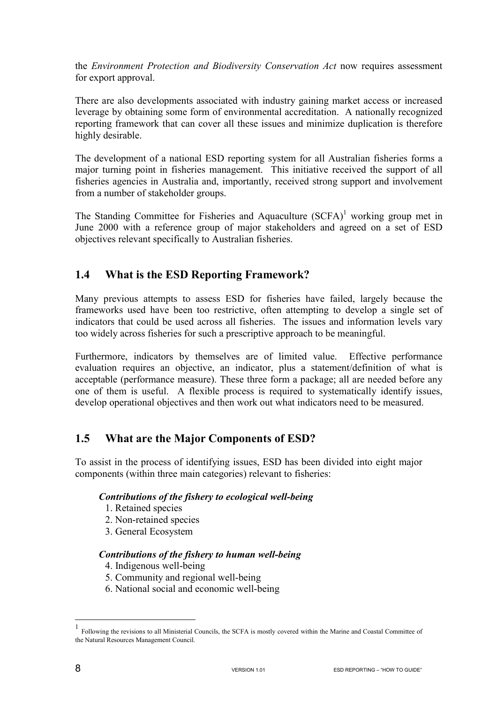the *Environment Protection and Biodiversity Conservation Act* now requires assessment for export approval.

There are also developments associated with industry gaining market access or increased leverage by obtaining some form of environmental accreditation. A nationally recognized reporting framework that can cover all these issues and minimize duplication is therefore highly desirable.

The development of a national ESD reporting system for all Australian fisheries forms a major turning point in fisheries management. This initiative received the support of all fisheries agencies in Australia and, importantly, received strong support and involvement from a number of stakeholder groups.

The Standing Committee for Fisheries and Aquaculture  $(SCFA)^1$  working group met in June 2000 with a reference group of major stakeholders and agreed on a set of ESD objectives relevant specifically to Australian fisheries.

## **1.4 What is the ESD Reporting Framework?**

Many previous attempts to assess ESD for fisheries have failed, largely because the frameworks used have been too restrictive, often attempting to develop a single set of indicators that could be used across all fisheries. The issues and information levels vary too widely across fisheries for such a prescriptive approach to be meaningful.

Furthermore, indicators by themselves are of limited value. Effective performance evaluation requires an objective, an indicator, plus a statement/definition of what is acceptable (performance measure). These three form a package; all are needed before any one of them is useful. A flexible process is required to systematically identify issues, develop operational objectives and then work out what indicators need to be measured.

## **1.5 What are the Major Components of ESD?**

To assist in the process of identifying issues, ESD has been divided into eight major components (within three main categories) relevant to fisheries:

#### *Contributions of the fishery to ecological well-being*

- 1. Retained species
- 2. Non-retained species
- 3. General Ecosystem

#### *Contributions of the fishery to human well-being*

- 4. Indigenous well-being
- 5. Community and regional well-being
- 6. National social and economic well-being

 $\overline{a}$ 

<sup>1</sup> Following the revisions to all Ministerial Councils, the SCFA is mostly covered within the Marine and Coastal Committee of the Natural Resources Management Council.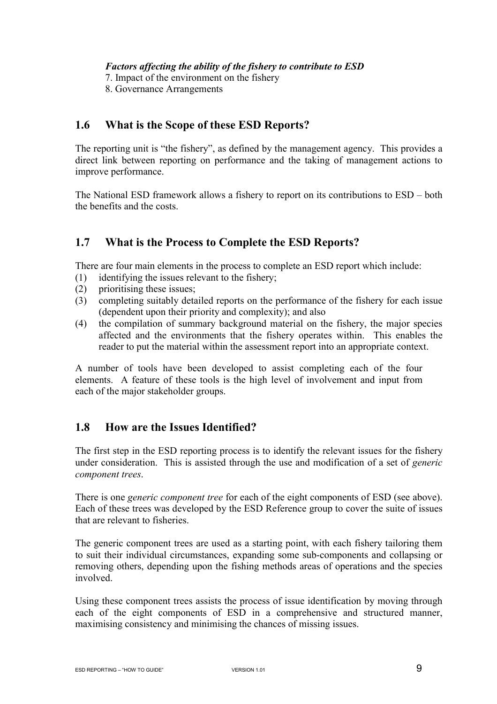*Factors affecting the ability of the fishery to contribute to ESD* 

7. Impact of the environment on the fishery

8. Governance Arrangements

## **1.6 What is the Scope of these ESD Reports?**

The reporting unit is "the fishery", as defined by the management agency. This provides a direct link between reporting on performance and the taking of management actions to improve performance.

The National ESD framework allows a fishery to report on its contributions to ESD – both the benefits and the costs.

## **1.7 What is the Process to Complete the ESD Reports?**

There are four main elements in the process to complete an ESD report which include:

- (1) identifying the issues relevant to the fishery;
- (2) prioritising these issues;
- (3) completing suitably detailed reports on the performance of the fishery for each issue (dependent upon their priority and complexity); and also
- (4) the compilation of summary background material on the fishery, the major species affected and the environments that the fishery operates within. This enables the reader to put the material within the assessment report into an appropriate context.

A number of tools have been developed to assist completing each of the four elements. A feature of these tools is the high level of involvement and input from each of the major stakeholder groups.

## **1.8 How are the Issues Identified?**

The first step in the ESD reporting process is to identify the relevant issues for the fishery under consideration. This is assisted through the use and modification of a set of *generic component trees*.

There is one *generic component tree* for each of the eight components of ESD (see above). Each of these trees was developed by the ESD Reference group to cover the suite of issues that are relevant to fisheries.

The generic component trees are used as a starting point, with each fishery tailoring them to suit their individual circumstances, expanding some sub-components and collapsing or removing others, depending upon the fishing methods areas of operations and the species involved.

Using these component trees assists the process of issue identification by moving through each of the eight components of ESD in a comprehensive and structured manner, maximising consistency and minimising the chances of missing issues.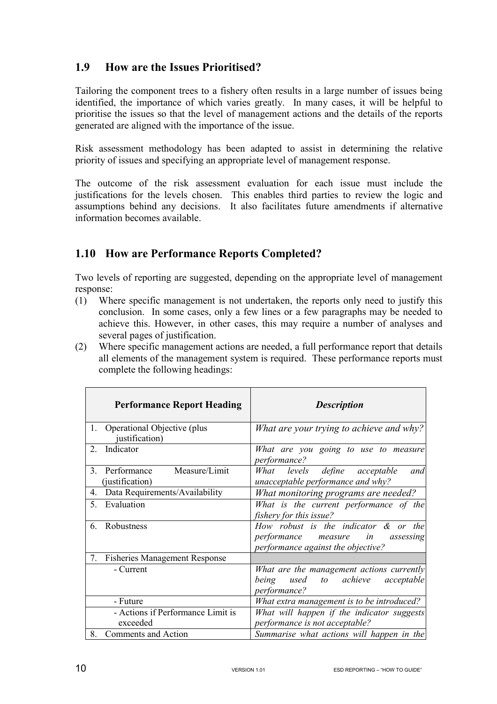## **1.9 How are the Issues Prioritised?**

Tailoring the component trees to a fishery often results in a large number of issues being identified, the importance of which varies greatly. In many cases, it will be helpful to prioritise the issues so that the level of management actions and the details of the reports generated are aligned with the importance of the issue.

Risk assessment methodology has been adapted to assist in determining the relative priority of issues and specifying an appropriate level of management response.

The outcome of the risk assessment evaluation for each issue must include the justifications for the levels chosen. This enables third parties to review the logic and assumptions behind any decisions. It also facilitates future amendments if alternative information becomes available.

## **1.10 How are Performance Reports Completed?**

Two levels of reporting are suggested, depending on the appropriate level of management response:

- (1) Where specific management is not undertaken, the reports only need to justify this conclusion. In some cases, only a few lines or a few paragraphs may be needed to achieve this. However, in other cases, this may require a number of analyses and several pages of justification.
- (2) Where specific management actions are needed, a full performance report that details all elements of the management system is required. These performance reports must complete the following headings:

|    | <b>Performance Report Heading</b>               | <b>Description</b>                                                                                                   |
|----|-------------------------------------------------|----------------------------------------------------------------------------------------------------------------------|
| 1. | Operational Objective (plus<br>justification)   | What are your trying to achieve and why?                                                                             |
| 2  | Indicator                                       | What are you going to use to measure<br><i>performance?</i>                                                          |
| 3. | Measure/Limit<br>Performance<br>(justification) | What levels define acceptable<br>and<br>unacceptable performance and why?                                            |
| 4. | Data Requirements/Availability                  | What monitoring programs are needed?                                                                                 |
| 5. | Evaluation                                      | What is the current performance of the<br>fishery for this issue?                                                    |
| 6. | Robustness                                      | How robust is the indicator $\&$ or the<br>performance measure in<br>assessing<br>performance against the objective? |
| 7. | <b>Fisheries Management Response</b>            |                                                                                                                      |
|    | - Current                                       | What are the management actions currently<br>achieve<br>being<br>used<br>to to<br>acceptable<br>performance?         |
|    | - Future                                        | What extra management is to be introduced?                                                                           |
|    | - Actions if Performance Limit is<br>exceeded   | What will happen if the indicator suggests<br>performance is not acceptable?                                         |
| 8. | Comments and Action                             | Summarise what actions will happen in the                                                                            |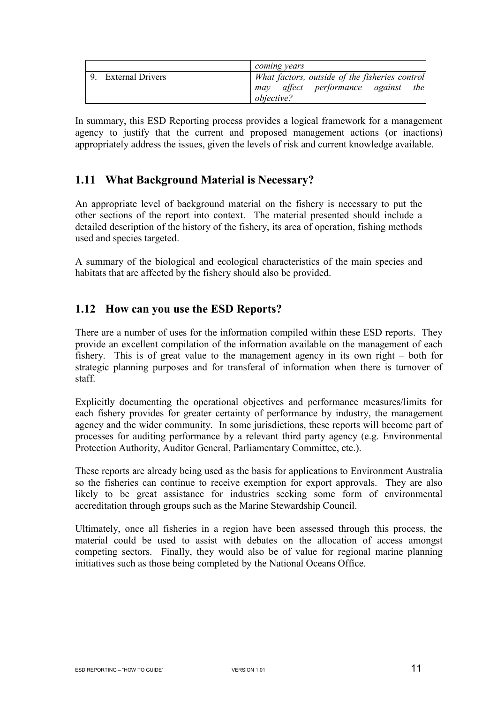|                     | coming years                                   |
|---------------------|------------------------------------------------|
| 9. External Drivers | What factors, outside of the fisheries control |
|                     | may affect performance against<br>the          |
|                     | <i>objective?</i>                              |

In summary, this ESD Reporting process provides a logical framework for a management agency to justify that the current and proposed management actions (or inactions) appropriately address the issues, given the levels of risk and current knowledge available.

## **1.11 What Background Material is Necessary?**

An appropriate level of background material on the fishery is necessary to put the other sections of the report into context. The material presented should include a detailed description of the history of the fishery, its area of operation, fishing methods used and species targeted.

A summary of the biological and ecological characteristics of the main species and habitats that are affected by the fishery should also be provided.

## **1.12 How can you use the ESD Reports?**

There are a number of uses for the information compiled within these ESD reports. They provide an excellent compilation of the information available on the management of each fishery. This is of great value to the management agency in its own right – both for strategic planning purposes and for transferal of information when there is turnover of staff.

Explicitly documenting the operational objectives and performance measures/limits for each fishery provides for greater certainty of performance by industry, the management agency and the wider community. In some jurisdictions, these reports will become part of processes for auditing performance by a relevant third party agency (e.g. Environmental Protection Authority, Auditor General, Parliamentary Committee, etc.).

These reports are already being used as the basis for applications to Environment Australia so the fisheries can continue to receive exemption for export approvals. They are also likely to be great assistance for industries seeking some form of environmental accreditation through groups such as the Marine Stewardship Council.

Ultimately, once all fisheries in a region have been assessed through this process, the material could be used to assist with debates on the allocation of access amongst competing sectors. Finally, they would also be of value for regional marine planning initiatives such as those being completed by the National Oceans Office.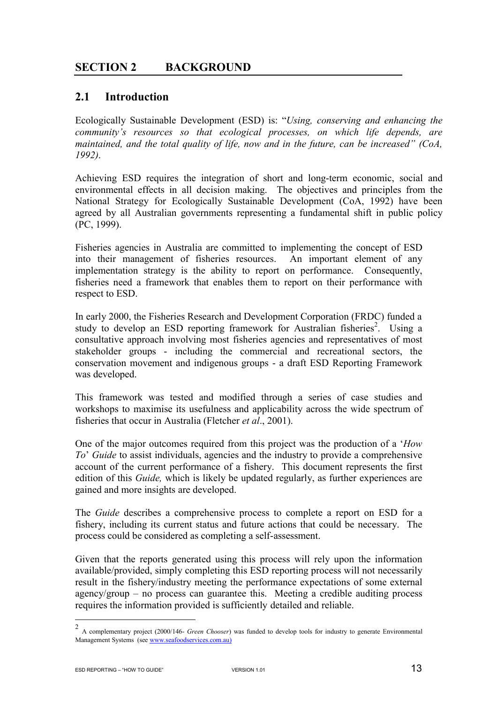## **SECTION 2 BACKGROUND**

#### **2.1 Introduction**

Ecologically Sustainable Development (ESD) is: "*Using, conserving and enhancing the community's resources so that ecological processes, on which life depends, are maintained, and the total quality of life, now and in the future, can be increased" (CoA, 1992)*.

Achieving ESD requires the integration of short and long-term economic, social and environmental effects in all decision making. The objectives and principles from the National Strategy for Ecologically Sustainable Development (CoA, 1992) have been agreed by all Australian governments representing a fundamental shift in public policy (PC, 1999).

Fisheries agencies in Australia are committed to implementing the concept of ESD into their management of fisheries resources. An important element of any implementation strategy is the ability to report on performance. Consequently, fisheries need a framework that enables them to report on their performance with respect to ESD.

In early 2000, the Fisheries Research and Development Corporation (FRDC) funded a study to develop an ESD reporting framework for Australian fisheries<sup>2</sup>. Using a consultative approach involving most fisheries agencies and representatives of most stakeholder groups - including the commercial and recreational sectors, the conservation movement and indigenous groups - a draft ESD Reporting Framework was developed.

This framework was tested and modified through a series of case studies and workshops to maximise its usefulness and applicability across the wide spectrum of fisheries that occur in Australia (Fletcher *et al*., 2001).

One of the major outcomes required from this project was the production of a '*How To*' *Guide* to assist individuals, agencies and the industry to provide a comprehensive account of the current performance of a fishery. This document represents the first edition of this *Guide,* which is likely be updated regularly, as further experiences are gained and more insights are developed.

The *Guide* describes a comprehensive process to complete a report on ESD for a fishery, including its current status and future actions that could be necessary. The process could be considered as completing a self-assessment.

Given that the reports generated using this process will rely upon the information available/provided, simply completing this ESD reporting process will not necessarily result in the fishery/industry meeting the performance expectations of some external agency/group – no process can guarantee this. Meeting a credible auditing process requires the information provided is sufficiently detailed and reliable.

 $\sqrt{2}$ <sup>2</sup> A complementary project (2000/146- *Green Chooser*) was funded to develop tools for industry to generate Environmental Management Systems (see www.seafoodservices.com.au)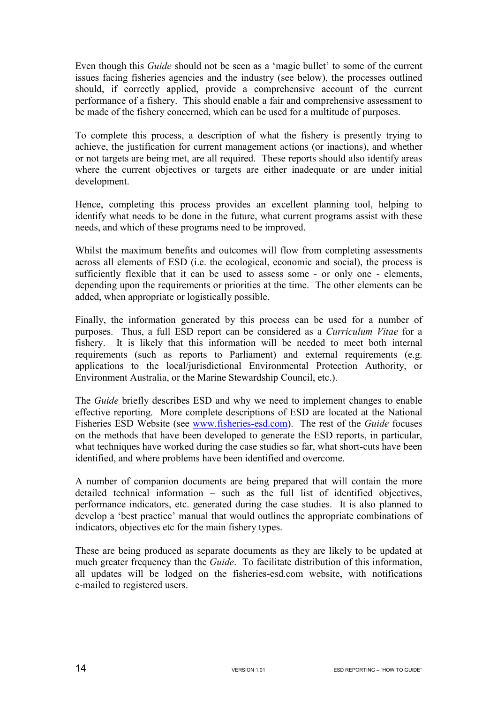Even though this *Guide* should not be seen as a 'magic bullet' to some of the current issues facing fisheries agencies and the industry (see below), the processes outlined should, if correctly applied, provide a comprehensive account of the current performance of a fishery. This should enable a fair and comprehensive assessment to be made of the fishery concerned, which can be used for a multitude of purposes.

To complete this process, a description of what the fishery is presently trying to achieve, the justification for current management actions (or inactions), and whether or not targets are being met, are all required. These reports should also identify areas where the current objectives or targets are either inadequate or are under initial development.

Hence, completing this process provides an excellent planning tool, helping to identify what needs to be done in the future, what current programs assist with these needs, and which of these programs need to be improved.

Whilst the maximum benefits and outcomes will flow from completing assessments across all elements of ESD (i.e. the ecological, economic and social), the process is sufficiently flexible that it can be used to assess some - or only one - elements, depending upon the requirements or priorities at the time. The other elements can be added, when appropriate or logistically possible.

Finally, the information generated by this process can be used for a number of purposes. Thus, a full ESD report can be considered as a *Curriculum Vitae* for a fishery. It is likely that this information will be needed to meet both internal requirements (such as reports to Parliament) and external requirements (e.g. applications to the local/jurisdictional Environmental Protection Authority, or Environment Australia, or the Marine Stewardship Council, etc.).

The *Guide* briefly describes ESD and why we need to implement changes to enable effective reporting. More complete descriptions of ESD are located at the National Fisheries ESD Website (see www.fisheries-esd.com). The rest of the *Guide* focuses on the methods that have been developed to generate the ESD reports, in particular, what techniques have worked during the case studies so far, what short-cuts have been identified, and where problems have been identified and overcome.

A number of companion documents are being prepared that will contain the more detailed technical information – such as the full list of identified objectives, performance indicators, etc. generated during the case studies. It is also planned to develop a 'best practice' manual that would outlines the appropriate combinations of indicators, objectives etc for the main fishery types.

These are being produced as separate documents as they are likely to be updated at much greater frequency than the *Guide*. To facilitate distribution of this information, all updates will be lodged on the fisheries-esd.com website, with notifications e-mailed to registered users.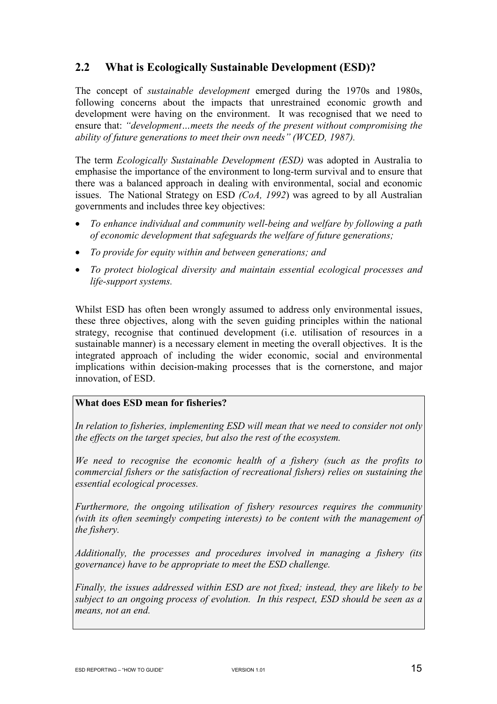## **2.2 What is Ecologically Sustainable Development (ESD)?**

The concept of *sustainable development* emerged during the 1970s and 1980s, following concerns about the impacts that unrestrained economic growth and development were having on the environment. It was recognised that we need to ensure that: *"development…meets the needs of the present without compromising the ability of future generations to meet their own needs" (WCED, 1987).* 

The term *Ecologically Sustainable Development (ESD)* was adopted in Australia to emphasise the importance of the environment to long-term survival and to ensure that there was a balanced approach in dealing with environmental, social and economic issues.The National Strategy on ESD *(CoA, 1992*) was agreed to by all Australian governments and includes three key objectives:

- *To enhance individual and community well-being and welfare by following a path of economic development that safeguards the welfare of future generations;*
- *To provide for equity within and between generations; and*
- *To protect biological diversity and maintain essential ecological processes and life-support systems.*

Whilst ESD has often been wrongly assumed to address only environmental issues, these three objectives, along with the seven guiding principles within the national strategy, recognise that continued development (i.e. utilisation of resources in a sustainable manner) is a necessary element in meeting the overall objectives. It is the integrated approach of including the wider economic, social and environmental implications within decision-making processes that is the cornerstone, and major innovation, of ESD.

#### **What does ESD mean for fisheries?**

*In relation to fisheries, implementing ESD will mean that we need to consider not only the effects on the target species, but also the rest of the ecosystem.* 

*We need to recognise the economic health of a fishery (such as the profits to commercial fishers or the satisfaction of recreational fishers) relies on sustaining the essential ecological processes.* 

*Furthermore, the ongoing utilisation of fishery resources requires the community (with its often seemingly competing interests) to be content with the management of the fishery.* 

*Additionally, the processes and procedures involved in managing a fishery (its governance) have to be appropriate to meet the ESD challenge.* 

*Finally, the issues addressed within ESD are not fixed; instead, they are likely to be subject to an ongoing process of evolution. In this respect, ESD should be seen as a means, not an end.*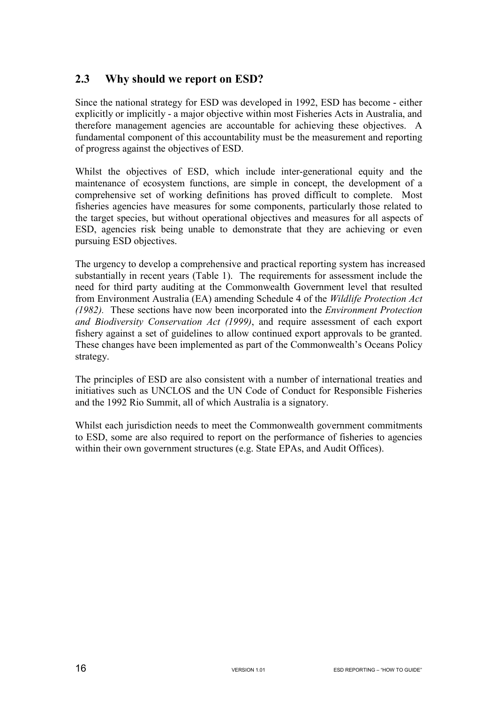## **2.3 Why should we report on ESD?**

Since the national strategy for ESD was developed in 1992, ESD has become - either explicitly or implicitly - a major objective within most Fisheries Acts in Australia, and therefore management agencies are accountable for achieving these objectives. A fundamental component of this accountability must be the measurement and reporting of progress against the objectives of ESD.

Whilst the objectives of ESD, which include inter-generational equity and the maintenance of ecosystem functions, are simple in concept, the development of a comprehensive set of working definitions has proved difficult to complete. Most fisheries agencies have measures for some components, particularly those related to the target species, but without operational objectives and measures for all aspects of ESD, agencies risk being unable to demonstrate that they are achieving or even pursuing ESD objectives.

The urgency to develop a comprehensive and practical reporting system has increased substantially in recent years (Table 1). The requirements for assessment include the need for third party auditing at the Commonwealth Government level that resulted from Environment Australia (EA) amending Schedule 4 of the *Wildlife Protection Act (1982).* These sections have now been incorporated into the *Environment Protection and Biodiversity Conservation Act (1999)*, and require assessment of each export fishery against a set of guidelines to allow continued export approvals to be granted. These changes have been implemented as part of the Commonwealth's Oceans Policy strategy.

The principles of ESD are also consistent with a number of international treaties and initiatives such as UNCLOS and the UN Code of Conduct for Responsible Fisheries and the 1992 Rio Summit, all of which Australia is a signatory.

Whilst each jurisdiction needs to meet the Commonwealth government commitments to ESD, some are also required to report on the performance of fisheries to agencies within their own government structures (e.g. State EPAs, and Audit Offices).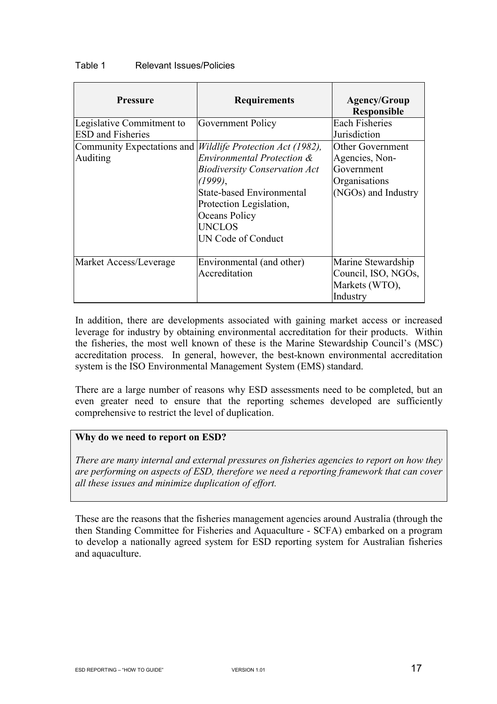| Table 1 | <b>Relevant Issues/Policies</b> |
|---------|---------------------------------|
|---------|---------------------------------|

| <b>Pressure</b>            | <b>Requirements</b>                  | <b>Agency/Group</b><br><b>Responsible</b> |
|----------------------------|--------------------------------------|-------------------------------------------|
| Legislative Commitment to  | Government Policy                    | <b>Each Fisheries</b>                     |
| <b>ESD</b> and Fisheries   |                                      | Jurisdiction                              |
| Community Expectations and | Wildlife Protection Act (1982),      | <b>Other Government</b>                   |
| Auditing                   | Environmental Protection &           | Agencies, Non-                            |
|                            | <b>Biodiversity Conservation Act</b> | Government                                |
|                            | (1999),                              | Organisations                             |
|                            | <b>State-based Environmental</b>     | (NGOs) and Industry                       |
|                            | Protection Legislation,              |                                           |
|                            | Oceans Policy                        |                                           |
|                            | <b>UNCLOS</b>                        |                                           |
|                            | UN Code of Conduct                   |                                           |
| Market Access/Leverage     | Environmental (and other)            | Marine Stewardship                        |
|                            | Accreditation                        | Council, ISO, NGOs.                       |
|                            |                                      | Markets (WTO),                            |
|                            |                                      | Industry                                  |

In addition, there are developments associated with gaining market access or increased leverage for industry by obtaining environmental accreditation for their products. Within the fisheries, the most well known of these is the Marine Stewardship Council's (MSC) accreditation process. In general, however, the best-known environmental accreditation system is the ISO Environmental Management System (EMS) standard.

There are a large number of reasons why ESD assessments need to be completed, but an even greater need to ensure that the reporting schemes developed are sufficiently comprehensive to restrict the level of duplication.

#### **Why do we need to report on ESD?**

*There are many internal and external pressures on fisheries agencies to report on how they are performing on aspects of ESD, therefore we need a reporting framework that can cover all these issues and minimize duplication of effort.* 

These are the reasons that the fisheries management agencies around Australia (through the then Standing Committee for Fisheries and Aquaculture - SCFA) embarked on a program to develop a nationally agreed system for ESD reporting system for Australian fisheries and aquaculture.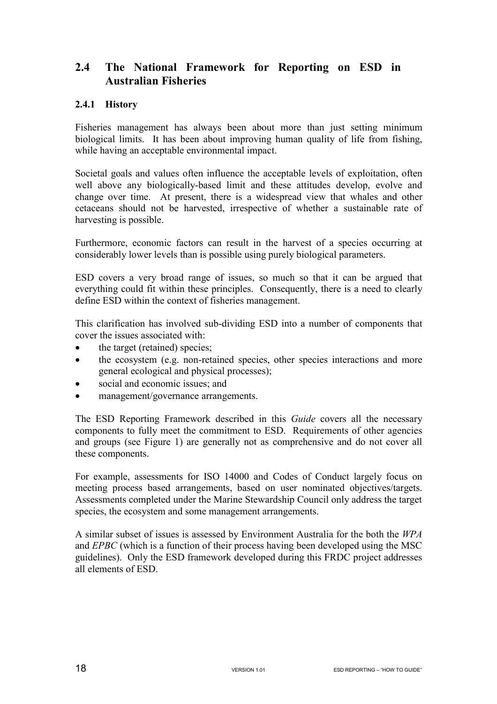## **2.4 The National Framework for Reporting on ESD in Australian Fisheries**

#### **2.4.1 History**

Fisheries management has always been about more than just setting minimum biological limits. It has been about improving human quality of life from fishing, while having an acceptable environmental impact.

Societal goals and values often influence the acceptable levels of exploitation, often well above any biologically-based limit and these attitudes develop, evolve and change over time. At present, there is a widespread view that whales and other cetaceans should not be harvested, irrespective of whether a sustainable rate of harvesting is possible.

Furthermore, economic factors can result in the harvest of a species occurring at considerably lower levels than is possible using purely biological parameters.

ESD covers a very broad range of issues, so much so that it can be argued that everything could fit within these principles. Consequently, there is a need to clearly define ESD within the context of fisheries management.

This clarification has involved sub-dividing ESD into a number of components that cover the issues associated with:

- the target (retained) species;
- the ecosystem (e.g. non-retained species, other species interactions and more general ecological and physical processes);
- social and economic issues; and
- management/governance arrangements.

The ESD Reporting Framework described in this *Guide* covers all the necessary components to fully meet the commitment to ESD. Requirements of other agencies and groups (see Figure 1) are generally not as comprehensive and do not cover all these components.

For example, assessments for ISO 14000 and Codes of Conduct largely focus on meeting process based arrangements, based on user nominated objectives/targets. Assessments completed under the Marine Stewardship Council only address the target species, the ecosystem and some management arrangements.

A similar subset of issues is assessed by Environment Australia for the both the *WPA*  and *EPBC* (which is a function of their process having been developed using the MSC guidelines). Only the ESD framework developed during this FRDC project addresses all elements of ESD.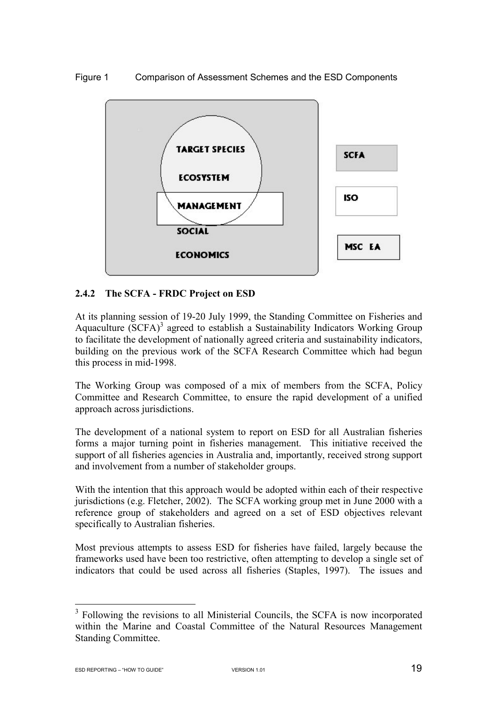#### Figure 1 Comparison of Assessment Schemes and the ESD Components



#### **2.4.2 The SCFA - FRDC Project on ESD**

At its planning session of 19-20 July 1999, the Standing Committee on Fisheries and Aquaculture  $(SCFA)^3$  agreed to establish a Sustainability Indicators Working Group to facilitate the development of nationally agreed criteria and sustainability indicators, building on the previous work of the SCFA Research Committee which had begun this process in mid-1998.

The Working Group was composed of a mix of members from the SCFA, Policy Committee and Research Committee, to ensure the rapid development of a unified approach across jurisdictions.

The development of a national system to report on ESD for all Australian fisheries forms a major turning point in fisheries management. This initiative received the support of all fisheries agencies in Australia and, importantly, received strong support and involvement from a number of stakeholder groups.

With the intention that this approach would be adopted within each of their respective jurisdictions (e.g. Fletcher, 2002). The SCFA working group met in June 2000 with a reference group of stakeholders and agreed on a set of ESD objectives relevant specifically to Australian fisheries.

Most previous attempts to assess ESD for fisheries have failed, largely because the frameworks used have been too restrictive, often attempting to develop a single set of indicators that could be used across all fisheries (Staples, 1997). The issues and

<sup>&</sup>lt;sup>3</sup> Following the revisions to all Ministerial Councils, the SCFA is now incorporated within the Marine and Coastal Committee of the Natural Resources Management Standing Committee.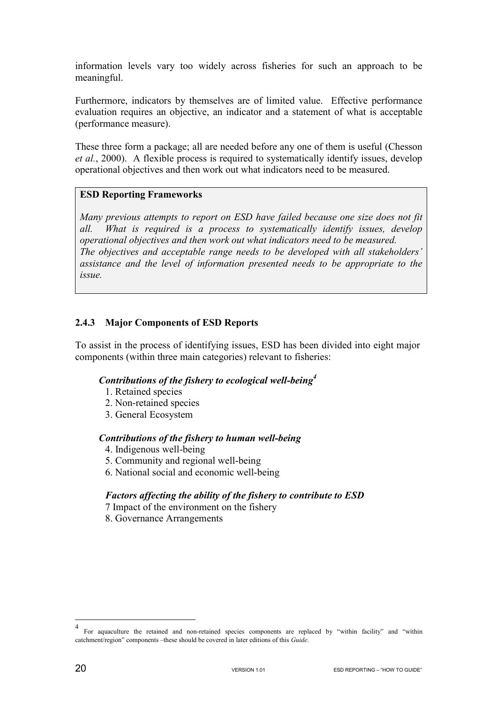information levels vary too widely across fisheries for such an approach to be meaningful.

Furthermore, indicators by themselves are of limited value. Effective performance evaluation requires an objective, an indicator and a statement of what is acceptable (performance measure).

These three form a package; all are needed before any one of them is useful (Chesson *et al.*, 2000). A flexible process is required to systematically identify issues, develop operational objectives and then work out what indicators need to be measured.

#### **ESD Reporting Frameworks**

*Many previous attempts to report on ESD have failed because one size does not fit all. What is required is a process to systematically identify issues, develop operational objectives and then work out what indicators need to be measured. The objectives and acceptable range needs to be developed with all stakeholders' assistance and the level of information presented needs to be appropriate to the issue.* 

#### **2.4.3 Major Components of ESD Reports**

To assist in the process of identifying issues, ESD has been divided into eight major components (within three main categories) relevant to fisheries:

#### *Contributions of the fishery to ecological well-being4*

- 1. Retained species
- 2. Non-retained species
- 3. General Ecosystem

#### *Contributions of the fishery to human well-being*

- 4. Indigenous well-being
- 5. Community and regional well-being
- 6. National social and economic well-being

#### *Factors affecting the ability of the fishery to contribute to ESD*

- 7 Impact of the environment on the fishery
- 8. Governance Arrangements

 $\overline{a}$ 

<sup>4</sup> For aquaculture the retained and non-retained species components are replaced by "within facility" and "within catchment/region" components –these should be covered in later editions of this *Guide*.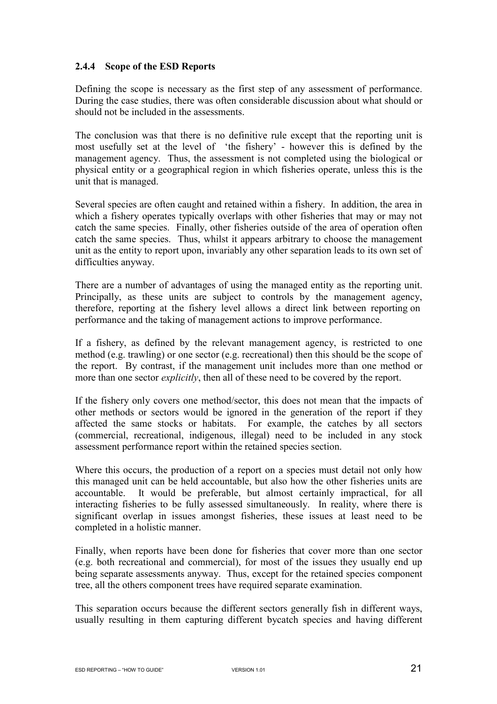#### **2.4.4 Scope of the ESD Reports**

Defining the scope is necessary as the first step of any assessment of performance. During the case studies, there was often considerable discussion about what should or should not be included in the assessments.

The conclusion was that there is no definitive rule except that the reporting unit is most usefully set at the level of 'the fishery' - however this is defined by the management agency. Thus, the assessment is not completed using the biological or physical entity or a geographical region in which fisheries operate, unless this is the unit that is managed.

Several species are often caught and retained within a fishery. In addition, the area in which a fishery operates typically overlaps with other fisheries that may or may not catch the same species. Finally, other fisheries outside of the area of operation often catch the same species. Thus, whilst it appears arbitrary to choose the management unit as the entity to report upon, invariably any other separation leads to its own set of difficulties anyway.

There are a number of advantages of using the managed entity as the reporting unit. Principally, as these units are subject to controls by the management agency, therefore, reporting at the fishery level allows a direct link between reporting on performance and the taking of management actions to improve performance.

If a fishery, as defined by the relevant management agency, is restricted to one method (e.g. trawling) or one sector (e.g. recreational) then this should be the scope of the report. By contrast, if the management unit includes more than one method or more than one sector *explicitly*, then all of these need to be covered by the report.

If the fishery only covers one method/sector, this does not mean that the impacts of other methods or sectors would be ignored in the generation of the report if they affected the same stocks or habitats. For example, the catches by all sectors (commercial, recreational, indigenous, illegal) need to be included in any stock assessment performance report within the retained species section.

Where this occurs, the production of a report on a species must detail not only how this managed unit can be held accountable, but also how the other fisheries units are accountable. It would be preferable, but almost certainly impractical, for all interacting fisheries to be fully assessed simultaneously. In reality, where there is significant overlap in issues amongst fisheries, these issues at least need to be completed in a holistic manner.

Finally, when reports have been done for fisheries that cover more than one sector (e.g. both recreational and commercial), for most of the issues they usually end up being separate assessments anyway. Thus, except for the retained species component tree, all the others component trees have required separate examination.

This separation occurs because the different sectors generally fish in different ways, usually resulting in them capturing different bycatch species and having different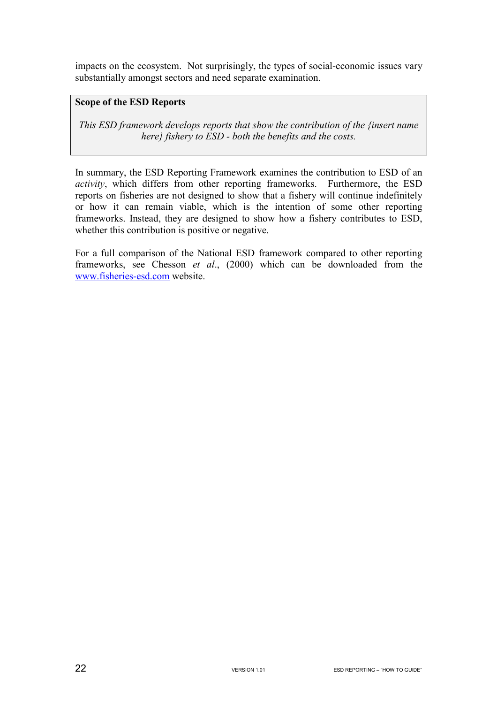impacts on the ecosystem. Not surprisingly, the types of social-economic issues vary substantially amongst sectors and need separate examination.

#### **Scope of the ESD Reports**

*This ESD framework develops reports that show the contribution of the {insert name here} fishery to ESD - both the benefits and the costs.* 

In summary, the ESD Reporting Framework examines the contribution to ESD of an *activity*, which differs from other reporting frameworks. Furthermore, the ESD reports on fisheries are not designed to show that a fishery will continue indefinitely or how it can remain viable, which is the intention of some other reporting frameworks. Instead, they are designed to show how a fishery contributes to ESD, whether this contribution is positive or negative.

For a full comparison of the National ESD framework compared to other reporting frameworks, see Chesson *et al*., (2000) which can be downloaded from the www.fisheries-esd.com website.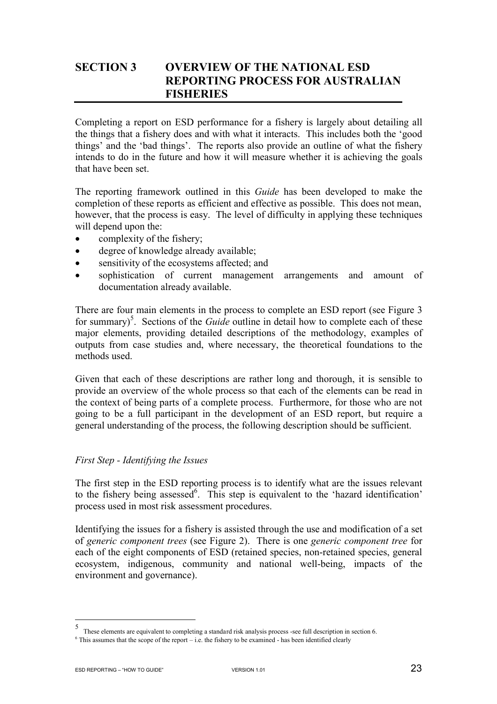## **SECTION 3 OVERVIEW OF THE NATIONAL ESD REPORTING PROCESS FOR AUSTRALIAN FISHERIES**

Completing a report on ESD performance for a fishery is largely about detailing all the things that a fishery does and with what it interacts. This includes both the 'good things' and the 'bad things'. The reports also provide an outline of what the fishery intends to do in the future and how it will measure whether it is achieving the goals that have been set.

The reporting framework outlined in this *Guide* has been developed to make the completion of these reports as efficient and effective as possible. This does not mean, however, that the process is easy. The level of difficulty in applying these techniques will depend upon the:

- complexity of the fishery;
- degree of knowledge already available;
- sensitivity of the ecosystems affected; and
- sophistication of current management arrangements and amount of documentation already available.

There are four main elements in the process to complete an ESD report (see Figure 3 for summary)<sup>5</sup>. Sections of the *Guide* outline in detail how to complete each of these major elements, providing detailed descriptions of the methodology, examples of outputs from case studies and, where necessary, the theoretical foundations to the methods used.

Given that each of these descriptions are rather long and thorough, it is sensible to provide an overview of the whole process so that each of the elements can be read in the context of being parts of a complete process. Furthermore, for those who are not going to be a full participant in the development of an ESD report, but require a general understanding of the process, the following description should be sufficient.

#### *First Step - Identifying the Issues*

The first step in the ESD reporting process is to identify what are the issues relevant to the fishery being assessed<sup>6</sup>. This step is equivalent to the 'hazard identification' process used in most risk assessment procedures.

Identifying the issues for a fishery is assisted through the use and modification of a set of *generic component trees* (see Figure 2). There is one *generic component tree* for each of the eight components of ESD (retained species, non-retained species, general ecosystem, indigenous, community and national well-being, impacts of the environment and governance).

 $\frac{1}{5}$ These elements are equivalent to completing a standard risk analysis process -see full description in section 6.

 $6$  This assumes that the scope of the report – i.e. the fishery to be examined - has been identified clearly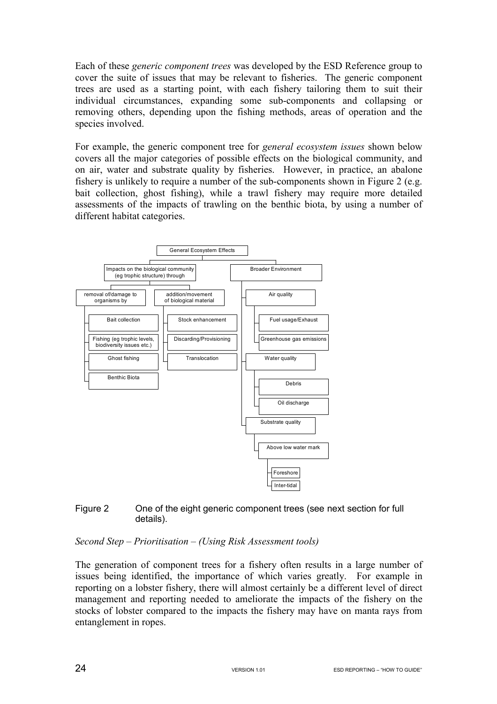Each of these *generic component trees* was developed by the ESD Reference group to cover the suite of issues that may be relevant to fisheries. The generic component trees are used as a starting point, with each fishery tailoring them to suit their individual circumstances, expanding some sub-components and collapsing or removing others, depending upon the fishing methods, areas of operation and the species involved.

For example, the generic component tree for *general ecosystem issues* shown below covers all the major categories of possible effects on the biological community, and on air, water and substrate quality by fisheries. However, in practice, an abalone fishery is unlikely to require a number of the sub-components shown in Figure 2 (e.g. bait collection, ghost fishing), while a trawl fishery may require more detailed assessments of the impacts of trawling on the benthic biota, by using a number of different habitat categories.



#### Figure 2 One of the eight generic component trees (see next section for full details).

#### *Second Step – Prioritisation – (Using Risk Assessment tools)*

The generation of component trees for a fishery often results in a large number of issues being identified, the importance of which varies greatly. For example in reporting on a lobster fishery, there will almost certainly be a different level of direct management and reporting needed to ameliorate the impacts of the fishery on the stocks of lobster compared to the impacts the fishery may have on manta rays from entanglement in ropes.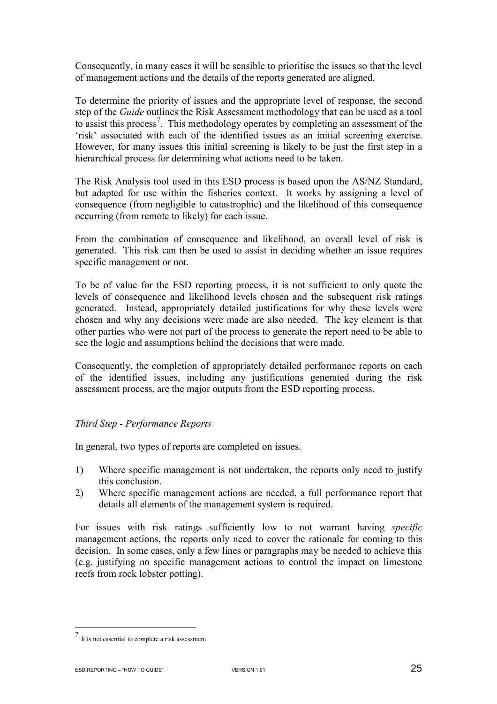Consequently, in many cases it will be sensible to prioritise the issues so that the level of management actions and the details of the reports generated are aligned.

To determine the priority of issues and the appropriate level of response, the second step of the *Guide* outlines the Risk Assessment methodology that can be used as a tool to assist this process<sup>7</sup>. This methodology operates by completing an assessment of the 'risk' associated with each of the identified issues as an initial screening exercise. However, for many issues this initial screening is likely to be just the first step in a hierarchical process for determining what actions need to be taken.

The Risk Analysis tool used in this ESD process is based upon the AS/NZ Standard, but adapted for use within the fisheries context. It works by assigning a level of consequence (from negligible to catastrophic) and the likelihood of this consequence occurring (from remote to likely) for each issue.

From the combination of consequence and likelihood, an overall level of risk is generated. This risk can then be used to assist in deciding whether an issue requires specific management or not.

To be of value for the ESD reporting process, it is not sufficient to only quote the levels of consequence and likelihood levels chosen and the subsequent risk ratings generated. Instead, appropriately detailed justifications for why these levels were chosen and why any decisions were made are also needed. The key element is that other parties who were not part of the process to generate the report need to be able to see the logic and assumptions behind the decisions that were made.

Consequently, the completion of appropriately detailed performance reports on each of the identified issues, including any justifications generated during the risk assessment process, are the major outputs from the ESD reporting process.

#### *Third Step - Performance Reports*

In general, two types of reports are completed on issues.

- 1) Where specific management is not undertaken, the reports only need to justify this conclusion.
- 2) Where specific management actions are needed, a full performance report that details all elements of the management system is required.

For issues with risk ratings sufficiently low to not warrant having *specific* management actions, the reports only need to cover the rationale for coming to this decision. In some cases, only a few lines or paragraphs may be needed to achieve this (e.g. justifying no specific management actions to control the impact on limestone reefs from rock lobster potting).

 $\overline{a}$ 

<sup>7</sup> It is not essential to complete a risk assessment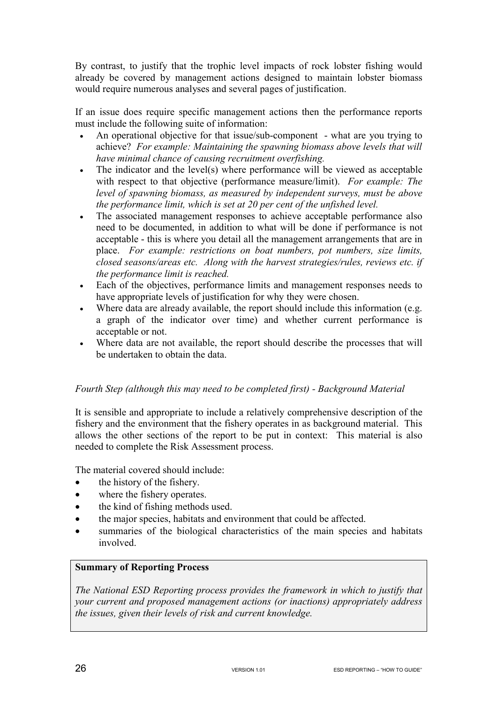By contrast, to justify that the trophic level impacts of rock lobster fishing would already be covered by management actions designed to maintain lobster biomass would require numerous analyses and several pages of justification.

If an issue does require specific management actions then the performance reports must include the following suite of information:

- An operational objective for that issue/sub-component what are you trying to achieve? *For example: Maintaining the spawning biomass above levels that will have minimal chance of causing recruitment overfishing.*
- The indicator and the level(s) where performance will be viewed as acceptable with respect to that objective (performance measure/limit). *For example: The level of spawning biomass, as measured by independent surveys, must be above the performance limit, which is set at 20 per cent of the unfished level.*
- The associated management responses to achieve acceptable performance also need to be documented, in addition to what will be done if performance is not acceptable - this is where you detail all the management arrangements that are in place. *For example: restrictions on boat numbers, pot numbers, size limits, closed seasons/areas etc. Along with the harvest strategies/rules, reviews etc. if the performance limit is reached.*
- Each of the objectives, performance limits and management responses needs to have appropriate levels of justification for why they were chosen.
- Where data are already available, the report should include this information (e.g. a graph of the indicator over time) and whether current performance is acceptable or not.
- Where data are not available, the report should describe the processes that will be undertaken to obtain the data.

#### *Fourth Step (although this may need to be completed first) - Background Material*

It is sensible and appropriate to include a relatively comprehensive description of the fishery and the environment that the fishery operates in as background material. This allows the other sections of the report to be put in context: This material is also needed to complete the Risk Assessment process.

The material covered should include:

- the history of the fishery.
- where the fishery operates.
- the kind of fishing methods used.
- the major species, habitats and environment that could be affected.
- summaries of the biological characteristics of the main species and habitats involved.

## **Summary of Reporting Process**

*The National ESD Reporting process provides the framework in which to justify that your current and proposed management actions (or inactions) appropriately address the issues, given their levels of risk and current knowledge.*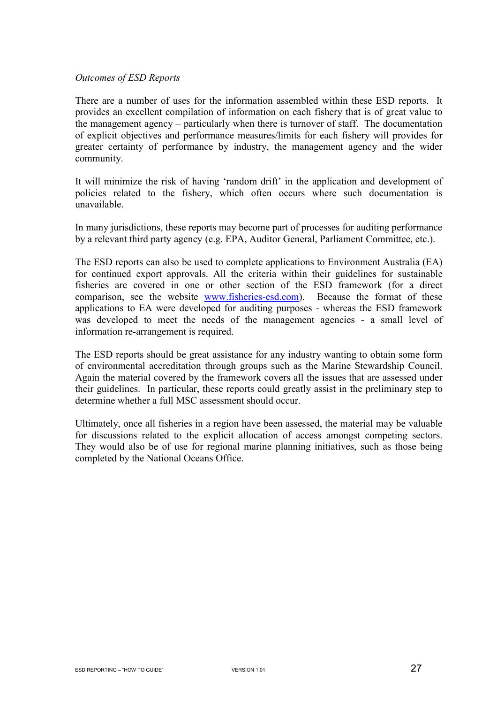#### *Outcomes of ESD Reports*

There are a number of uses for the information assembled within these ESD reports. It provides an excellent compilation of information on each fishery that is of great value to the management agency – particularly when there is turnover of staff. The documentation of explicit objectives and performance measures/limits for each fishery will provides for greater certainty of performance by industry, the management agency and the wider community.

It will minimize the risk of having 'random drift' in the application and development of policies related to the fishery, which often occurs where such documentation is unavailable.

In many jurisdictions, these reports may become part of processes for auditing performance by a relevant third party agency (e.g. EPA, Auditor General, Parliament Committee, etc.).

The ESD reports can also be used to complete applications to Environment Australia (EA) for continued export approvals. All the criteria within their guidelines for sustainable fisheries are covered in one or other section of the ESD framework (for a direct comparison, see the website www.fisheries-esd.com). Because the format of these applications to EA were developed for auditing purposes - whereas the ESD framework was developed to meet the needs of the management agencies - a small level of information re-arrangement is required.

The ESD reports should be great assistance for any industry wanting to obtain some form of environmental accreditation through groups such as the Marine Stewardship Council. Again the material covered by the framework covers all the issues that are assessed under their guidelines. In particular, these reports could greatly assist in the preliminary step to determine whether a full MSC assessment should occur.

Ultimately, once all fisheries in a region have been assessed, the material may be valuable for discussions related to the explicit allocation of access amongst competing sectors. They would also be of use for regional marine planning initiatives, such as those being completed by the National Oceans Office.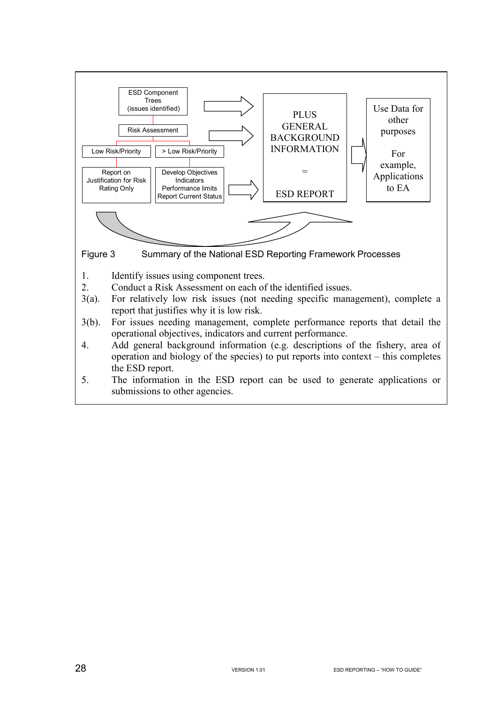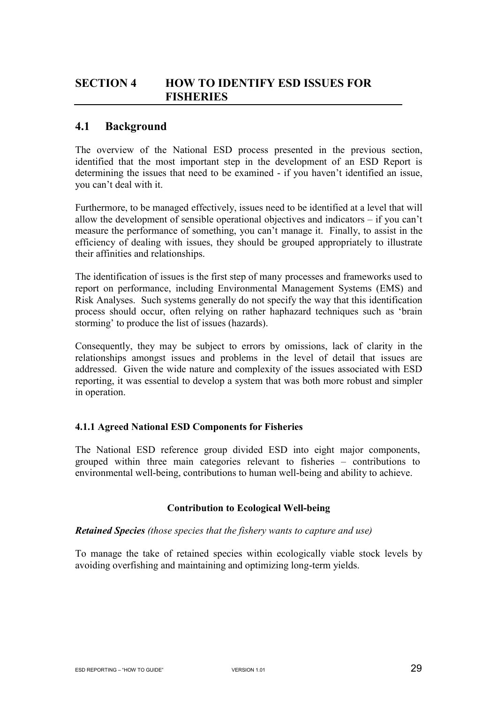## **SECTION 4 HOW TO IDENTIFY ESD ISSUES FOR FISHERIES**

## **4.1 Background**

The overview of the National ESD process presented in the previous section, identified that the most important step in the development of an ESD Report is determining the issues that need to be examined - if you haven't identified an issue, you can't deal with it.

Furthermore, to be managed effectively, issues need to be identified at a level that will allow the development of sensible operational objectives and indicators – if you can't measure the performance of something, you can't manage it. Finally, to assist in the efficiency of dealing with issues, they should be grouped appropriately to illustrate their affinities and relationships.

The identification of issues is the first step of many processes and frameworks used to report on performance, including Environmental Management Systems (EMS) and Risk Analyses. Such systems generally do not specify the way that this identification process should occur, often relying on rather haphazard techniques such as 'brain storming' to produce the list of issues (hazards).

Consequently, they may be subject to errors by omissions, lack of clarity in the relationships amongst issues and problems in the level of detail that issues are addressed. Given the wide nature and complexity of the issues associated with ESD reporting, it was essential to develop a system that was both more robust and simpler in operation.

#### **4.1.1 Agreed National ESD Components for Fisheries**

The National ESD reference group divided ESD into eight major components, grouped within three main categories relevant to fisheries – contributions to environmental well-being, contributions to human well-being and ability to achieve.

#### **Contribution to Ecological Well-being**

#### *Retained Species (those species that the fishery wants to capture and use)*

To manage the take of retained species within ecologically viable stock levels by avoiding overfishing and maintaining and optimizing long-term yields.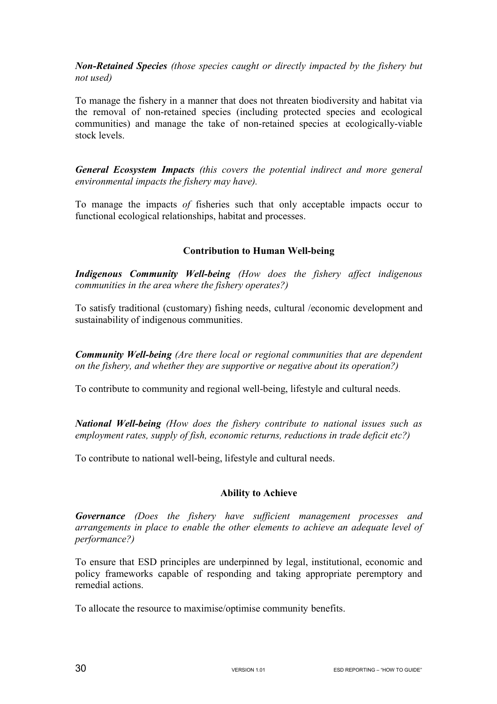*Non-Retained Species (those species caught or directly impacted by the fishery but not used)*

To manage the fishery in a manner that does not threaten biodiversity and habitat via the removal of non-retained species (including protected species and ecological communities) and manage the take of non-retained species at ecologically-viable stock levels.

*General Ecosystem Impacts (this covers the potential indirect and more general environmental impacts the fishery may have).*

To manage the impacts *of* fisheries such that only acceptable impacts occur to functional ecological relationships, habitat and processes.

#### **Contribution to Human Well-being**

*Indigenous Community Well-being (How does the fishery affect indigenous communities in the area where the fishery operates?)*

To satisfy traditional (customary) fishing needs, cultural /economic development and sustainability of indigenous communities.

*Community Well-being (Are there local or regional communities that are dependent on the fishery, and whether they are supportive or negative about its operation?)* 

To contribute to community and regional well-being, lifestyle and cultural needs.

*National Well-being (How does the fishery contribute to national issues such as employment rates, supply of fish, economic returns, reductions in trade deficit etc?)* 

To contribute to national well-being, lifestyle and cultural needs.

#### **Ability to Achieve**

*Governance (Does the fishery have sufficient management processes and arrangements in place to enable the other elements to achieve an adequate level of performance?)* 

To ensure that ESD principles are underpinned by legal, institutional, economic and policy frameworks capable of responding and taking appropriate peremptory and remedial actions.

To allocate the resource to maximise/optimise community benefits.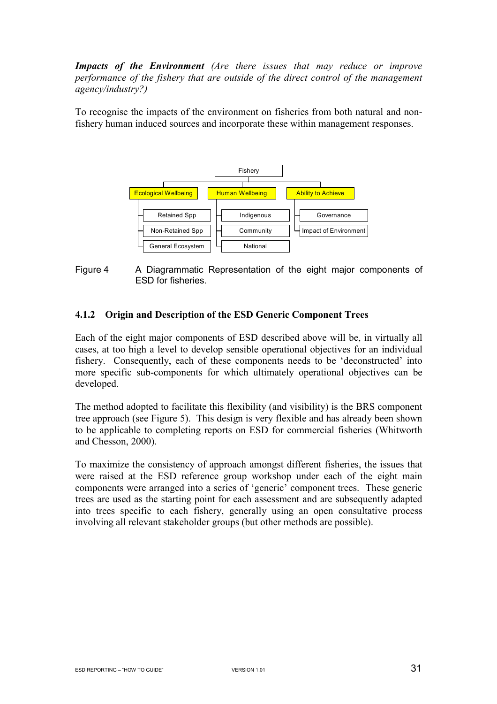*Impacts of the Environment (Are there issues that may reduce or improve performance of the fishery that are outside of the direct control of the management agency/industry?)*

To recognise the impacts of the environment on fisheries from both natural and nonfishery human induced sources and incorporate these within management responses.



Figure 4 A Diagrammatic Representation of the eight major components of ESD for fisheries.

#### **4.1.2 Origin and Description of the ESD Generic Component Trees**

Each of the eight major components of ESD described above will be, in virtually all cases, at too high a level to develop sensible operational objectives for an individual fishery. Consequently, each of these components needs to be 'deconstructed' into more specific sub-components for which ultimately operational objectives can be developed.

The method adopted to facilitate this flexibility (and visibility) is the BRS component tree approach (see Figure 5). This design is very flexible and has already been shown to be applicable to completing reports on ESD for commercial fisheries (Whitworth and Chesson, 2000).

To maximize the consistency of approach amongst different fisheries, the issues that were raised at the ESD reference group workshop under each of the eight main components were arranged into a series of 'generic' component trees. These generic trees are used as the starting point for each assessment and are subsequently adapted into trees specific to each fishery, generally using an open consultative process involving all relevant stakeholder groups (but other methods are possible).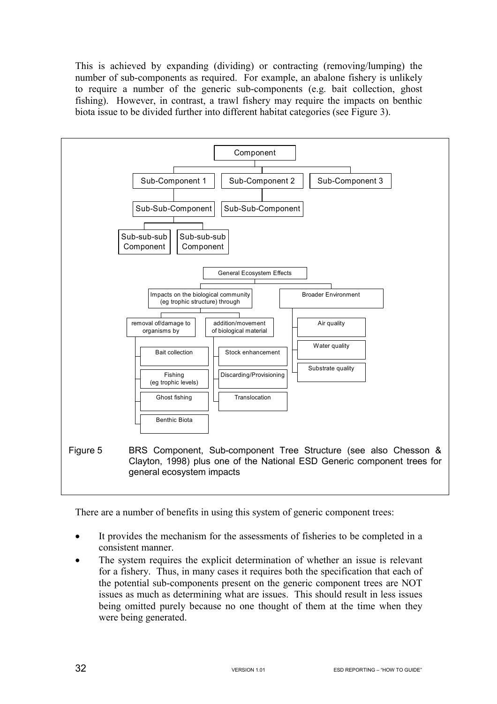This is achieved by expanding (dividing) or contracting (removing/lumping) the number of sub-components as required. For example, an abalone fishery is unlikely to require a number of the generic sub-components (e.g. bait collection, ghost fishing). However, in contrast, a trawl fishery may require the impacts on benthic biota issue to be divided further into different habitat categories (see Figure 3).



There are a number of benefits in using this system of generic component trees:

- It provides the mechanism for the assessments of fisheries to be completed in a consistent manner.
- The system requires the explicit determination of whether an issue is relevant for a fishery. Thus, in many cases it requires both the specification that each of the potential sub-components present on the generic component trees are NOT issues as much as determining what are issues. This should result in less issues being omitted purely because no one thought of them at the time when they were being generated.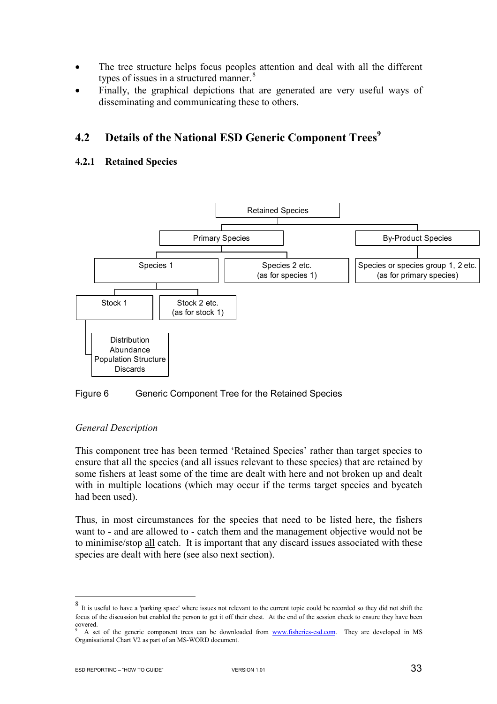- The tree structure helps focus peoples attention and deal with all the different types of issues in a structured manner. $8$
- Finally, the graphical depictions that are generated are very useful ways of disseminating and communicating these to others.

## **4.2 Details of the National ESD Generic Component Trees<sup>9</sup>**

#### **4.2.1 Retained Species**



#### Figure 6 Generic Component Tree for the Retained Species

#### *General Description*

This component tree has been termed 'Retained Species' rather than target species to ensure that all the species (and all issues relevant to these species) that are retained by some fishers at least some of the time are dealt with here and not broken up and dealt with in multiple locations (which may occur if the terms target species and bycatch had been used).

Thus, in most circumstances for the species that need to be listed here, the fishers want to - and are allowed to - catch them and the management objective would not be to minimise/stop all catch. It is important that any discard issues associated with these species are dealt with here (see also next section).

 $\overline{a}$ 

It is useful to have a 'parking space' where issues not relevant to the current topic could be recorded so they did not shift the focus of the discussion but enabled the person to get it off their chest. At the end of the session check to ensure they have been covered. 9

A set of the generic component trees can be downloaded from www.fisheries-esd.com. They are developed in MS Organisational Chart V2 as part of an MS-WORD document.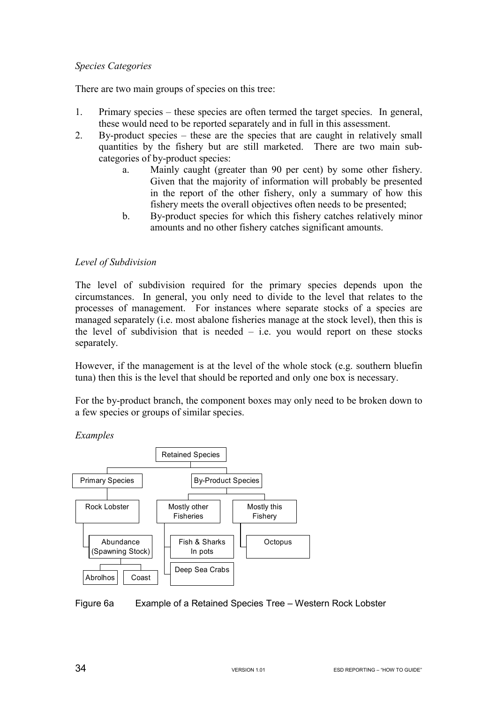#### *Species Categories*

There are two main groups of species on this tree:

- 1. Primary species these species are often termed the target species. In general, these would need to be reported separately and in full in this assessment.
- 2. By-product species these are the species that are caught in relatively small quantities by the fishery but are still marketed. There are two main subcategories of by-product species:
	- a. Mainly caught (greater than 90 per cent) by some other fishery. Given that the majority of information will probably be presented in the report of the other fishery, only a summary of how this fishery meets the overall objectives often needs to be presented;
	- b. By-product species for which this fishery catches relatively minor amounts and no other fishery catches significant amounts.

#### *Level of Subdivision*

The level of subdivision required for the primary species depends upon the circumstances. In general, you only need to divide to the level that relates to the processes of management. For instances where separate stocks of a species are managed separately (i.e. most abalone fisheries manage at the stock level), then this is the level of subdivision that is needed  $-$  i.e. you would report on these stocks separately.

However, if the management is at the level of the whole stock (e.g. southern bluefin tuna) then this is the level that should be reported and only one box is necessary.

For the by-product branch, the component boxes may only need to be broken down to a few species or groups of similar species.

*Examples* 



Figure 6a Example of a Retained Species Tree – Western Rock Lobster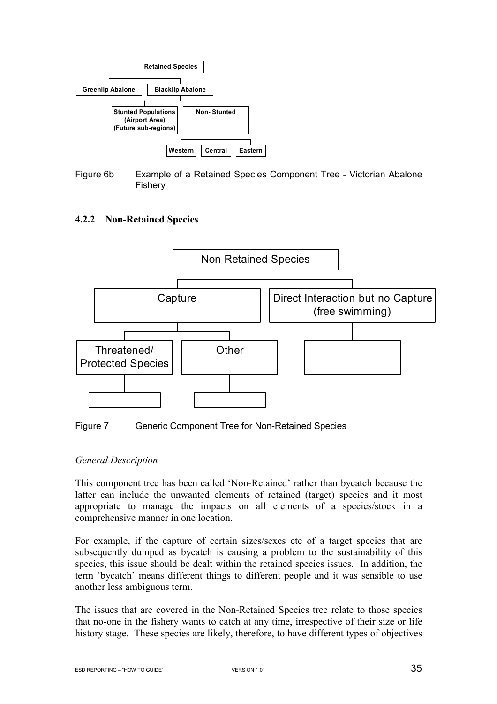

Figure 6b Example of a Retained Species Component Tree - Victorian Abalone Fishery

#### **4.2.2 Non-Retained Species**





#### *General Description*

This component tree has been called 'Non-Retained' rather than bycatch because the latter can include the unwanted elements of retained (target) species and it most appropriate to manage the impacts on all elements of a species/stock in a comprehensive manner in one location.

For example, if the capture of certain sizes/sexes etc of a target species that are subsequently dumped as bycatch is causing a problem to the sustainability of this species, this issue should be dealt within the retained species issues. In addition, the term 'bycatch' means different things to different people and it was sensible to use another less ambiguous term.

The issues that are covered in the Non-Retained Species tree relate to those species that no-one in the fishery wants to catch at any time, irrespective of their size or life history stage. These species are likely, therefore, to have different types of objectives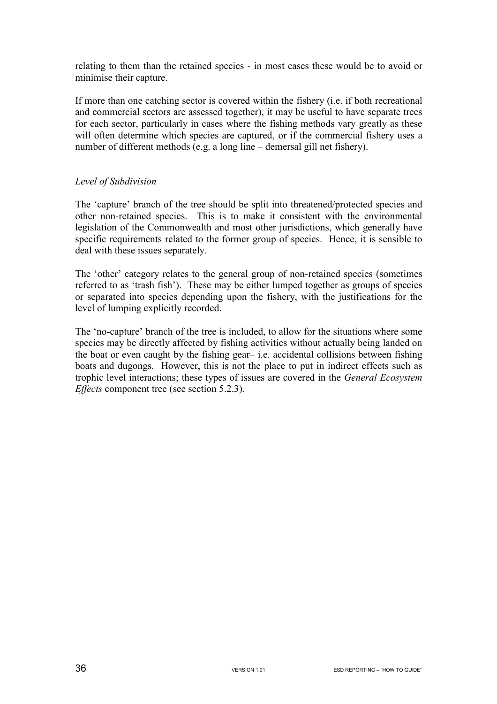relating to them than the retained species - in most cases these would be to avoid or minimise their capture.

If more than one catching sector is covered within the fishery (i.e. if both recreational and commercial sectors are assessed together), it may be useful to have separate trees for each sector, particularly in cases where the fishing methods vary greatly as these will often determine which species are captured, or if the commercial fishery uses a number of different methods (e.g. a long line – demersal gill net fishery).

#### *Level of Subdivision*

The 'capture' branch of the tree should be split into threatened/protected species and other non-retained species. This is to make it consistent with the environmental legislation of the Commonwealth and most other jurisdictions, which generally have specific requirements related to the former group of species. Hence, it is sensible to deal with these issues separately.

The 'other' category relates to the general group of non-retained species (sometimes referred to as 'trash fish'). These may be either lumped together as groups of species or separated into species depending upon the fishery, with the justifications for the level of lumping explicitly recorded.

The 'no-capture' branch of the tree is included, to allow for the situations where some species may be directly affected by fishing activities without actually being landed on the boat or even caught by the fishing gear– i.e. accidental collisions between fishing boats and dugongs. However, this is not the place to put in indirect effects such as trophic level interactions; these types of issues are covered in the *General Ecosystem Effects* component tree (see section 5.2.3).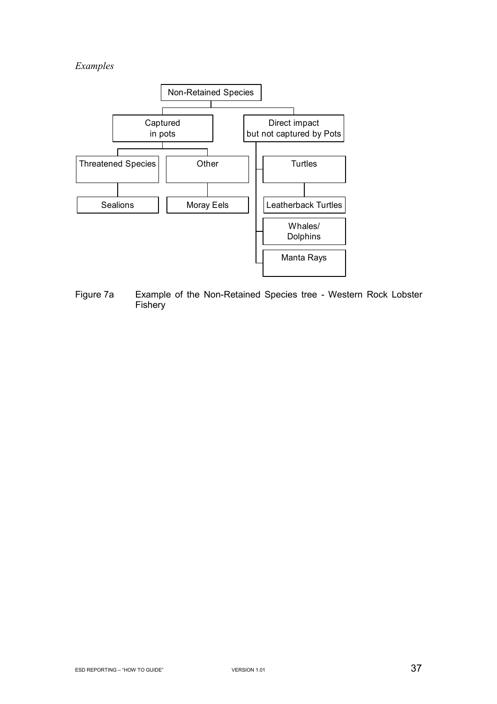# *Examples*



Figure 7a Example of the Non-Retained Species tree - Western Rock Lobster **Fishery**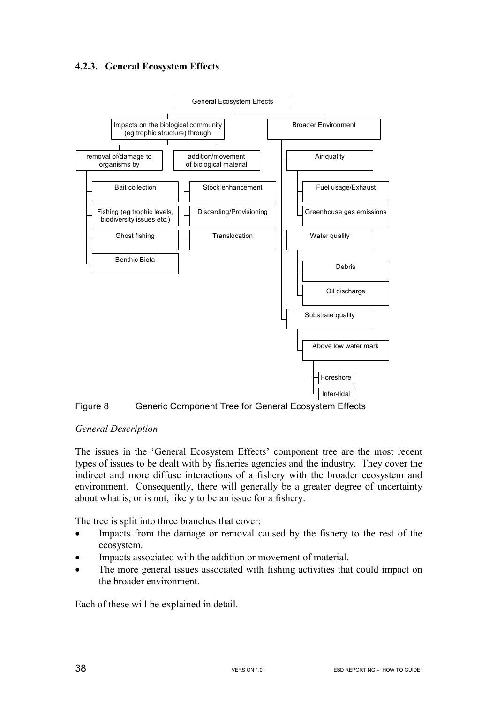## **4.2.3. General Ecosystem Effects**





### *General Description*

The issues in the 'General Ecosystem Effects' component tree are the most recent types of issues to be dealt with by fisheries agencies and the industry. They cover the indirect and more diffuse interactions of a fishery with the broader ecosystem and environment. Consequently, there will generally be a greater degree of uncertainty about what is, or is not, likely to be an issue for a fishery.

The tree is split into three branches that cover:

- Impacts from the damage or removal caused by the fishery to the rest of the ecosystem.
- Impacts associated with the addition or movement of material.
- The more general issues associated with fishing activities that could impact on the broader environment.

Each of these will be explained in detail.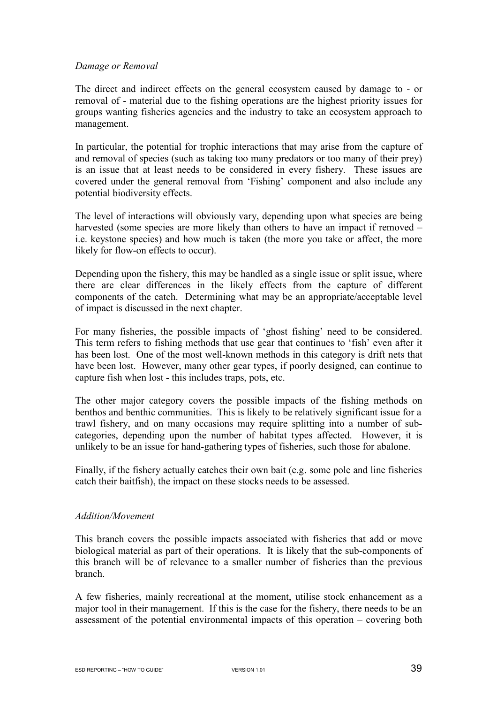#### *Damage or Removal*

The direct and indirect effects on the general ecosystem caused by damage to - or removal of - material due to the fishing operations are the highest priority issues for groups wanting fisheries agencies and the industry to take an ecosystem approach to management.

In particular, the potential for trophic interactions that may arise from the capture of and removal of species (such as taking too many predators or too many of their prey) is an issue that at least needs to be considered in every fishery. These issues are covered under the general removal from 'Fishing' component and also include any potential biodiversity effects.

The level of interactions will obviously vary, depending upon what species are being harvested (some species are more likely than others to have an impact if removed – i.e. keystone species) and how much is taken (the more you take or affect, the more likely for flow-on effects to occur).

Depending upon the fishery, this may be handled as a single issue or split issue, where there are clear differences in the likely effects from the capture of different components of the catch. Determining what may be an appropriate/acceptable level of impact is discussed in the next chapter.

For many fisheries, the possible impacts of 'ghost fishing' need to be considered. This term refers to fishing methods that use gear that continues to 'fish' even after it has been lost. One of the most well-known methods in this category is drift nets that have been lost. However, many other gear types, if poorly designed, can continue to capture fish when lost - this includes traps, pots, etc.

The other major category covers the possible impacts of the fishing methods on benthos and benthic communities. This is likely to be relatively significant issue for a trawl fishery, and on many occasions may require splitting into a number of subcategories, depending upon the number of habitat types affected. However, it is unlikely to be an issue for hand-gathering types of fisheries, such those for abalone.

Finally, if the fishery actually catches their own bait (e.g. some pole and line fisheries catch their baitfish), the impact on these stocks needs to be assessed.

### *Addition/Movement*

This branch covers the possible impacts associated with fisheries that add or move biological material as part of their operations. It is likely that the sub-components of this branch will be of relevance to a smaller number of fisheries than the previous branch.

A few fisheries, mainly recreational at the moment, utilise stock enhancement as a major tool in their management. If this is the case for the fishery, there needs to be an assessment of the potential environmental impacts of this operation – covering both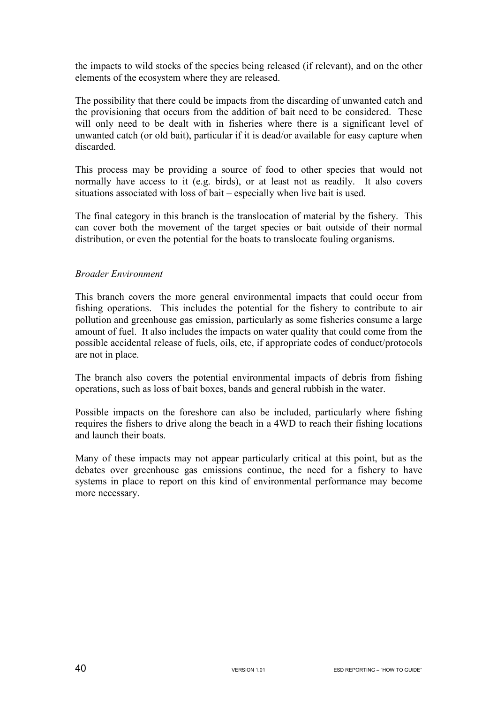the impacts to wild stocks of the species being released (if relevant), and on the other elements of the ecosystem where they are released.

The possibility that there could be impacts from the discarding of unwanted catch and the provisioning that occurs from the addition of bait need to be considered. These will only need to be dealt with in fisheries where there is a significant level of unwanted catch (or old bait), particular if it is dead/or available for easy capture when discarded.

This process may be providing a source of food to other species that would not normally have access to it (e.g. birds), or at least not as readily. It also covers situations associated with loss of bait – especially when live bait is used.

The final category in this branch is the translocation of material by the fishery. This can cover both the movement of the target species or bait outside of their normal distribution, or even the potential for the boats to translocate fouling organisms.

### *Broader Environment*

This branch covers the more general environmental impacts that could occur from fishing operations. This includes the potential for the fishery to contribute to air pollution and greenhouse gas emission, particularly as some fisheries consume a large amount of fuel. It also includes the impacts on water quality that could come from the possible accidental release of fuels, oils, etc, if appropriate codes of conduct/protocols are not in place.

The branch also covers the potential environmental impacts of debris from fishing operations, such as loss of bait boxes, bands and general rubbish in the water.

Possible impacts on the foreshore can also be included, particularly where fishing requires the fishers to drive along the beach in a 4WD to reach their fishing locations and launch their boats.

Many of these impacts may not appear particularly critical at this point, but as the debates over greenhouse gas emissions continue, the need for a fishery to have systems in place to report on this kind of environmental performance may become more necessary.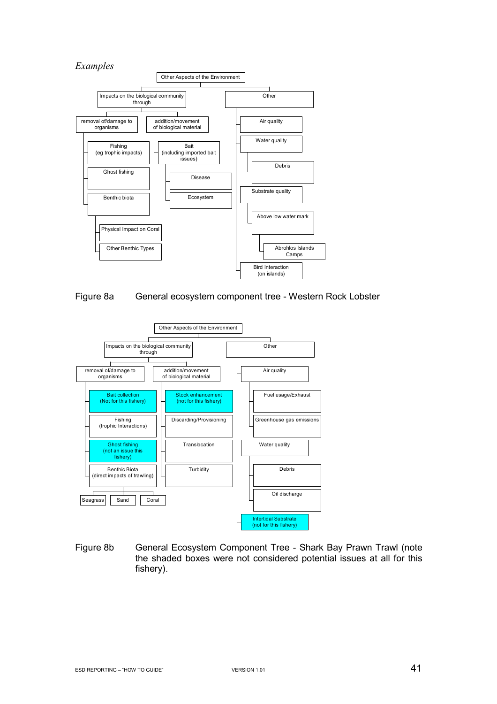





Figure 8b General Ecosystem Component Tree - Shark Bay Prawn Trawl (note the shaded boxes were not considered potential issues at all for this fishery).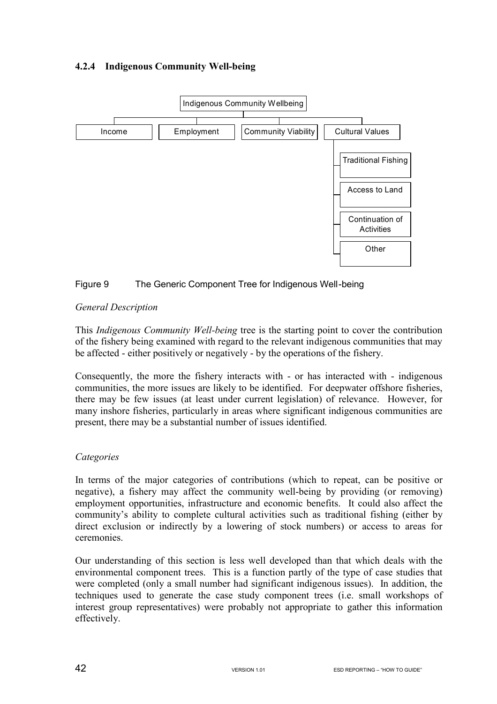## **4.2.4 Indigenous Community Well-being**



### Figure 9 The Generic Component Tree for Indigenous Well-being

### *General Description*

This *Indigenous Community Well-being* tree is the starting point to cover the contribution of the fishery being examined with regard to the relevant indigenous communities that may be affected - either positively or negatively - by the operations of the fishery.

Consequently, the more the fishery interacts with - or has interacted with - indigenous communities, the more issues are likely to be identified. For deepwater offshore fisheries, there may be few issues (at least under current legislation) of relevance. However, for many inshore fisheries, particularly in areas where significant indigenous communities are present, there may be a substantial number of issues identified.

### *Categories*

In terms of the major categories of contributions (which to repeat, can be positive or negative), a fishery may affect the community well-being by providing (or removing) employment opportunities, infrastructure and economic benefits. It could also affect the community's ability to complete cultural activities such as traditional fishing (either by direct exclusion or indirectly by a lowering of stock numbers) or access to areas for ceremonies.

Our understanding of this section is less well developed than that which deals with the environmental component trees. This is a function partly of the type of case studies that were completed (only a small number had significant indigenous issues). In addition, the techniques used to generate the case study component trees (i.e. small workshops of interest group representatives) were probably not appropriate to gather this information effectively.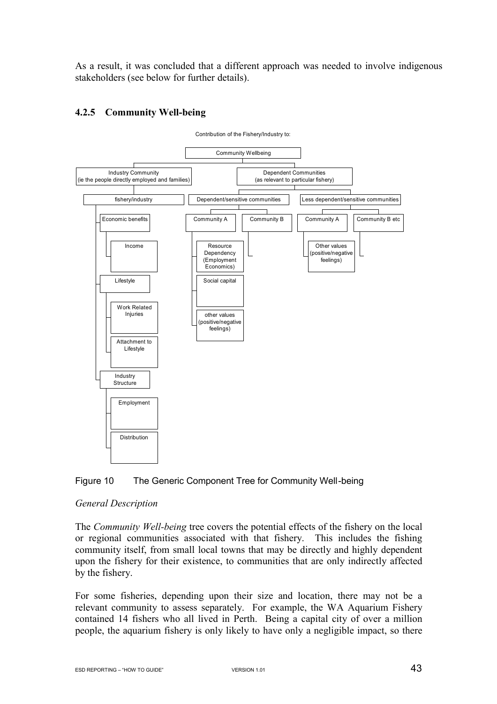As a result, it was concluded that a different approach was needed to involve indigenous stakeholders (see below for further details).

#### Contribution of the Fishery/Industry to: Income Economic benefits Work Related Injuries Attachment to Lifestyle Lifestyle Employment **Distribution** Industry **Structure** fishery/industry Industry Community (ie the people directly employed and families) Resource Dependency (Employment Economics) Social capital other values (positive/negative feelings) Community A | Community B Dependent/sensitive communities Other values (positive/negative feelings) Community  $A \parallel$  Community B etc Less dependent/sensitive communities Dependent Communities (as relevant to particular fishery) Community Wellbeing

## **4.2.5 Community Well-being**



### *General Description*

The *Community Well-being* tree covers the potential effects of the fishery on the local or regional communities associated with that fishery. This includes the fishing community itself, from small local towns that may be directly and highly dependent upon the fishery for their existence, to communities that are only indirectly affected by the fishery.

For some fisheries, depending upon their size and location, there may not be a relevant community to assess separately. For example, the WA Aquarium Fishery contained 14 fishers who all lived in Perth. Being a capital city of over a million people, the aquarium fishery is only likely to have only a negligible impact, so there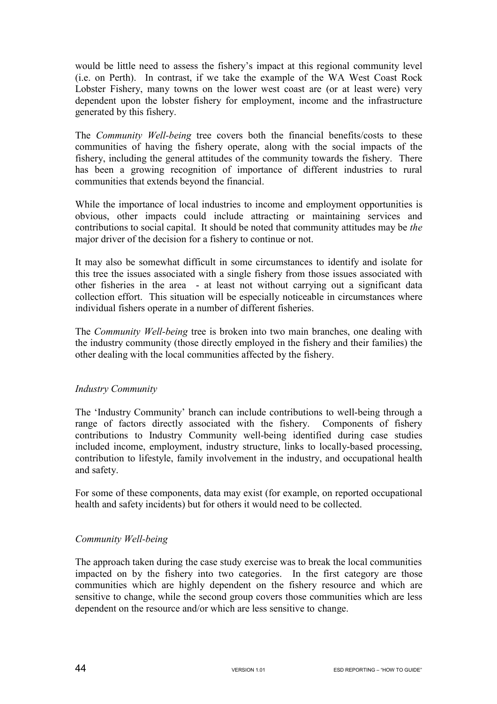would be little need to assess the fishery's impact at this regional community level (i.e. on Perth). In contrast, if we take the example of the WA West Coast Rock Lobster Fishery, many towns on the lower west coast are (or at least were) very dependent upon the lobster fishery for employment, income and the infrastructure generated by this fishery.

The *Community Well-being* tree covers both the financial benefits/costs to these communities of having the fishery operate, along with the social impacts of the fishery, including the general attitudes of the community towards the fishery. There has been a growing recognition of importance of different industries to rural communities that extends beyond the financial.

While the importance of local industries to income and employment opportunities is obvious, other impacts could include attracting or maintaining services and contributions to social capital. It should be noted that community attitudes may be *the* major driver of the decision for a fishery to continue or not.

It may also be somewhat difficult in some circumstances to identify and isolate for this tree the issues associated with a single fishery from those issues associated with other fisheries in the area - at least not without carrying out a significant data collection effort. This situation will be especially noticeable in circumstances where individual fishers operate in a number of different fisheries.

The *Community Well-being* tree is broken into two main branches, one dealing with the industry community (those directly employed in the fishery and their families) the other dealing with the local communities affected by the fishery.

## *Industry Community*

The 'Industry Community' branch can include contributions to well-being through a range of factors directly associated with the fishery. Components of fishery contributions to Industry Community well-being identified during case studies included income, employment, industry structure, links to locally-based processing, contribution to lifestyle, family involvement in the industry, and occupational health and safety.

For some of these components, data may exist (for example, on reported occupational health and safety incidents) but for others it would need to be collected.

## *Community Well-being*

The approach taken during the case study exercise was to break the local communities impacted on by the fishery into two categories. In the first category are those communities which are highly dependent on the fishery resource and which are sensitive to change, while the second group covers those communities which are less dependent on the resource and/or which are less sensitive to change.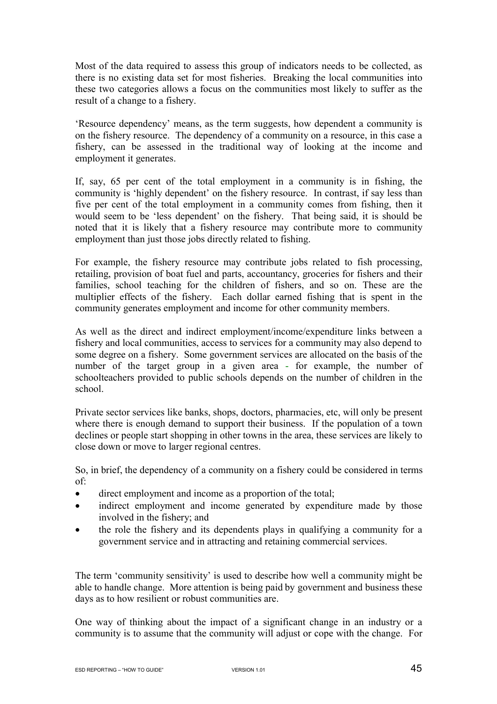Most of the data required to assess this group of indicators needs to be collected, as there is no existing data set for most fisheries. Breaking the local communities into these two categories allows a focus on the communities most likely to suffer as the result of a change to a fishery.

'Resource dependency' means, as the term suggests, how dependent a community is on the fishery resource. The dependency of a community on a resource, in this case a fishery, can be assessed in the traditional way of looking at the income and employment it generates.

If, say, 65 per cent of the total employment in a community is in fishing, the community is 'highly dependent' on the fishery resource. In contrast, if say less than five per cent of the total employment in a community comes from fishing, then it would seem to be 'less dependent' on the fishery. That being said, it is should be noted that it is likely that a fishery resource may contribute more to community employment than just those jobs directly related to fishing.

For example, the fishery resource may contribute jobs related to fish processing, retailing, provision of boat fuel and parts, accountancy, groceries for fishers and their families, school teaching for the children of fishers, and so on. These are the multiplier effects of the fishery. Each dollar earned fishing that is spent in the community generates employment and income for other community members.

As well as the direct and indirect employment/income/expenditure links between a fishery and local communities, access to services for a community may also depend to some degree on a fishery. Some government services are allocated on the basis of the number of the target group in a given area - for example, the number of schoolteachers provided to public schools depends on the number of children in the school.

Private sector services like banks, shops, doctors, pharmacies, etc, will only be present where there is enough demand to support their business. If the population of a town declines or people start shopping in other towns in the area, these services are likely to close down or move to larger regional centres.

So, in brief, the dependency of a community on a fishery could be considered in terms of:

- direct employment and income as a proportion of the total;
- indirect employment and income generated by expenditure made by those involved in the fishery; and
- the role the fishery and its dependents plays in qualifying a community for a government service and in attracting and retaining commercial services.

The term 'community sensitivity' is used to describe how well a community might be able to handle change. More attention is being paid by government and business these days as to how resilient or robust communities are.

One way of thinking about the impact of a significant change in an industry or a community is to assume that the community will adjust or cope with the change. For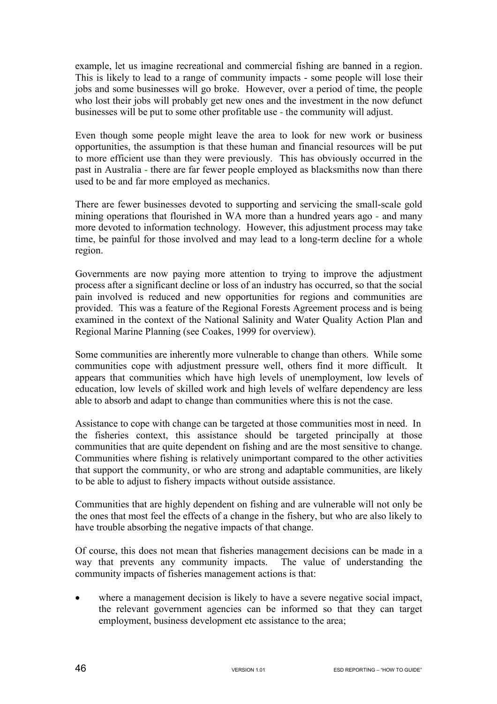example, let us imagine recreational and commercial fishing are banned in a region. This is likely to lead to a range of community impacts - some people will lose their jobs and some businesses will go broke. However, over a period of time, the people who lost their jobs will probably get new ones and the investment in the now defunct businesses will be put to some other profitable use - the community will adjust.

Even though some people might leave the area to look for new work or business opportunities, the assumption is that these human and financial resources will be put to more efficient use than they were previously. This has obviously occurred in the past in Australia - there are far fewer people employed as blacksmiths now than there used to be and far more employed as mechanics.

There are fewer businesses devoted to supporting and servicing the small-scale gold mining operations that flourished in WA more than a hundred years ago - and many more devoted to information technology. However, this adjustment process may take time, be painful for those involved and may lead to a long-term decline for a whole region.

Governments are now paying more attention to trying to improve the adjustment process after a significant decline or loss of an industry has occurred, so that the social pain involved is reduced and new opportunities for regions and communities are provided. This was a feature of the Regional Forests Agreement process and is being examined in the context of the National Salinity and Water Quality Action Plan and Regional Marine Planning (see Coakes, 1999 for overview).

Some communities are inherently more vulnerable to change than others. While some communities cope with adjustment pressure well, others find it more difficult. It appears that communities which have high levels of unemployment, low levels of education, low levels of skilled work and high levels of welfare dependency are less able to absorb and adapt to change than communities where this is not the case.

Assistance to cope with change can be targeted at those communities most in need. In the fisheries context, this assistance should be targeted principally at those communities that are quite dependent on fishing and are the most sensitive to change. Communities where fishing is relatively unimportant compared to the other activities that support the community, or who are strong and adaptable communities, are likely to be able to adjust to fishery impacts without outside assistance.

Communities that are highly dependent on fishing and are vulnerable will not only be the ones that most feel the effects of a change in the fishery, but who are also likely to have trouble absorbing the negative impacts of that change.

Of course, this does not mean that fisheries management decisions can be made in a way that prevents any community impacts. The value of understanding the community impacts of fisheries management actions is that:

• where a management decision is likely to have a severe negative social impact, the relevant government agencies can be informed so that they can target employment, business development etc assistance to the area;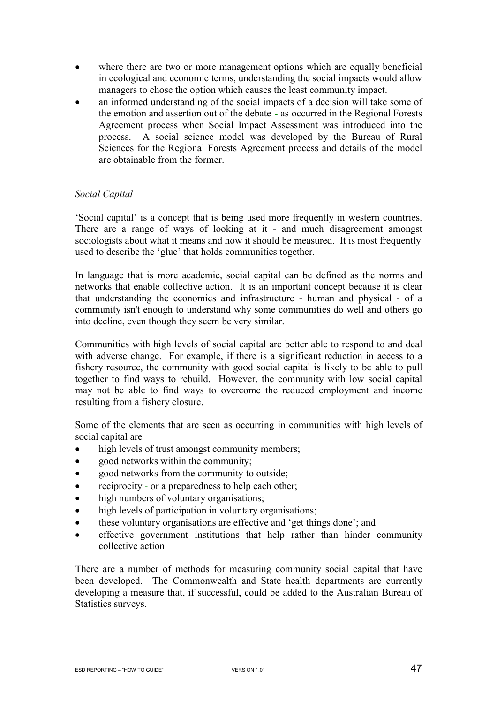- where there are two or more management options which are equally beneficial in ecological and economic terms, understanding the social impacts would allow managers to chose the option which causes the least community impact.
- an informed understanding of the social impacts of a decision will take some of the emotion and assertion out of the debate - as occurred in the Regional Forests Agreement process when Social Impact Assessment was introduced into the process. A social science model was developed by the Bureau of Rural Sciences for the Regional Forests Agreement process and details of the model are obtainable from the former.

### *Social Capital*

'Social capital' is a concept that is being used more frequently in western countries. There are a range of ways of looking at it - and much disagreement amongst sociologists about what it means and how it should be measured. It is most frequently used to describe the 'glue' that holds communities together.

In language that is more academic, social capital can be defined as the norms and networks that enable collective action. It is an important concept because it is clear that understanding the economics and infrastructure - human and physical - of a community isn't enough to understand why some communities do well and others go into decline, even though they seem be very similar.

Communities with high levels of social capital are better able to respond to and deal with adverse change. For example, if there is a significant reduction in access to a fishery resource, the community with good social capital is likely to be able to pull together to find ways to rebuild. However, the community with low social capital may not be able to find ways to overcome the reduced employment and income resulting from a fishery closure.

Some of the elements that are seen as occurring in communities with high levels of social capital are

- high levels of trust amongst community members;
- good networks within the community;
- good networks from the community to outside:
- reciprocity or a preparedness to help each other;
- high numbers of voluntary organisations;
- high levels of participation in voluntary organisations;
- these voluntary organisations are effective and 'get things done'; and
- effective government institutions that help rather than hinder community collective action

There are a number of methods for measuring community social capital that have been developed. The Commonwealth and State health departments are currently developing a measure that, if successful, could be added to the Australian Bureau of Statistics surveys.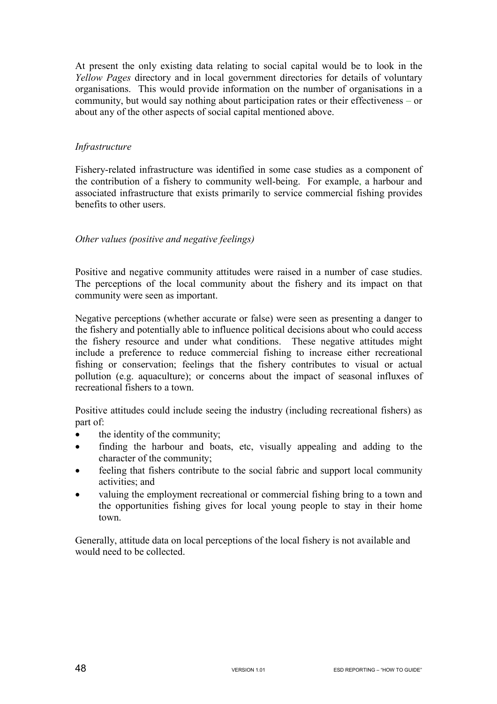At present the only existing data relating to social capital would be to look in the *Yellow Pages* directory and in local government directories for details of voluntary organisations. This would provide information on the number of organisations in a community, but would say nothing about participation rates or their effectiveness – or about any of the other aspects of social capital mentioned above.

### *Infrastructure*

Fishery-related infrastructure was identified in some case studies as a component of the contribution of a fishery to community well-being. For example, a harbour and associated infrastructure that exists primarily to service commercial fishing provides benefits to other users.

### *Other values (positive and negative feelings)*

Positive and negative community attitudes were raised in a number of case studies. The perceptions of the local community about the fishery and its impact on that community were seen as important.

Negative perceptions (whether accurate or false) were seen as presenting a danger to the fishery and potentially able to influence political decisions about who could access the fishery resource and under what conditions. These negative attitudes might include a preference to reduce commercial fishing to increase either recreational fishing or conservation; feelings that the fishery contributes to visual or actual pollution (e.g. aquaculture); or concerns about the impact of seasonal influxes of recreational fishers to a town.

Positive attitudes could include seeing the industry (including recreational fishers) as part of:

- the identity of the community;
- finding the harbour and boats, etc, visually appealing and adding to the character of the community;
- feeling that fishers contribute to the social fabric and support local community activities; and
- valuing the employment recreational or commercial fishing bring to a town and the opportunities fishing gives for local young people to stay in their home town.

Generally, attitude data on local perceptions of the local fishery is not available and would need to be collected.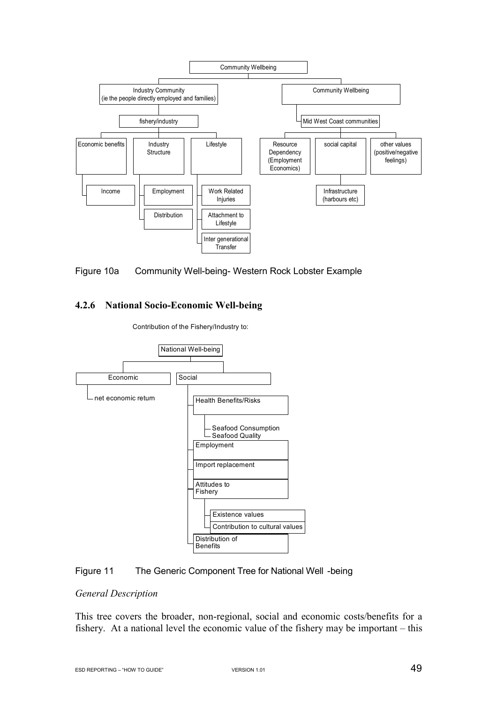



### **4.2.6 National Socio-Economic Well-being**



Contribution of the Fishery/Industry to:

#### Figure 11 The Generic Component Tree for National Well -being

#### *General Description*

This tree covers the broader, non-regional, social and economic costs/benefits for a fishery. At a national level the economic value of the fishery may be important – this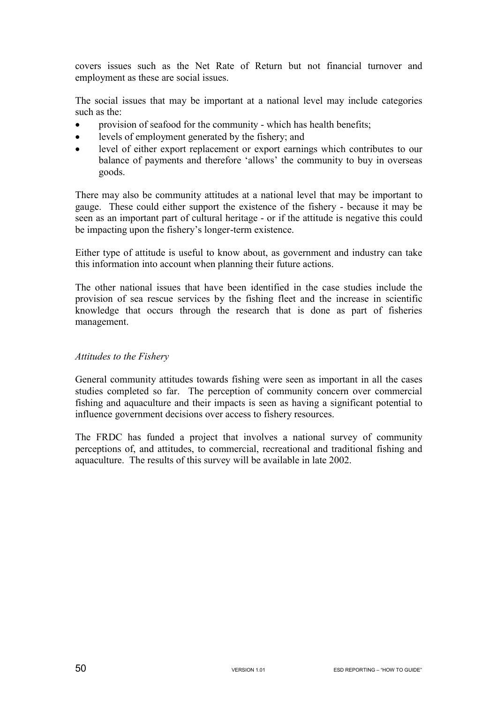covers issues such as the Net Rate of Return but not financial turnover and employment as these are social issues.

The social issues that may be important at a national level may include categories such as the:

- provision of seafood for the community which has health benefits;
- levels of employment generated by the fishery; and
- level of either export replacement or export earnings which contributes to our balance of payments and therefore 'allows' the community to buy in overseas goods.

There may also be community attitudes at a national level that may be important to gauge. These could either support the existence of the fishery - because it may be seen as an important part of cultural heritage - or if the attitude is negative this could be impacting upon the fishery's longer-term existence.

Either type of attitude is useful to know about, as government and industry can take this information into account when planning their future actions.

The other national issues that have been identified in the case studies include the provision of sea rescue services by the fishing fleet and the increase in scientific knowledge that occurs through the research that is done as part of fisheries management.

### *Attitudes to the Fishery*

General community attitudes towards fishing were seen as important in all the cases studies completed so far. The perception of community concern over commercial fishing and aquaculture and their impacts is seen as having a significant potential to influence government decisions over access to fishery resources.

The FRDC has funded a project that involves a national survey of community perceptions of, and attitudes, to commercial, recreational and traditional fishing and aquaculture. The results of this survey will be available in late 2002.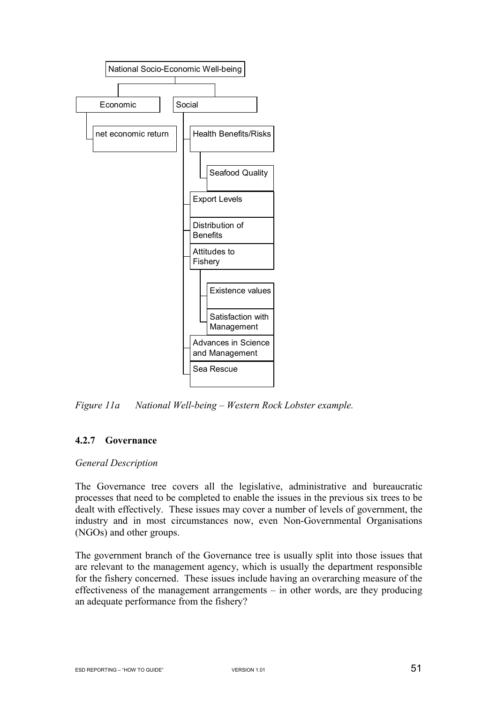

*Figure 11a National Well-being – Western Rock Lobster example.* 

## **4.2.7 Governance**

### *General Description*

The Governance tree covers all the legislative, administrative and bureaucratic processes that need to be completed to enable the issues in the previous six trees to be dealt with effectively. These issues may cover a number of levels of government, the industry and in most circumstances now, even Non-Governmental Organisations (NGOs) and other groups.

The government branch of the Governance tree is usually split into those issues that are relevant to the management agency, which is usually the department responsible for the fishery concerned. These issues include having an overarching measure of the effectiveness of the management arrangements  $-$  in other words, are they producing an adequate performance from the fishery?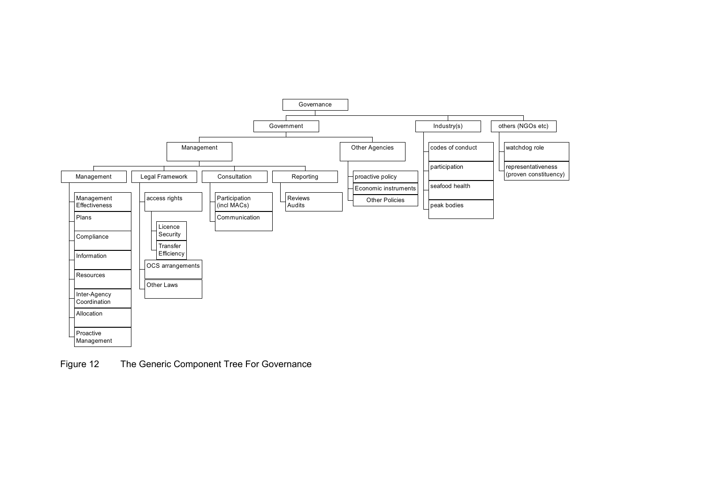

Figure 12 The Generic Component Tree For Governance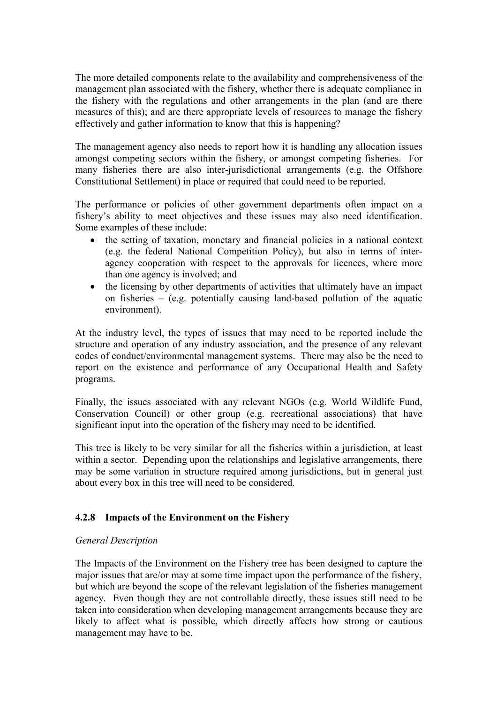The more detailed components relate to the availability and comprehensiveness of the management plan associated with the fishery, whether there is adequate compliance in the fishery with the regulations and other arrangements in the plan (and are there measures of this); and are there appropriate levels of resources to manage the fishery effectively and gather information to know that this is happening?

The management agency also needs to report how it is handling any allocation issues amongst competing sectors within the fishery, or amongst competing fisheries. For many fisheries there are also inter-jurisdictional arrangements (e.g. the Offshore Constitutional Settlement) in place or required that could need to be reported.

The performance or policies of other government departments often impact on a fishery's ability to meet objectives and these issues may also need identification. Some examples of these include:

- the setting of taxation, monetary and financial policies in a national context (e.g. the federal National Competition Policy), but also in terms of interagency cooperation with respect to the approvals for licences, where more than one agency is involved; and
- the licensing by other departments of activities that ultimately have an impact on fisheries – (e.g. potentially causing land-based pollution of the aquatic environment).

At the industry level, the types of issues that may need to be reported include the structure and operation of any industry association, and the presence of any relevant codes of conduct/environmental management systems. There may also be the need to report on the existence and performance of any Occupational Health and Safety programs.

Finally, the issues associated with any relevant NGOs (e.g. World Wildlife Fund, Conservation Council) or other group (e.g. recreational associations) that have significant input into the operation of the fishery may need to be identified.

This tree is likely to be very similar for all the fisheries within a jurisdiction, at least within a sector. Depending upon the relationships and legislative arrangements, there may be some variation in structure required among jurisdictions, but in general just about every box in this tree will need to be considered.

## **4.2.8 Impacts of the Environment on the Fishery**

## *General Description*

The Impacts of the Environment on the Fishery tree has been designed to capture the major issues that are/or may at some time impact upon the performance of the fishery, but which are beyond the scope of the relevant legislation of the fisheries management agency. Even though they are not controllable directly, these issues still need to be taken into consideration when developing management arrangements because they are likely to affect what is possible, which directly affects how strong or cautious management may have to be.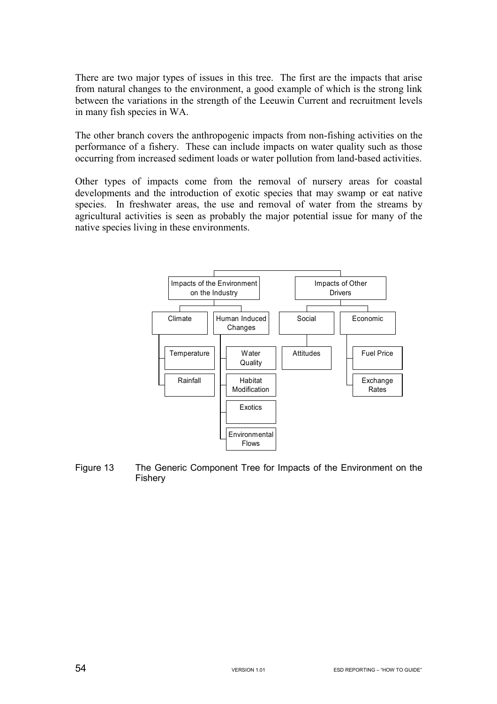There are two major types of issues in this tree. The first are the impacts that arise from natural changes to the environment, a good example of which is the strong link between the variations in the strength of the Leeuwin Current and recruitment levels in many fish species in WA.

The other branch covers the anthropogenic impacts from non-fishing activities on the performance of a fishery. These can include impacts on water quality such as those occurring from increased sediment loads or water pollution from land-based activities.

Other types of impacts come from the removal of nursery areas for coastal developments and the introduction of exotic species that may swamp or eat native species. In freshwater areas, the use and removal of water from the streams by agricultural activities is seen as probably the major potential issue for many of the native species living in these environments.



Figure 13 The Generic Component Tree for Impacts of the Environment on the Fishery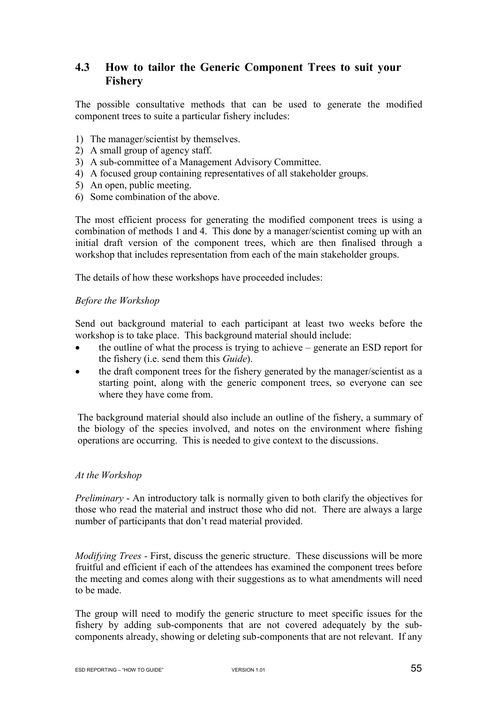# **4.3 How to tailor the Generic Component Trees to suit your Fishery**

The possible consultative methods that can be used to generate the modified component trees to suite a particular fishery includes:

- 1) The manager/scientist by themselves.
- 2) A small group of agency staff.
- 3) A sub-committee of a Management Advisory Committee.
- 4) A focused group containing representatives of all stakeholder groups.
- 5) An open, public meeting.
- 6) Some combination of the above.

The most efficient process for generating the modified component trees is using a combination of methods 1 and 4. This done by a manager/scientist coming up with an initial draft version of the component trees, which are then finalised through a workshop that includes representation from each of the main stakeholder groups.

The details of how these workshops have proceeded includes:

#### *Before the Workshop*

Send out background material to each participant at least two weeks before the workshop is to take place. This background material should include:

- the outline of what the process is trying to achieve generate an ESD report for the fishery (i.e. send them this *Guide*).
- the draft component trees for the fishery generated by the manager/scientist as a starting point, along with the generic component trees, so everyone can see where they have come from.

The background material should also include an outline of the fishery, a summary of the biology of the species involved, and notes on the environment where fishing operations are occurring. This is needed to give context to the discussions.

### *At the Workshop*

*Preliminary* - An introductory talk is normally given to both clarify the objectives for those who read the material and instruct those who did not. There are always a large number of participants that don't read material provided.

*Modifying Trees* - First, discuss the generic structure. These discussions will be more fruitful and efficient if each of the attendees has examined the component trees before the meeting and comes along with their suggestions as to what amendments will need to be made.

The group will need to modify the generic structure to meet specific issues for the fishery by adding sub-components that are not covered adequately by the subcomponents already, showing or deleting sub-components that are not relevant. If any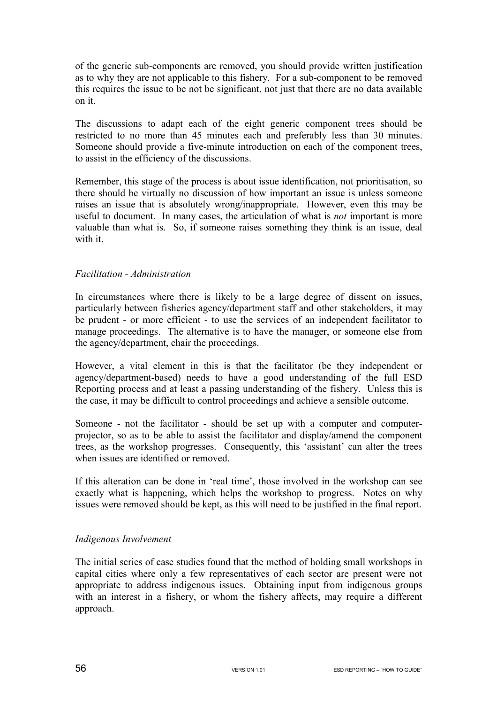of the generic sub-components are removed, you should provide written justification as to why they are not applicable to this fishery. For a sub-component to be removed this requires the issue to be not be significant, not just that there are no data available on it.

The discussions to adapt each of the eight generic component trees should be restricted to no more than 45 minutes each and preferably less than 30 minutes. Someone should provide a five-minute introduction on each of the component trees, to assist in the efficiency of the discussions.

Remember, this stage of the process is about issue identification, not prioritisation, so there should be virtually no discussion of how important an issue is unless someone raises an issue that is absolutely wrong/inappropriate. However, even this may be useful to document. In many cases, the articulation of what is *not* important is more valuable than what is. So, if someone raises something they think is an issue, deal with it.

### *Facilitation - Administration*

In circumstances where there is likely to be a large degree of dissent on issues, particularly between fisheries agency/department staff and other stakeholders, it may be prudent - or more efficient - to use the services of an independent facilitator to manage proceedings. The alternative is to have the manager, or someone else from the agency/department, chair the proceedings.

However, a vital element in this is that the facilitator (be they independent or agency/department-based) needs to have a good understanding of the full ESD Reporting process and at least a passing understanding of the fishery. Unless this is the case, it may be difficult to control proceedings and achieve a sensible outcome.

Someone - not the facilitator - should be set up with a computer and computerprojector, so as to be able to assist the facilitator and display/amend the component trees, as the workshop progresses. Consequently, this 'assistant' can alter the trees when issues are identified or removed.

If this alteration can be done in 'real time', those involved in the workshop can see exactly what is happening, which helps the workshop to progress. Notes on why issues were removed should be kept, as this will need to be justified in the final report.

## *Indigenous Involvement*

The initial series of case studies found that the method of holding small workshops in capital cities where only a few representatives of each sector are present were not appropriate to address indigenous issues. Obtaining input from indigenous groups with an interest in a fishery, or whom the fishery affects, may require a different approach.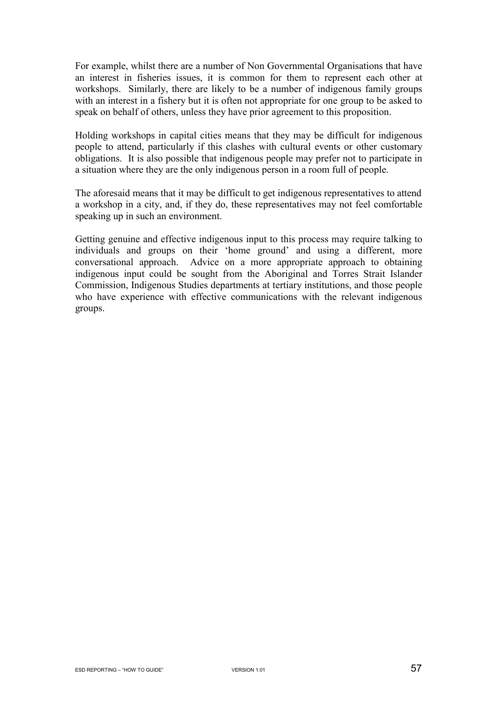For example, whilst there are a number of Non Governmental Organisations that have an interest in fisheries issues, it is common for them to represent each other at workshops. Similarly, there are likely to be a number of indigenous family groups with an interest in a fishery but it is often not appropriate for one group to be asked to speak on behalf of others, unless they have prior agreement to this proposition.

Holding workshops in capital cities means that they may be difficult for indigenous people to attend, particularly if this clashes with cultural events or other customary obligations. It is also possible that indigenous people may prefer not to participate in a situation where they are the only indigenous person in a room full of people.

The aforesaid means that it may be difficult to get indigenous representatives to attend a workshop in a city, and, if they do, these representatives may not feel comfortable speaking up in such an environment.

Getting genuine and effective indigenous input to this process may require talking to individuals and groups on their 'home ground' and using a different, more conversational approach. Advice on a more appropriate approach to obtaining indigenous input could be sought from the Aboriginal and Torres Strait Islander Commission, Indigenous Studies departments at tertiary institutions, and those people who have experience with effective communications with the relevant indigenous groups.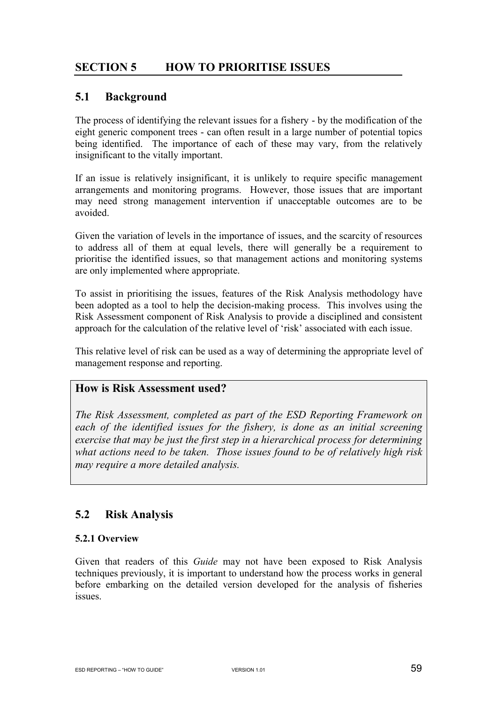# **SECTION 5 HOW TO PRIORITISE ISSUES**

## **5.1 Background**

The process of identifying the relevant issues for a fishery - by the modification of the eight generic component trees - can often result in a large number of potential topics being identified. The importance of each of these may vary, from the relatively insignificant to the vitally important.

If an issue is relatively insignificant, it is unlikely to require specific management arrangements and monitoring programs. However, those issues that are important may need strong management intervention if unacceptable outcomes are to be avoided.

Given the variation of levels in the importance of issues, and the scarcity of resources to address all of them at equal levels, there will generally be a requirement to prioritise the identified issues, so that management actions and monitoring systems are only implemented where appropriate.

To assist in prioritising the issues, features of the Risk Analysis methodology have been adopted as a tool to help the decision-making process. This involves using the Risk Assessment component of Risk Analysis to provide a disciplined and consistent approach for the calculation of the relative level of 'risk' associated with each issue.

This relative level of risk can be used as a way of determining the appropriate level of management response and reporting.

## **How is Risk Assessment used?**

*The Risk Assessment, completed as part of the ESD Reporting Framework on each of the identified issues for the fishery, is done as an initial screening exercise that may be just the first step in a hierarchical process for determining what actions need to be taken. Those issues found to be of relatively high risk may require a more detailed analysis.* 

## **5.2 Risk Analysis**

### **5.2.1 Overview**

Given that readers of this *Guide* may not have been exposed to Risk Analysis techniques previously, it is important to understand how the process works in general before embarking on the detailed version developed for the analysis of fisheries issues.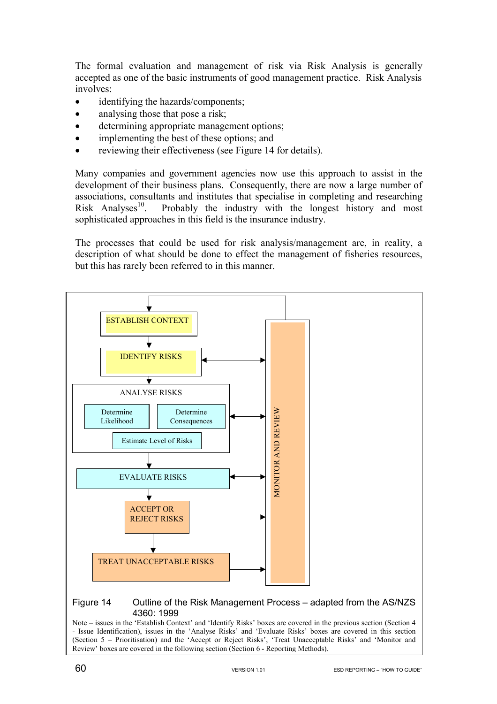The formal evaluation and management of risk via Risk Analysis is generally accepted as one of the basic instruments of good management practice. Risk Analysis involves:

- identifying the hazards/components;
- analysing those that pose a risk;
- determining appropriate management options;
- implementing the best of these options; and
- reviewing their effectiveness (see Figure 14 for details).

Many companies and government agencies now use this approach to assist in the development of their business plans. Consequently, there are now a large number of associations, consultants and institutes that specialise in completing and researching Risk Analyses<sup>10</sup>. Probably the industry with the longest history and most sophisticated approaches in this field is the insurance industry.

The processes that could be used for risk analysis/management are, in reality, a description of what should be done to effect the management of fisheries resources, but this has rarely been referred to in this manner.



Note – issues in the 'Establish Context' and 'Identify Risks' boxes are covered in the previous section (Section 4  $\overline{\phantom{a}}$  Issue Identification), issues in the 'Anglyse Risks' and 'Evaluate Risks' boxes are covered in dection 5 – Prioritisation) and the 'Accept or Reject Risks', 'Treat Unacceptable Risks' and 'Monitor and - Issue Identification), issues in the 'Analyse Risks' and 'Evaluate Risks' boxes are covered in this section Review' boxes are covered in the following section (Section 6 - Reporting Methods).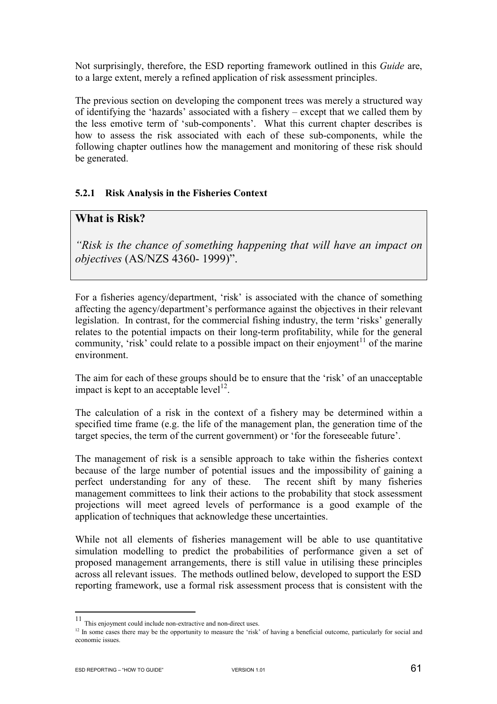Not surprisingly, therefore, the ESD reporting framework outlined in this *Guide* are, to a large extent, merely a refined application of risk assessment principles.

The previous section on developing the component trees was merely a structured way of identifying the 'hazards' associated with a fishery – except that we called them by the less emotive term of 'sub-components'. What this current chapter describes is how to assess the risk associated with each of these sub-components, while the following chapter outlines how the management and monitoring of these risk should be generated.

### **5.2.1 Risk Analysis in the Fisheries Context**

## **What is Risk?**

*"Risk is the chance of something happening that will have an impact on objectives* (AS/NZS 4360- 1999)".

For a fisheries agency/department, 'risk' is associated with the chance of something affecting the agency/department's performance against the objectives in their relevant legislation. In contrast, for the commercial fishing industry, the term 'risks' generally relates to the potential impacts on their long-term profitability, while for the general community, 'risk' could relate to a possible impact on their enjoyment<sup>11</sup> of the marine environment.

The aim for each of these groups should be to ensure that the 'risk' of an unacceptable impact is kept to an acceptable level<sup>12</sup>.

The calculation of a risk in the context of a fishery may be determined within a specified time frame (e.g. the life of the management plan, the generation time of the target species, the term of the current government) or 'for the foreseeable future'.

The management of risk is a sensible approach to take within the fisheries context because of the large number of potential issues and the impossibility of gaining a perfect understanding for any of these. The recent shift by many fisheries management committees to link their actions to the probability that stock assessment projections will meet agreed levels of performance is a good example of the application of techniques that acknowledge these uncertainties.

While not all elements of fisheries management will be able to use quantitative simulation modelling to predict the probabilities of performance given a set of proposed management arrangements, there is still value in utilising these principles across all relevant issues. The methods outlined below, developed to support the ESD reporting framework, use a formal risk assessment process that is consistent with the

 $\overline{a}$ 

<sup>&</sup>lt;sup>11</sup> This enjoyment could include non-extractive and non-direct uses.<br><sup>12</sup> In some cases there may be the opportunity to measure the 'risk' of having a beneficial outcome, particularly for social and economic issues.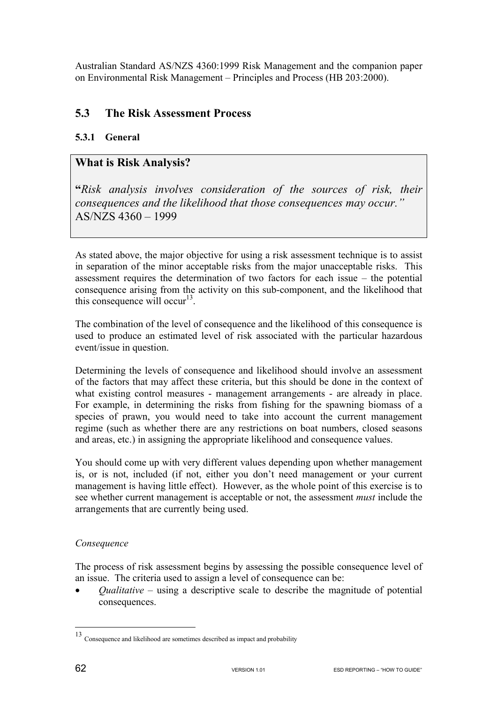Australian Standard AS/NZS 4360:1999 Risk Management and the companion paper on Environmental Risk Management – Principles and Process (HB 203:2000).

# **5.3 The Risk Assessment Process**

## **5.3.1 General**

## **What is Risk Analysis?**

**"***Risk analysis involves consideration of the sources of risk, their consequences and the likelihood that those consequences may occur."*  AS/NZS 4360 – 1999

As stated above, the major objective for using a risk assessment technique is to assist in separation of the minor acceptable risks from the major unacceptable risks. This assessment requires the determination of two factors for each issue – the potential consequence arising from the activity on this sub-component, and the likelihood that this consequence will occur<sup>13</sup>.

The combination of the level of consequence and the likelihood of this consequence is used to produce an estimated level of risk associated with the particular hazardous event/issue in question.

Determining the levels of consequence and likelihood should involve an assessment of the factors that may affect these criteria, but this should be done in the context of what existing control measures - management arrangements - are already in place. For example, in determining the risks from fishing for the spawning biomass of a species of prawn, you would need to take into account the current management regime (such as whether there are any restrictions on boat numbers, closed seasons and areas, etc.) in assigning the appropriate likelihood and consequence values.

You should come up with very different values depending upon whether management is, or is not, included (if not, either you don't need management or your current management is having little effect). However, as the whole point of this exercise is to see whether current management is acceptable or not, the assessment *must* include the arrangements that are currently being used.

## *Consequence*

The process of risk assessment begins by assessing the possible consequence level of an issue. The criteria used to assign a level of consequence can be:

• *Qualitative* – using a descriptive scale to describe the magnitude of potential consequences.

 $\overline{a}$ 

<sup>13</sup> Consequence and likelihood are sometimes described as impact and probability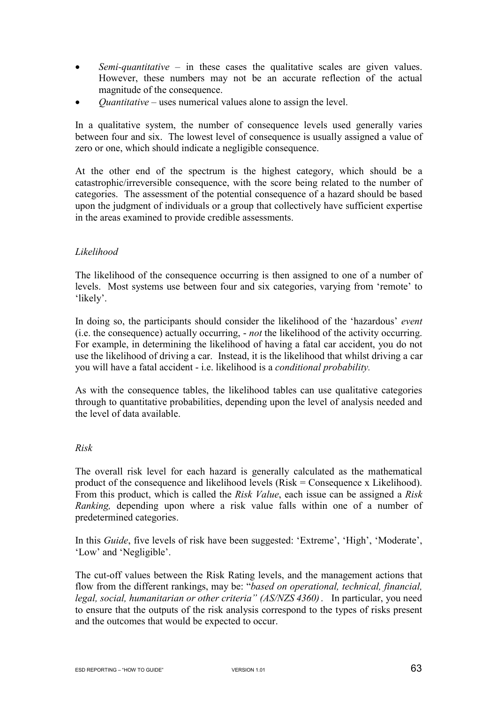- *Semi-quantitative* in these cases the qualitative scales are given values. However, these numbers may not be an accurate reflection of the actual magnitude of the consequence.
- *Quantitative* uses numerical values alone to assign the level.

In a qualitative system, the number of consequence levels used generally varies between four and six. The lowest level of consequence is usually assigned a value of zero or one, which should indicate a negligible consequence.

At the other end of the spectrum is the highest category, which should be a catastrophic/irreversible consequence, with the score being related to the number of categories. The assessment of the potential consequence of a hazard should be based upon the judgment of individuals or a group that collectively have sufficient expertise in the areas examined to provide credible assessments.

### *Likelihood*

The likelihood of the consequence occurring is then assigned to one of a number of levels. Most systems use between four and six categories, varying from 'remote' to 'likely'.

In doing so, the participants should consider the likelihood of the 'hazardous' *event* (i.e. the consequence) actually occurring, - *not* the likelihood of the activity occurring. For example, in determining the likelihood of having a fatal car accident, you do not use the likelihood of driving a car. Instead, it is the likelihood that whilst driving a car you will have a fatal accident - i.e. likelihood is a *conditional probability.*

As with the consequence tables, the likelihood tables can use qualitative categories through to quantitative probabilities, depending upon the level of analysis needed and the level of data available.

### *Risk*

The overall risk level for each hazard is generally calculated as the mathematical product of the consequence and likelihood levels (Risk = Consequence x Likelihood). From this product, which is called the *Risk Value*, each issue can be assigned a *Risk Ranking,* depending upon where a risk value falls within one of a number of predetermined categories.

In this *Guide*, five levels of risk have been suggested: 'Extreme', 'High', 'Moderate', 'Low' and 'Negligible'.

The cut-off values between the Risk Rating levels, and the management actions that flow from the different rankings, may be: "*based on operational, technical, financial, legal, social, humanitarian or other criteria" (AS/NZS 4360)*. In particular, you need to ensure that the outputs of the risk analysis correspond to the types of risks present and the outcomes that would be expected to occur.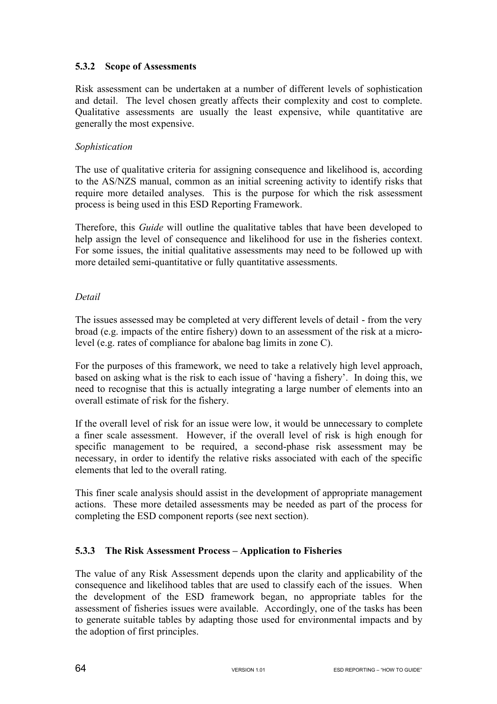## **5.3.2 Scope of Assessments**

Risk assessment can be undertaken at a number of different levels of sophistication and detail. The level chosen greatly affects their complexity and cost to complete. Qualitative assessments are usually the least expensive, while quantitative are generally the most expensive.

### *Sophistication*

The use of qualitative criteria for assigning consequence and likelihood is, according to the AS/NZS manual, common as an initial screening activity to identify risks that require more detailed analyses. This is the purpose for which the risk assessment process is being used in this ESD Reporting Framework.

Therefore, this *Guide* will outline the qualitative tables that have been developed to help assign the level of consequence and likelihood for use in the fisheries context. For some issues, the initial qualitative assessments may need to be followed up with more detailed semi-quantitative or fully quantitative assessments.

### *Detail*

The issues assessed may be completed at very different levels of detail - from the very broad (e.g. impacts of the entire fishery) down to an assessment of the risk at a microlevel (e.g. rates of compliance for abalone bag limits in zone C).

For the purposes of this framework, we need to take a relatively high level approach, based on asking what is the risk to each issue of 'having a fishery'. In doing this, we need to recognise that this is actually integrating a large number of elements into an overall estimate of risk for the fishery.

If the overall level of risk for an issue were low, it would be unnecessary to complete a finer scale assessment. However, if the overall level of risk is high enough for specific management to be required, a second-phase risk assessment may be necessary, in order to identify the relative risks associated with each of the specific elements that led to the overall rating.

This finer scale analysis should assist in the development of appropriate management actions. These more detailed assessments may be needed as part of the process for completing the ESD component reports (see next section).

## **5.3.3 The Risk Assessment Process – Application to Fisheries**

The value of any Risk Assessment depends upon the clarity and applicability of the consequence and likelihood tables that are used to classify each of the issues. When the development of the ESD framework began, no appropriate tables for the assessment of fisheries issues were available. Accordingly, one of the tasks has been to generate suitable tables by adapting those used for environmental impacts and by the adoption of first principles.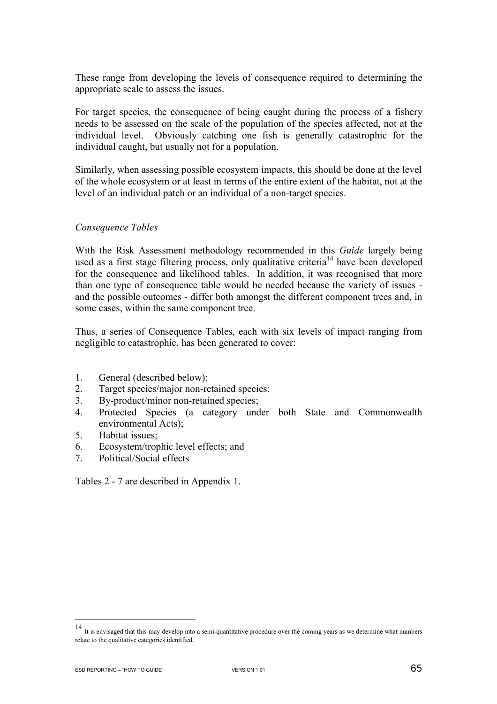These range from developing the levels of consequence required to determining the appropriate scale to assess the issues.

For target species, the consequence of being caught during the process of a fishery needs to be assessed on the scale of the population of the species affected, not at the individual level. Obviously catching one fish is generally catastrophic for the individual caught, but usually not for a population.

Similarly, when assessing possible ecosystem impacts, this should be done at the level of the whole ecosystem or at least in terms of the entire extent of the habitat, not at the level of an individual patch or an individual of a non-target species.

#### *Consequence Tables*

With the Risk Assessment methodology recommended in this *Guide* largely being used as a first stage filtering process, only qualitative criteria<sup>14</sup> have been developed for the consequence and likelihood tables. In addition, it was recognised that more than one type of consequence table would be needed because the variety of issues and the possible outcomes - differ both amongst the different component trees and, in some cases, within the same component tree.

Thus, a series of Consequence Tables, each with six levels of impact ranging from negligible to catastrophic, has been generated to cover:

- 1. General (described below);
- 2. Target species/major non-retained species;
- 3. By-product/minor non-retained species;
- 4. Protected Species (a category under both State and Commonwealth environmental Acts);
- 5. Habitat issues;
- 6. Ecosystem/trophic level effects; and
- 7. Political/Social effects

Tables 2 - 7 are described in Appendix 1.

 $\overline{a}$ 

<sup>14</sup> It is envisaged that this may develop into a semi-quantitative procedure over the coming years as we determine what numbers relate to the qualitative categories identified.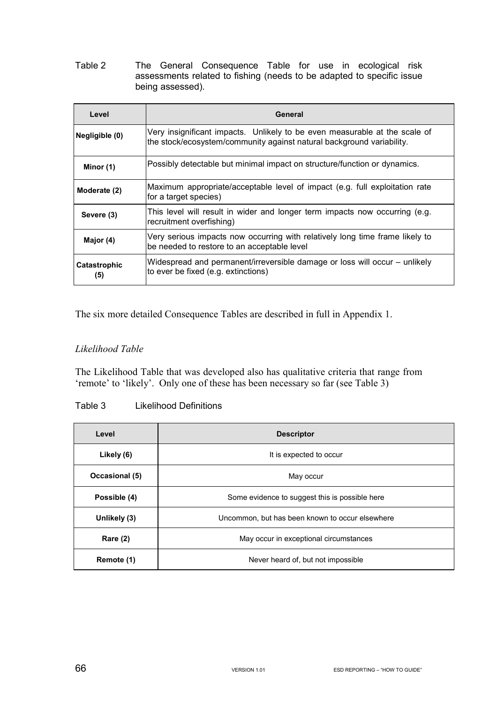Table 2 The General Consequence Table for use in ecological risk assessments related to fishing (needs to be adapted to specific issue being assessed).

| Level               | General                                                                                                                                             |  |  |  |  |  |
|---------------------|-----------------------------------------------------------------------------------------------------------------------------------------------------|--|--|--|--|--|
| Negligible (0)      | Very insignificant impacts. Unlikely to be even measurable at the scale of<br>the stock/ecosystem/community against natural background variability. |  |  |  |  |  |
| Minor (1)           | Possibly detectable but minimal impact on structure/function or dynamics.                                                                           |  |  |  |  |  |
| Moderate (2)        | Maximum appropriate/acceptable level of impact (e.g. full exploitation rate<br>for a target species)                                                |  |  |  |  |  |
| Severe (3)          | This level will result in wider and longer term impacts now occurring (e.g.<br>recruitment overfishing)                                             |  |  |  |  |  |
| Major (4)           | Very serious impacts now occurring with relatively long time frame likely to<br>be needed to restore to an acceptable level                         |  |  |  |  |  |
| Catastrophic<br>(5) | Widespread and permanent/irreversible damage or loss will occur – unlikely<br>to ever be fixed (e.g. extinctions)                                   |  |  |  |  |  |

The six more detailed Consequence Tables are described in full in Appendix 1.

## *Likelihood Table*

The Likelihood Table that was developed also has qualitative criteria that range from 'remote' to 'likely'. Only one of these has been necessary so far (see Table 3)

### Table 3 Likelihood Definitions

| Level           | <b>Descriptor</b>                               |  |  |  |
|-----------------|-------------------------------------------------|--|--|--|
| Likely (6)      | It is expected to occur                         |  |  |  |
| Occasional (5)  | May occur                                       |  |  |  |
| Possible (4)    | Some evidence to suggest this is possible here  |  |  |  |
| Unlikely (3)    | Uncommon, but has been known to occur elsewhere |  |  |  |
| <b>Rare (2)</b> | May occur in exceptional circumstances          |  |  |  |
| Remote (1)      | Never heard of, but not impossible              |  |  |  |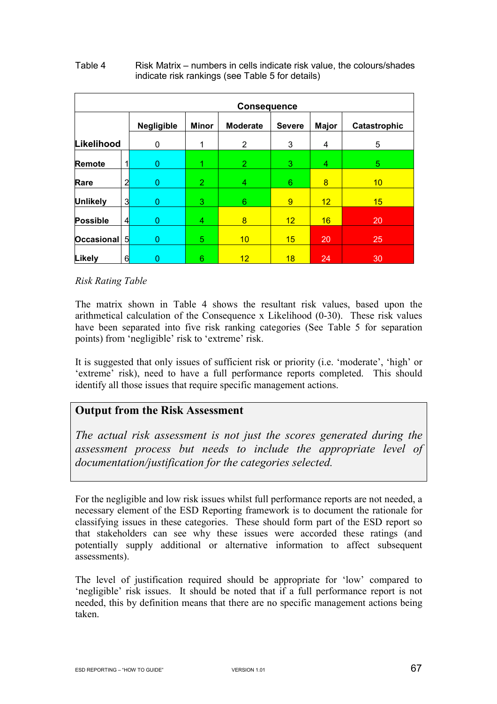| <b>Consequence</b> |   |            |                |                 |               |              |              |
|--------------------|---|------------|----------------|-----------------|---------------|--------------|--------------|
|                    |   | Negligible | <b>Minor</b>   | <b>Moderate</b> | <b>Severe</b> | <b>Major</b> | Catastrophic |
| Likelihood         |   | 0          | 1              | $\overline{2}$  | 3             | 4            | 5            |
| <b>Remote</b>      |   | 0          |                | $\overline{2}$  | 3             | 4            | $5^{\circ}$  |
| Rare               | 2 | 0          | $\overline{2}$ | 4               | 6             | 8            | 10           |
| <b>Unlikely</b>    | 3 | 0          | 3              | 6               | 9             | 12           | 15           |
| <b>Possible</b>    | 4 | 0          | 4              | 8               | 12            | 16           | 20           |
| <b>Occasional</b>  | 5 | 0          | 5              | 10              | 15            | 20           | 25           |
| Likely             | 6 | 0          | 6              | 12              | 18            | 24           | 30           |

#### Table 4 Risk Matrix – numbers in cells indicate risk value, the colours/shades indicate risk rankings (see Table 5 for details)

## *Risk Rating Table*

The matrix shown in Table 4 shows the resultant risk values, based upon the arithmetical calculation of the Consequence x Likelihood (0-30). These risk values have been separated into five risk ranking categories (See Table 5 for separation points) from 'negligible' risk to 'extreme' risk.

It is suggested that only issues of sufficient risk or priority (i.e. 'moderate', 'high' or 'extreme' risk), need to have a full performance reports completed. This should identify all those issues that require specific management actions.

## **Output from the Risk Assessment**

*The actual risk assessment is not just the scores generated during the assessment process but needs to include the appropriate level of documentation/justification for the categories selected.* 

For the negligible and low risk issues whilst full performance reports are not needed, a necessary element of the ESD Reporting framework is to document the rationale for classifying issues in these categories. These should form part of the ESD report so that stakeholders can see why these issues were accorded these ratings (and potentially supply additional or alternative information to affect subsequent assessments).

The level of justification required should be appropriate for 'low' compared to 'negligible' risk issues. It should be noted that if a full performance report is not needed, this by definition means that there are no specific management actions being taken.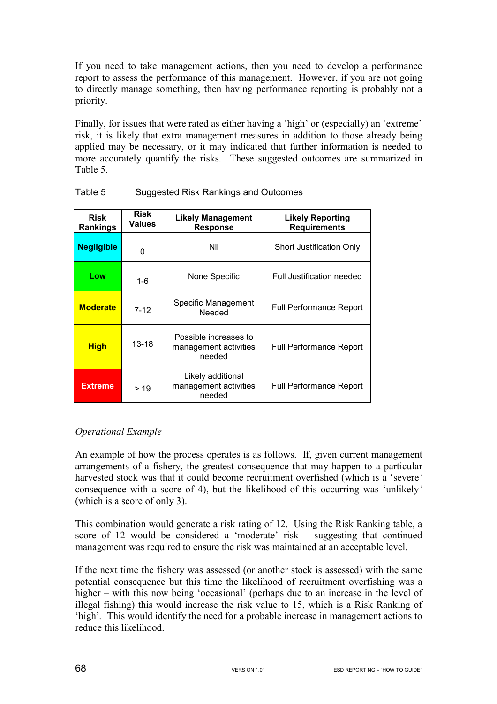If you need to take management actions, then you need to develop a performance report to assess the performance of this management. However, if you are not going to directly manage something, then having performance reporting is probably not a priority.

Finally, for issues that were rated as either having a 'high' or (especially) an 'extreme' risk, it is likely that extra management measures in addition to those already being applied may be necessary, or it may indicated that further information is needed to more accurately quantify the risks. These suggested outcomes are summarized in Table 5.

| <b>Risk</b><br><b>Rankings</b> | Risk<br><b>Values</b> | <b>Likely Management</b><br><b>Response</b>              | <b>Likely Reporting</b><br><b>Requirements</b> |
|--------------------------------|-----------------------|----------------------------------------------------------|------------------------------------------------|
| <b>Negligible</b>              | 0                     | Nil                                                      | Short Justification Only                       |
| Low                            | 1-6                   | None Specific                                            | Full Justification needed                      |
| <b>Moderate</b>                | $7 - 12$              | Specific Management<br>Needed                            | <b>Full Performance Report</b>                 |
| <u>High</u>                    | $13 - 18$             | Possible increases to<br>management activities<br>needed | <b>Full Performance Report</b>                 |
| <b>Extreme</b>                 | > 19                  | Likely additional<br>management activities<br>needed     | <b>Full Performance Report</b>                 |

Table 5 Suggested Risk Rankings and Outcomes

## *Operational Example*

An example of how the process operates is as follows. If, given current management arrangements of a fishery, the greatest consequence that may happen to a particular harvested stock was that it could become recruitment overfished (which is a 'severe*'* consequence with a score of 4), but the likelihood of this occurring was 'unlikely*'* (which is a score of only 3).

This combination would generate a risk rating of 12. Using the Risk Ranking table, a score of 12 would be considered a 'moderate' risk – suggesting that continued management was required to ensure the risk was maintained at an acceptable level.

If the next time the fishery was assessed (or another stock is assessed) with the same potential consequence but this time the likelihood of recruitment overfishing was a higher – with this now being 'occasional' (perhaps due to an increase in the level of illegal fishing) this would increase the risk value to 15, which is a Risk Ranking of 'high'*.* This would identify the need for a probable increase in management actions to reduce this likelihood.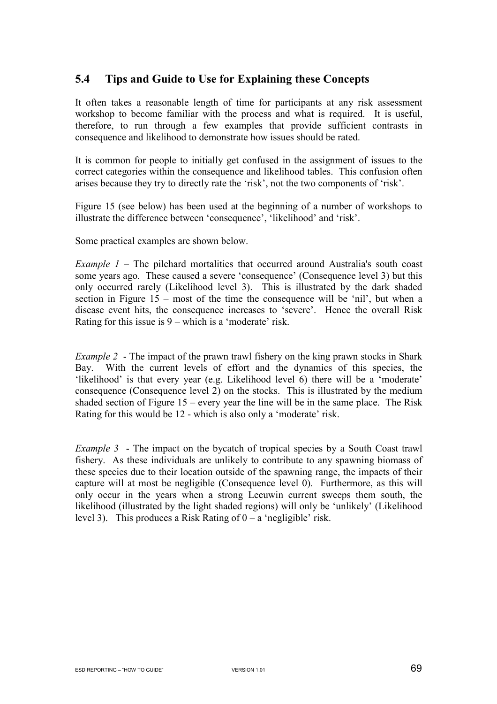# **5.4 Tips and Guide to Use for Explaining these Concepts**

It often takes a reasonable length of time for participants at any risk assessment workshop to become familiar with the process and what is required. It is useful, therefore, to run through a few examples that provide sufficient contrasts in consequence and likelihood to demonstrate how issues should be rated.

It is common for people to initially get confused in the assignment of issues to the correct categories within the consequence and likelihood tables. This confusion often arises because they try to directly rate the 'risk', not the two components of 'risk'.

Figure 15 (see below) has been used at the beginning of a number of workshops to illustrate the difference between 'consequence', 'likelihood' and 'risk'.

Some practical examples are shown below.

*Example 1* – The pilchard mortalities that occurred around Australia's south coast some years ago. These caused a severe 'consequence' (Consequence level 3) but this only occurred rarely (Likelihood level 3). This is illustrated by the dark shaded section in Figure 15 – most of the time the consequence will be 'nil', but when a disease event hits, the consequence increases to 'severe'. Hence the overall Risk Rating for this issue is  $9$  – which is a 'moderate' risk.

*Example 2* - The impact of the prawn trawl fishery on the king prawn stocks in Shark Bay. With the current levels of effort and the dynamics of this species, the 'likelihood' is that every year (e.g. Likelihood level 6) there will be a 'moderate' consequence (Consequence level 2) on the stocks. This is illustrated by the medium shaded section of Figure 15 – every year the line will be in the same place. The Risk Rating for this would be 12 - which is also only a 'moderate' risk.

*Example 3* - The impact on the bycatch of tropical species by a South Coast trawl fishery. As these individuals are unlikely to contribute to any spawning biomass of these species due to their location outside of the spawning range, the impacts of their capture will at most be negligible (Consequence level 0). Furthermore, as this will only occur in the years when a strong Leeuwin current sweeps them south, the likelihood (illustrated by the light shaded regions) will only be 'unlikely' (Likelihood level 3). This produces a Risk Rating of  $0 - a$  'negligible' risk.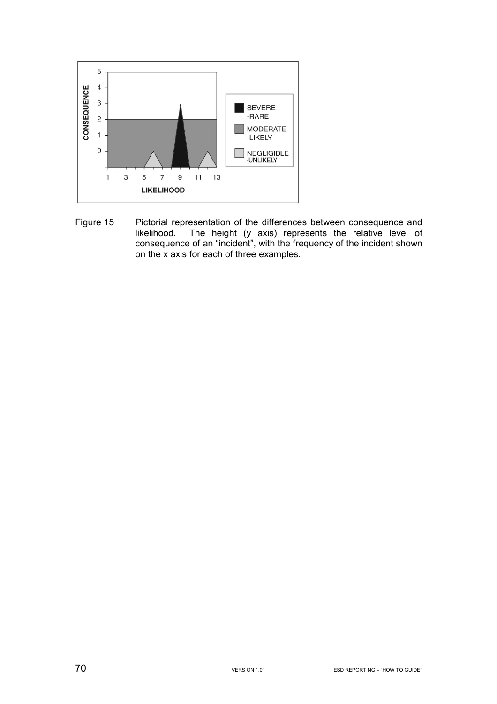

Figure 15 Pictorial representation of the differences between consequence and likelihood. The height (y axis) represents the relative level of consequence of an "incident", with the frequency of the incident shown on the x axis for each of three examples.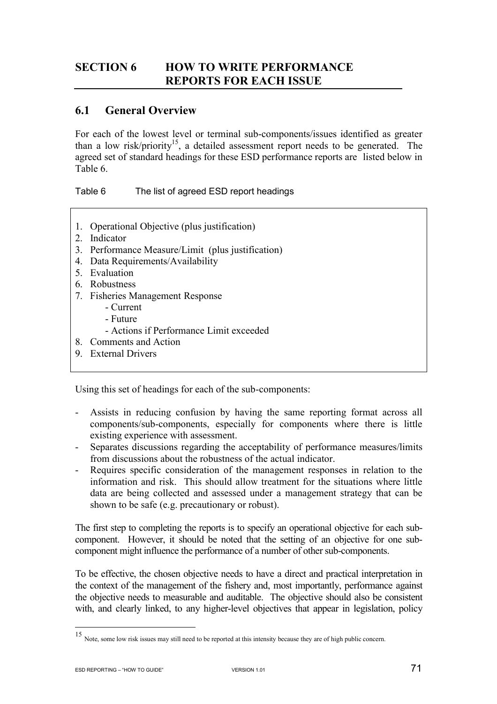# **SECTION 6 HOW TO WRITE PERFORMANCE REPORTS FOR EACH ISSUE**

# **6.1 General Overview**

For each of the lowest level or terminal sub-components/issues identified as greater than a low risk/priority<sup>15</sup>, a detailed assessment report needs to be generated. The agreed set of standard headings for these ESD performance reports are listed below in Table 6.

Table 6 The list of agreed ESD report headings

- 1. Operational Objective (plus justification)
- 2. Indicator
- 3. Performance Measure/Limit (plus justification)
- 4. Data Requirements/Availability
- 5. Evaluation
- 6. Robustness
- 7. Fisheries Management Response
	- Current
	- Future
	- Actions if Performance Limit exceeded
- 8. Comments and Action
- 9. External Drivers

Using this set of headings for each of the sub-components:

- Assists in reducing confusion by having the same reporting format across all components/sub-components, especially for components where there is little existing experience with assessment.
- Separates discussions regarding the acceptability of performance measures/limits from discussions about the robustness of the actual indicator.
- Requires specific consideration of the management responses in relation to the information and risk. This should allow treatment for the situations where little data are being collected and assessed under a management strategy that can be shown to be safe (e.g. precautionary or robust).

The first step to completing the reports is to specify an operational objective for each subcomponent. However, it should be noted that the setting of an objective for one subcomponent might influence the performance of a number of other sub-components.

To be effective, the chosen objective needs to have a direct and practical interpretation in the context of the management of the fishery and, most importantly, performance against the objective needs to measurable and auditable. The objective should also be consistent with, and clearly linked, to any higher-level objectives that appear in legislation, policy

 $\overline{a}$ 

<sup>15</sup> Note, some low risk issues may still need to be reported at this intensity because they are of high public concern.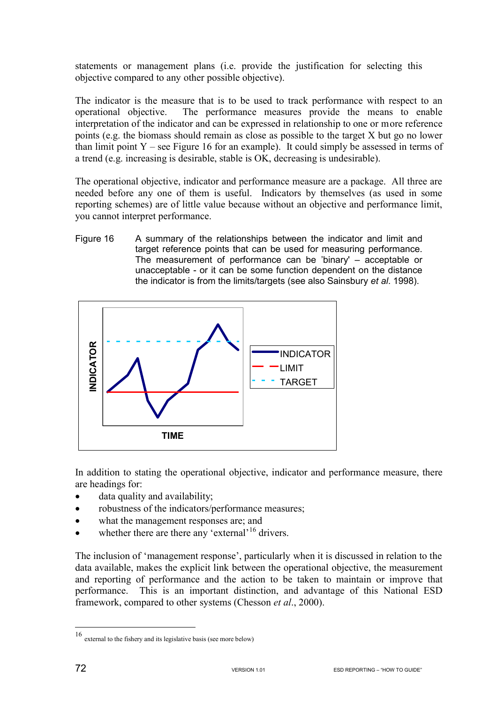statements or management plans (i.e. provide the justification for selecting this objective compared to any other possible objective).

The indicator is the measure that is to be used to track performance with respect to an operational objective. The performance measures provide the means to enable interpretation of the indicator and can be expressed in relationship to one or more reference points (e.g. the biomass should remain as close as possible to the target X but go no lower than limit point  $Y$  – see Figure 16 for an example). It could simply be assessed in terms of a trend (e.g. increasing is desirable, stable is OK, decreasing is undesirable).

The operational objective, indicator and performance measure are a package. All three are needed before any one of them is useful. Indicators by themselves (as used in some reporting schemes) are of little value because without an objective and performance limit, you cannot interpret performance.

Figure 16 A summary of the relationships between the indicator and limit and target reference points that can be used for measuring performance. The measurement of performance can be 'binary' – acceptable or unacceptable - or it can be some function dependent on the distance the indicator is from the limits/targets (see also Sainsbury *et al*. 1998).



In addition to stating the operational objective, indicator and performance measure, there are headings for:

- data quality and availability;
- robustness of the indicators/performance measures:
- what the management responses are; and
- whether there are there any 'external'<sup>16</sup> drivers.

The inclusion of 'management response', particularly when it is discussed in relation to the data available, makes the explicit link between the operational objective, the measurement and reporting of performance and the action to be taken to maintain or improve that performance. This is an important distinction, and advantage of this National ESD framework, compared to other systems (Chesson *et al*., 2000).

 $\overline{a}$ 

<sup>16</sup> external to the fishery and its legislative basis (see more below)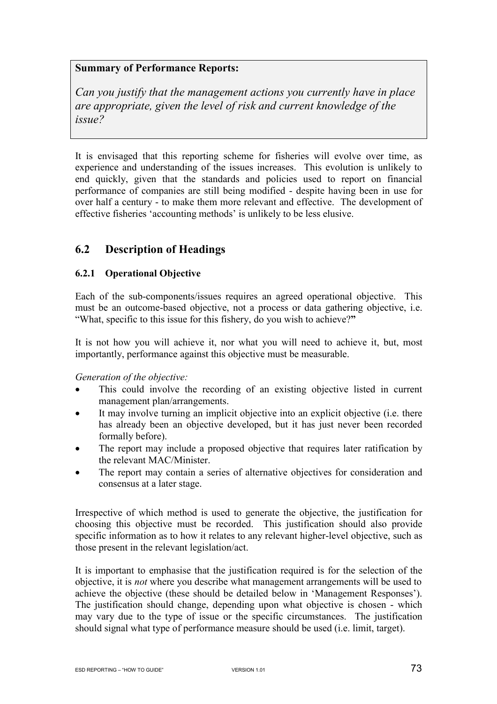## **Summary of Performance Reports:**

*Can you justify that the management actions you currently have in place are appropriate, given the level of risk and current knowledge of the issue?* 

It is envisaged that this reporting scheme for fisheries will evolve over time, as experience and understanding of the issues increases. This evolution is unlikely to end quickly, given that the standards and policies used to report on financial performance of companies are still being modified - despite having been in use for over half a century - to make them more relevant and effective. The development of effective fisheries 'accounting methods' is unlikely to be less elusive.

# **6.2 Description of Headings**

### **6.2.1 Operational Objective**

Each of the sub-components/issues requires an agreed operational objective. This must be an outcome-based objective, not a process or data gathering objective, i.e. "What, specific to this issue for this fishery, do you wish to achieve?**"** 

It is not how you will achieve it, nor what you will need to achieve it, but, most importantly, performance against this objective must be measurable.

#### *Generation of the objective:*

- This could involve the recording of an existing objective listed in current management plan/arrangements.
- It may involve turning an implicit objective into an explicit objective (i.e. there has already been an objective developed, but it has just never been recorded formally before).
- The report may include a proposed objective that requires later ratification by the relevant MAC/Minister.
- The report may contain a series of alternative objectives for consideration and consensus at a later stage.

Irrespective of which method is used to generate the objective, the justification for choosing this objective must be recorded. This justification should also provide specific information as to how it relates to any relevant higher-level objective, such as those present in the relevant legislation/act.

It is important to emphasise that the justification required is for the selection of the objective, it is *not* where you describe what management arrangements will be used to achieve the objective (these should be detailed below in 'Management Responses'). The justification should change, depending upon what objective is chosen - which may vary due to the type of issue or the specific circumstances. The justification should signal what type of performance measure should be used (i.e. limit, target).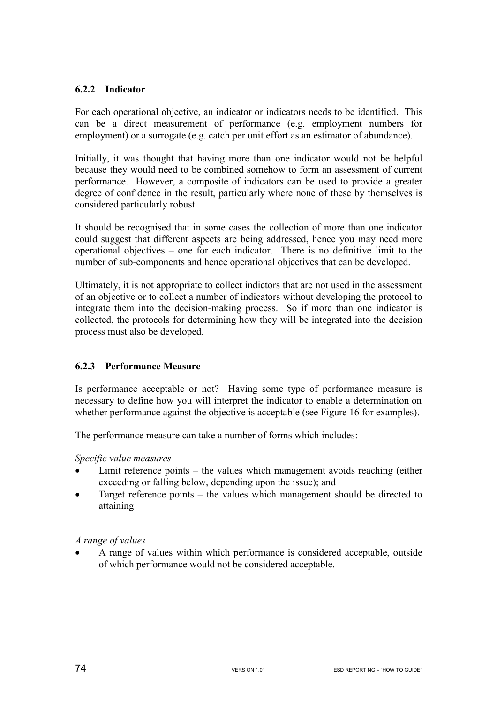## **6.2.2 Indicator**

For each operational objective, an indicator or indicators needs to be identified. This can be a direct measurement of performance (e.g. employment numbers for employment) or a surrogate (e.g. catch per unit effort as an estimator of abundance).

Initially, it was thought that having more than one indicator would not be helpful because they would need to be combined somehow to form an assessment of current performance. However, a composite of indicators can be used to provide a greater degree of confidence in the result, particularly where none of these by themselves is considered particularly robust.

It should be recognised that in some cases the collection of more than one indicator could suggest that different aspects are being addressed, hence you may need more operational objectives – one for each indicator. There is no definitive limit to the number of sub-components and hence operational objectives that can be developed.

Ultimately, it is not appropriate to collect indictors that are not used in the assessment of an objective or to collect a number of indicators without developing the protocol to integrate them into the decision-making process. So if more than one indicator is collected, the protocols for determining how they will be integrated into the decision process must also be developed.

# **6.2.3 Performance Measure**

Is performance acceptable or not? Having some type of performance measure is necessary to define how you will interpret the indicator to enable a determination on whether performance against the objective is acceptable (see Figure 16 for examples).

The performance measure can take a number of forms which includes:

#### *Specific value measures*

- Limit reference points the values which management avoids reaching (either exceeding or falling below, depending upon the issue); and
- Target reference points the values which management should be directed to attaining

## *A range of values*

• A range of values within which performance is considered acceptable, outside of which performance would not be considered acceptable.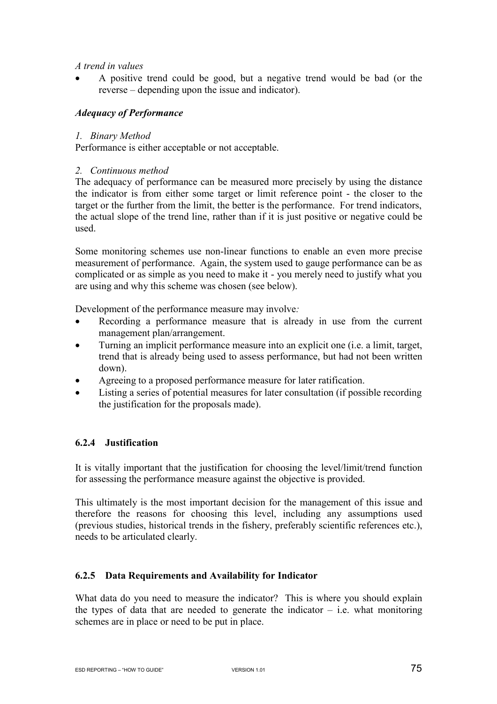#### *A trend in values*

• A positive trend could be good, but a negative trend would be bad (or the reverse – depending upon the issue and indicator).

### *Adequacy of Performance*

#### *1. Binary Method*

Performance is either acceptable or not acceptable.

#### *2. Continuous method*

The adequacy of performance can be measured more precisely by using the distance the indicator is from either some target or limit reference point - the closer to the target or the further from the limit, the better is the performance. For trend indicators, the actual slope of the trend line, rather than if it is just positive or negative could be used.

Some monitoring schemes use non-linear functions to enable an even more precise measurement of performance. Again, the system used to gauge performance can be as complicated or as simple as you need to make it - you merely need to justify what you are using and why this scheme was chosen (see below).

Development of the performance measure may involve*:* 

- Recording a performance measure that is already in use from the current management plan/arrangement.
- Turning an implicit performance measure into an explicit one (i.e. a limit, target, trend that is already being used to assess performance, but had not been written down).
- Agreeing to a proposed performance measure for later ratification.
- Listing a series of potential measures for later consultation (if possible recording the justification for the proposals made).

#### **6.2.4 Justification**

It is vitally important that the justification for choosing the level/limit/trend function for assessing the performance measure against the objective is provided.

This ultimately is the most important decision for the management of this issue and therefore the reasons for choosing this level, including any assumptions used (previous studies, historical trends in the fishery, preferably scientific references etc.), needs to be articulated clearly.

#### **6.2.5 Data Requirements and Availability for Indicator**

What data do you need to measure the indicator? This is where you should explain the types of data that are needed to generate the indicator  $-$  i.e. what monitoring schemes are in place or need to be put in place.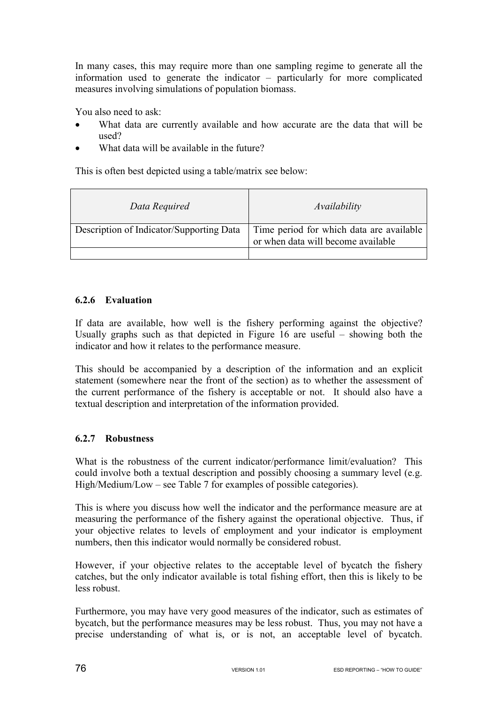In many cases, this may require more than one sampling regime to generate all the information used to generate the indicator – particularly for more complicated measures involving simulations of population biomass.

You also need to ask:

- What data are currently available and how accurate are the data that will be used?
- What data will be available in the future?

This is often best depicted using a table/matrix see below:

| Data Required                            | Availability                                                                   |
|------------------------------------------|--------------------------------------------------------------------------------|
| Description of Indicator/Supporting Data | Time period for which data are available<br>or when data will become available |
|                                          |                                                                                |

## **6.2.6 Evaluation**

If data are available, how well is the fishery performing against the objective? Usually graphs such as that depicted in Figure 16 are useful – showing both the indicator and how it relates to the performance measure.

This should be accompanied by a description of the information and an explicit statement (somewhere near the front of the section) as to whether the assessment of the current performance of the fishery is acceptable or not. It should also have a textual description and interpretation of the information provided.

## **6.2.7 Robustness**

What is the robustness of the current indicator/performance limit/evaluation? This could involve both a textual description and possibly choosing a summary level (e.g. High/Medium/Low – see Table 7 for examples of possible categories).

This is where you discuss how well the indicator and the performance measure are at measuring the performance of the fishery against the operational objective. Thus, if your objective relates to levels of employment and your indicator is employment numbers, then this indicator would normally be considered robust.

However, if your objective relates to the acceptable level of bycatch the fishery catches, but the only indicator available is total fishing effort, then this is likely to be less robust.

Furthermore, you may have very good measures of the indicator, such as estimates of bycatch, but the performance measures may be less robust. Thus, you may not have a precise understanding of what is, or is not, an acceptable level of bycatch.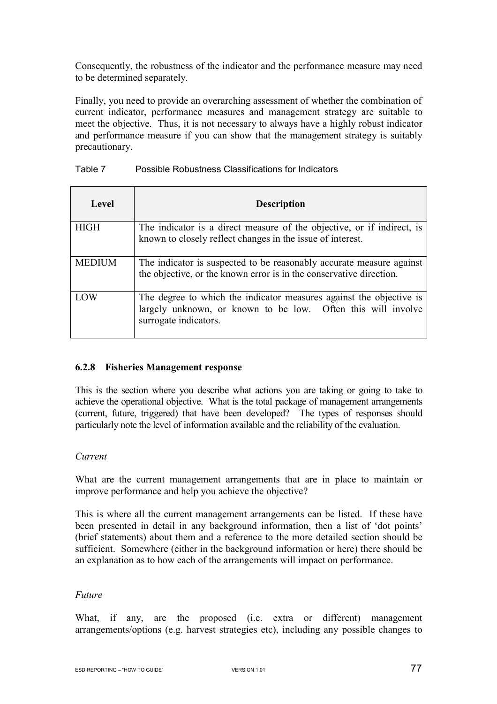Consequently, the robustness of the indicator and the performance measure may need to be determined separately.

Finally, you need to provide an overarching assessment of whether the combination of current indicator, performance measures and management strategy are suitable to meet the objective. Thus, it is not necessary to always have a highly robust indicator and performance measure if you can show that the management strategy is suitably precautionary.

| Table 7 | Possible Robustness Classifications for Indicators |  |
|---------|----------------------------------------------------|--|
|         |                                                    |  |

| Level         | <b>Description</b>                                                                                                                                           |
|---------------|--------------------------------------------------------------------------------------------------------------------------------------------------------------|
| <b>HIGH</b>   | The indicator is a direct measure of the objective, or if indirect, is<br>known to closely reflect changes in the issue of interest.                         |
| <b>MEDIUM</b> | The indicator is suspected to be reasonably accurate measure against<br>the objective, or the known error is in the conservative direction.                  |
| LOW           | The degree to which the indicator measures against the objective is<br>largely unknown, or known to be low. Often this will involve<br>surrogate indicators. |

## **6.2.8 Fisheries Management response**

This is the section where you describe what actions you are taking or going to take to achieve the operational objective. What is the total package of management arrangements (current, future, triggered) that have been developed? The types of responses should particularly note the level of information available and the reliability of the evaluation.

#### *Current*

What are the current management arrangements that are in place to maintain or improve performance and help you achieve the objective?

This is where all the current management arrangements can be listed. If these have been presented in detail in any background information, then a list of 'dot points' (brief statements) about them and a reference to the more detailed section should be sufficient. Somewhere (either in the background information or here) there should be an explanation as to how each of the arrangements will impact on performance.

#### *Future*

What, if any, are the proposed (i.e. extra or different) management arrangements/options (e.g. harvest strategies etc), including any possible changes to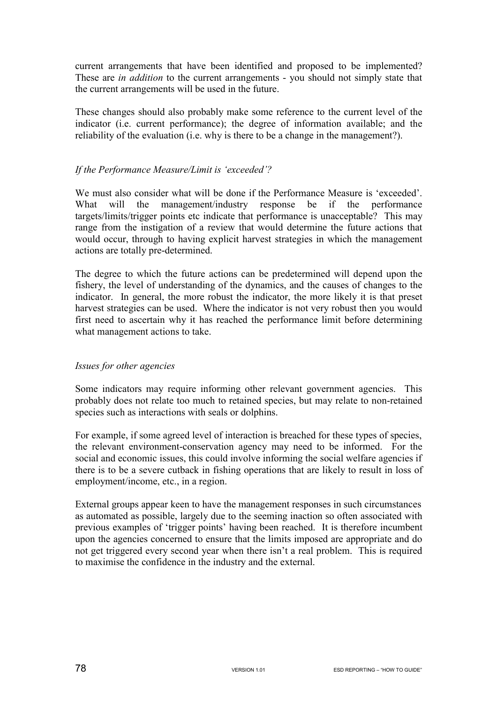current arrangements that have been identified and proposed to be implemented? These are *in addition* to the current arrangements - you should not simply state that the current arrangements will be used in the future.

These changes should also probably make some reference to the current level of the indicator (i.e. current performance); the degree of information available; and the reliability of the evaluation (i.e. why is there to be a change in the management?).

### *If the Performance Measure/Limit is 'exceeded'?*

We must also consider what will be done if the Performance Measure is 'exceeded'. What will the management/industry response be if the performance targets/limits/trigger points etc indicate that performance is unacceptable? This may range from the instigation of a review that would determine the future actions that would occur, through to having explicit harvest strategies in which the management actions are totally pre-determined.

The degree to which the future actions can be predetermined will depend upon the fishery, the level of understanding of the dynamics, and the causes of changes to the indicator. In general, the more robust the indicator, the more likely it is that preset harvest strategies can be used. Where the indicator is not very robust then you would first need to ascertain why it has reached the performance limit before determining what management actions to take.

#### *Issues for other agencies*

Some indicators may require informing other relevant government agencies. This probably does not relate too much to retained species, but may relate to non-retained species such as interactions with seals or dolphins.

For example, if some agreed level of interaction is breached for these types of species, the relevant environment-conservation agency may need to be informed. For the social and economic issues, this could involve informing the social welfare agencies if there is to be a severe cutback in fishing operations that are likely to result in loss of employment/income, etc., in a region.

External groups appear keen to have the management responses in such circumstances as automated as possible, largely due to the seeming inaction so often associated with previous examples of 'trigger points' having been reached. It is therefore incumbent upon the agencies concerned to ensure that the limits imposed are appropriate and do not get triggered every second year when there isn't a real problem. This is required to maximise the confidence in the industry and the external.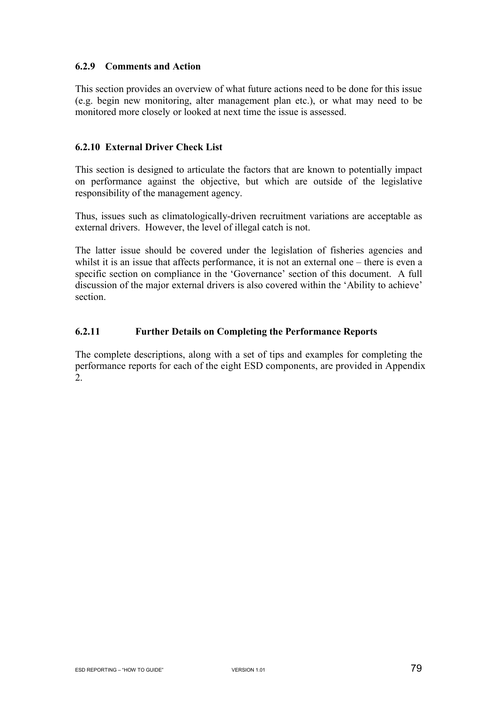### **6.2.9 Comments and Action**

This section provides an overview of what future actions need to be done for this issue (e.g. begin new monitoring, alter management plan etc.), or what may need to be monitored more closely or looked at next time the issue is assessed.

#### **6.2.10 External Driver Check List**

This section is designed to articulate the factors that are known to potentially impact on performance against the objective, but which are outside of the legislative responsibility of the management agency.

Thus, issues such as climatologically-driven recruitment variations are acceptable as external drivers. However, the level of illegal catch is not.

The latter issue should be covered under the legislation of fisheries agencies and whilst it is an issue that affects performance, it is not an external one – there is even a specific section on compliance in the 'Governance' section of this document. A full discussion of the major external drivers is also covered within the 'Ability to achieve' section.

### **6.2.11 Further Details on Completing the Performance Reports**

The complete descriptions, along with a set of tips and examples for completing the performance reports for each of the eight ESD components, are provided in Appendix 2.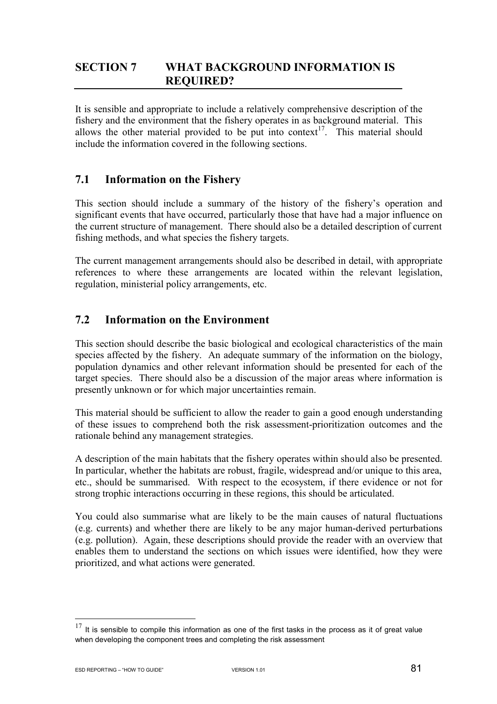# **SECTION 7 WHAT BACKGROUND INFORMATION IS REQUIRED?**

It is sensible and appropriate to include a relatively comprehensive description of the fishery and the environment that the fishery operates in as background material. This allows the other material provided to be put into context<sup>17</sup>. This material should include the information covered in the following sections.

# **7.1 Information on the Fishery**

This section should include a summary of the history of the fishery's operation and significant events that have occurred, particularly those that have had a major influence on the current structure of management. There should also be a detailed description of current fishing methods, and what species the fishery targets.

The current management arrangements should also be described in detail, with appropriate references to where these arrangements are located within the relevant legislation, regulation, ministerial policy arrangements, etc.

# **7.2 Information on the Environment**

This section should describe the basic biological and ecological characteristics of the main species affected by the fishery. An adequate summary of the information on the biology, population dynamics and other relevant information should be presented for each of the target species. There should also be a discussion of the major areas where information is presently unknown or for which major uncertainties remain.

This material should be sufficient to allow the reader to gain a good enough understanding of these issues to comprehend both the risk assessment-prioritization outcomes and the rationale behind any management strategies.

A description of the main habitats that the fishery operates within should also be presented. In particular, whether the habitats are robust, fragile, widespread and/or unique to this area, etc., should be summarised. With respect to the ecosystem, if there evidence or not for strong trophic interactions occurring in these regions, this should be articulated.

You could also summarise what are likely to be the main causes of natural fluctuations (e.g. currents) and whether there are likely to be any major human-derived perturbations (e.g. pollution). Again, these descriptions should provide the reader with an overview that enables them to understand the sections on which issues were identified, how they were prioritized, and what actions were generated.

 $\overline{a}$ 

 $17$  It is sensible to compile this information as one of the first tasks in the process as it of great value when developing the component trees and completing the risk assessment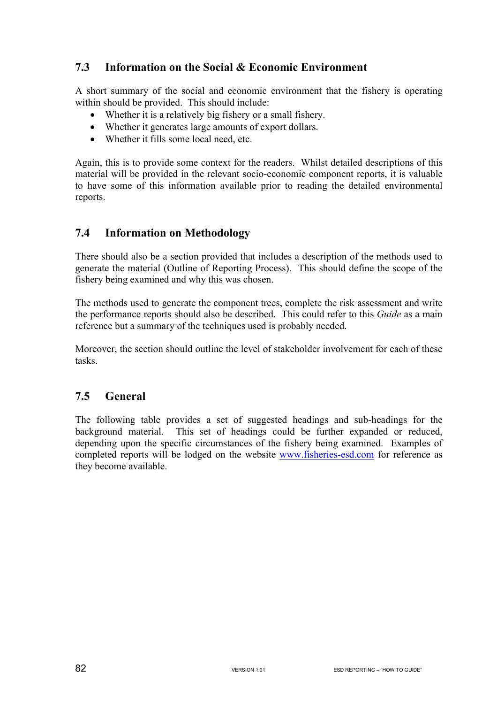# **7.3 Information on the Social & Economic Environment**

A short summary of the social and economic environment that the fishery is operating within should be provided. This should include:

- Whether it is a relatively big fishery or a small fishery.
- Whether it generates large amounts of export dollars.
- Whether it fills some local need, etc.

Again, this is to provide some context for the readers. Whilst detailed descriptions of this material will be provided in the relevant socio-economic component reports, it is valuable to have some of this information available prior to reading the detailed environmental reports.

# **7.4 Information on Methodology**

There should also be a section provided that includes a description of the methods used to generate the material (Outline of Reporting Process). This should define the scope of the fishery being examined and why this was chosen.

The methods used to generate the component trees, complete the risk assessment and write the performance reports should also be described. This could refer to this *Guide* as a main reference but a summary of the techniques used is probably needed.

Moreover, the section should outline the level of stakeholder involvement for each of these tasks.

# **7.5 General**

The following table provides a set of suggested headings and sub-headings for the background material. This set of headings could be further expanded or reduced, depending upon the specific circumstances of the fishery being examined. Examples of completed reports will be lodged on the website www.fisheries-esd.com for reference as they become available.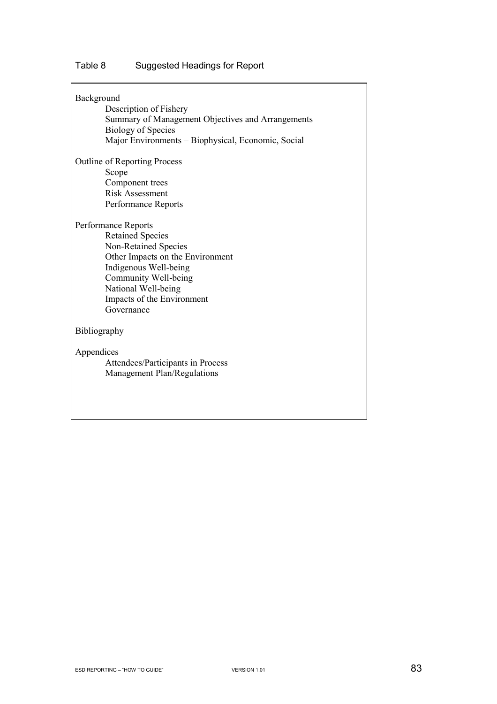# Table 8 Suggested Headings for Report

| Background | Description of Fishery<br>Summary of Management Objectives and Arrangements<br><b>Biology of Species</b><br>Major Environments - Biophysical, Economic, Social                                                                 |
|------------|--------------------------------------------------------------------------------------------------------------------------------------------------------------------------------------------------------------------------------|
|            | <b>Outline of Reporting Process</b><br>Scope<br>Component trees<br><b>Risk Assessment</b><br>Performance Reports                                                                                                               |
|            | Performance Reports<br><b>Retained Species</b><br>Non-Retained Species<br>Other Impacts on the Environment<br>Indigenous Well-being<br>Community Well-being<br>National Well-being<br>Impacts of the Environment<br>Governance |
|            | Bibliography                                                                                                                                                                                                                   |
| Appendices | Attendees/Participants in Process<br>Management Plan/Regulations                                                                                                                                                               |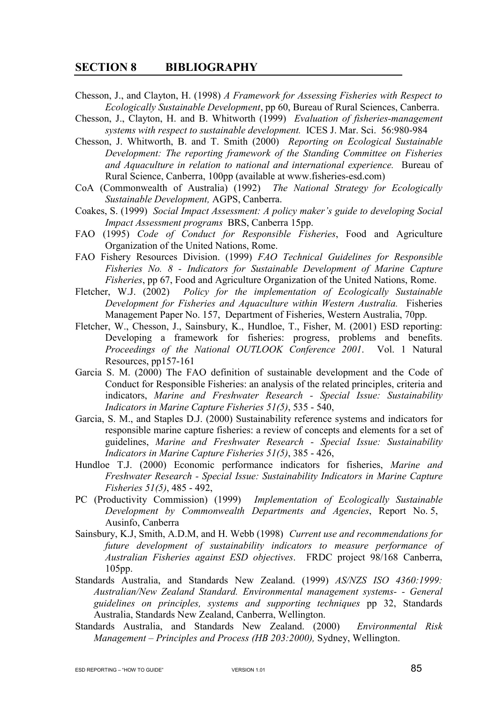#### **SECTION 8 BIBLIOGRAPHY**

- Chesson, J., and Clayton, H. (1998) *A Framework for Assessing Fisheries with Respect to Ecologically Sustainable Development*, pp 60, Bureau of Rural Sciences, Canberra.
- Chesson, J., Clayton, H. and B. Whitworth (1999) *Evaluation of fisheries-management systems with respect to sustainable development.* ICES J. Mar. Sci. 56:980-984
- Chesson, J. Whitworth, B. and T. Smith (2000) *Reporting on Ecological Sustainable Development: The reporting framework of the Standing Committee on Fisheries and Aquaculture in relation to national and international experience.* Bureau of Rural Science, Canberra, 100pp (available at www.fisheries-esd.com)
- CoA (Commonwealth of Australia) (1992) *The National Strategy for Ecologically Sustainable Development,* AGPS, Canberra.
- Coakes, S. (1999) *Social Impact Assessment: A policy maker's guide to developing Social Impact Assessment programs* BRS, Canberra 15pp.
- FAO (1995) *Code of Conduct for Responsible Fisheries*, Food and Agriculture Organization of the United Nations, Rome.
- FAO Fishery Resources Division. (1999) *FAO Technical Guidelines for Responsible Fisheries No. 8 - Indicators for Sustainable Development of Marine Capture Fisheries*, pp 67, Food and Agriculture Organization of the United Nations, Rome.
- Fletcher, W.J. (2002) *Policy for the implementation of Ecologically Sustainable Development for Fisheries and Aquaculture within Western Australia.* Fisheries Management Paper No. 157, Department of Fisheries, Western Australia, 70pp.
- Fletcher, W., Chesson, J., Sainsbury, K., Hundloe, T., Fisher, M. (2001) ESD reporting: Developing a framework for fisheries: progress, problems and benefits. *Proceedings of the National OUTLOOK Conference 2001*. Vol. 1 Natural Resources, pp157-161
- Garcia S. M. (2000) The FAO definition of sustainable development and the Code of Conduct for Responsible Fisheries: an analysis of the related principles, criteria and indicators, *Marine and Freshwater Research - Special Issue: Sustainability Indicators in Marine Capture Fisheries 51(5)*, 535 - 540,
- Garcia, S. M., and Staples D.J. (2000) Sustainability reference systems and indicators for responsible marine capture fisheries: a review of concepts and elements for a set of guidelines, *Marine and Freshwater Research - Special Issue: Sustainability Indicators in Marine Capture Fisheries 51(5)*, 385 - 426,
- Hundloe T.J. (2000) Economic performance indicators for fisheries, *Marine and Freshwater Research - Special Issue: Sustainability Indicators in Marine Capture Fisheries 51(5)*, 485 - 492,
- PC (Productivity Commission) (1999) *Implementation of Ecologically Sustainable Development by Commonwealth Departments and Agencies*, Report No. 5, Ausinfo, Canberra
- Sainsbury, K.J, Smith, A.D.M, and H. Webb (1998) *Current use and recommendations for future development of sustainability indicators to measure performance of Australian Fisheries against ESD objectives*. FRDC project 98/168 Canberra, 105pp.
- Standards Australia, and Standards New Zealand. (1999) *AS/NZS ISO 4360:1999: Australian/New Zealand Standard. Environmental management systems- - General guidelines on principles, systems and supporting techniques* pp 32, Standards Australia, Standards New Zealand, Canberra, Wellington.
- Standards Australia, and Standards New Zealand. (2000) *Environmental Risk Management – Principles and Process (HB 203:2000),* Sydney, Wellington.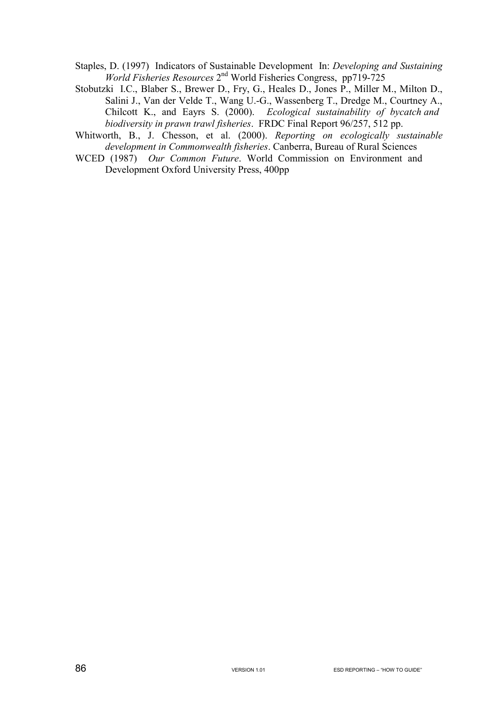Staples, D. (1997) Indicators of Sustainable Development In: *Developing and Sustaining World Fisheries Resources* 2nd World Fisheries Congress, pp719-725

- Stobutzki I.C., Blaber S., Brewer D., Fry, G., Heales D., Jones P., Miller M., Milton D., Salini J., Van der Velde T., Wang U.-G., Wassenberg T., Dredge M., Courtney A., Chilcott K., and Eayrs S. (2000). *Ecological sustainability of bycatch and biodiversity in prawn trawl fisheries*. FRDC Final Report 96/257, 512 pp.
- Whitworth, B., J. Chesson, et al. (2000). *Reporting on ecologically sustainable development in Commonwealth fisheries*. Canberra, Bureau of Rural Sciences
- WCED (1987) *Our Common Future*. World Commission on Environment and Development Oxford University Press, 400pp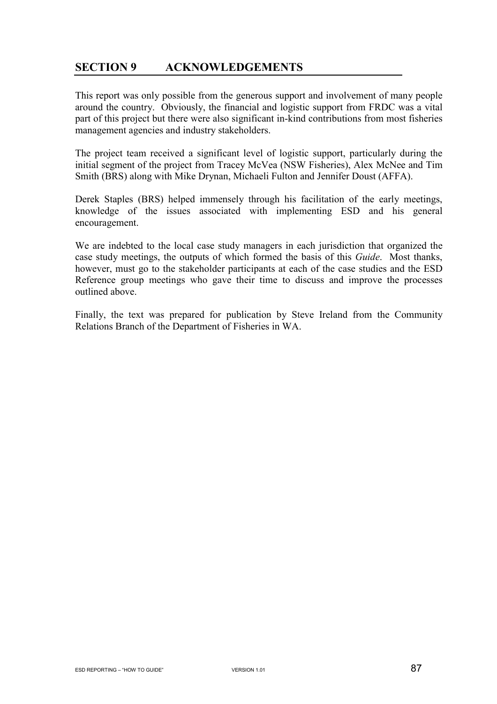# **SECTION 9 ACKNOWLEDGEMENTS**

This report was only possible from the generous support and involvement of many people around the country. Obviously, the financial and logistic support from FRDC was a vital part of this project but there were also significant in-kind contributions from most fisheries management agencies and industry stakeholders.

The project team received a significant level of logistic support, particularly during the initial segment of the project from Tracey McVea (NSW Fisheries), Alex McNee and Tim Smith (BRS) along with Mike Drynan, Michaeli Fulton and Jennifer Doust (AFFA).

Derek Staples (BRS) helped immensely through his facilitation of the early meetings, knowledge of the issues associated with implementing ESD and his general encouragement.

We are indebted to the local case study managers in each jurisdiction that organized the case study meetings, the outputs of which formed the basis of this *Guide*. Most thanks, however, must go to the stakeholder participants at each of the case studies and the ESD Reference group meetings who gave their time to discuss and improve the processes outlined above.

Finally, the text was prepared for publication by Steve Ireland from the Community Relations Branch of the Department of Fisheries in WA.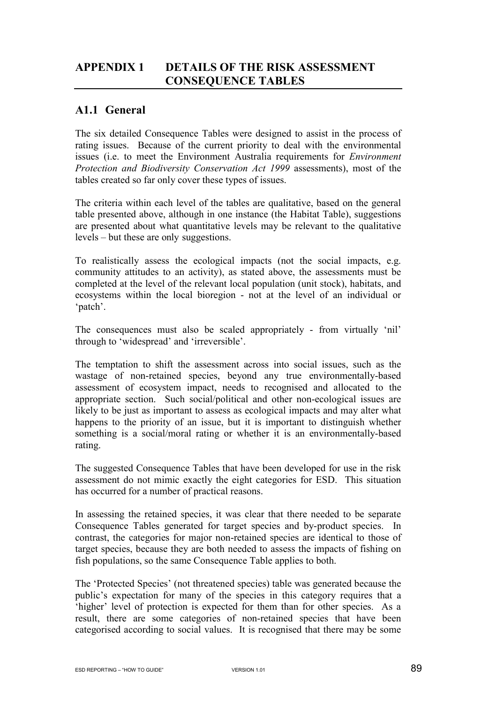# **APPENDIX 1 DETAILS OF THE RISK ASSESSMENT CONSEQUENCE TABLES**

# **A1.1 General**

The six detailed Consequence Tables were designed to assist in the process of rating issues. Because of the current priority to deal with the environmental issues (i.e. to meet the Environment Australia requirements for *Environment Protection and Biodiversity Conservation Act 1999* assessments), most of the tables created so far only cover these types of issues.

The criteria within each level of the tables are qualitative, based on the general table presented above, although in one instance (the Habitat Table), suggestions are presented about what quantitative levels may be relevant to the qualitative levels – but these are only suggestions.

To realistically assess the ecological impacts (not the social impacts, e.g. community attitudes to an activity), as stated above, the assessments must be completed at the level of the relevant local population (unit stock), habitats, and ecosystems within the local bioregion - not at the level of an individual or 'patch'.

The consequences must also be scaled appropriately - from virtually 'nil' through to 'widespread' and 'irreversible'.

The temptation to shift the assessment across into social issues, such as the wastage of non-retained species, beyond any true environmentally-based assessment of ecosystem impact, needs to recognised and allocated to the appropriate section. Such social/political and other non-ecological issues are likely to be just as important to assess as ecological impacts and may alter what happens to the priority of an issue, but it is important to distinguish whether something is a social/moral rating or whether it is an environmentally-based rating.

The suggested Consequence Tables that have been developed for use in the risk assessment do not mimic exactly the eight categories for ESD. This situation has occurred for a number of practical reasons.

In assessing the retained species, it was clear that there needed to be separate Consequence Tables generated for target species and by-product species. In contrast, the categories for major non-retained species are identical to those of target species, because they are both needed to assess the impacts of fishing on fish populations, so the same Consequence Table applies to both.

The 'Protected Species' (not threatened species) table was generated because the public's expectation for many of the species in this category requires that a 'higher' level of protection is expected for them than for other species. As a result, there are some categories of non-retained species that have been categorised according to social values. It is recognised that there may be some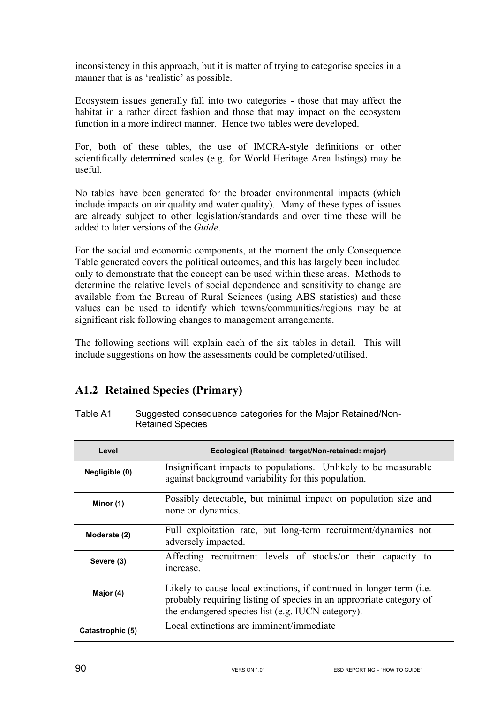inconsistency in this approach, but it is matter of trying to categorise species in a manner that is as 'realistic' as possible.

Ecosystem issues generally fall into two categories - those that may affect the habitat in a rather direct fashion and those that may impact on the ecosystem function in a more indirect manner. Hence two tables were developed.

For, both of these tables, the use of IMCRA-style definitions or other scientifically determined scales (e.g. for World Heritage Area listings) may be useful.

No tables have been generated for the broader environmental impacts (which include impacts on air quality and water quality). Many of these types of issues are already subject to other legislation/standards and over time these will be added to later versions of the *Guide*.

For the social and economic components, at the moment the only Consequence Table generated covers the political outcomes, and this has largely been included only to demonstrate that the concept can be used within these areas. Methods to determine the relative levels of social dependence and sensitivity to change are available from the Bureau of Rural Sciences (using ABS statistics) and these values can be used to identify which towns/communities/regions may be at significant risk following changes to management arrangements.

The following sections will explain each of the six tables in detail. This will include suggestions on how the assessments could be completed/utilised.

# **A1.2 Retained Species (Primary)**

Table A1 Suggested consequence categories for the Major Retained/Non-Retained Species

| Level            | Ecological (Retained: target/Non-retained: major)                                                                                                                                                          |
|------------------|------------------------------------------------------------------------------------------------------------------------------------------------------------------------------------------------------------|
| Negligible (0)   | Insignificant impacts to populations. Unlikely to be measurable<br>against background variability for this population.                                                                                     |
| Minor (1)        | Possibly detectable, but minimal impact on population size and<br>none on dynamics.                                                                                                                        |
| Moderate (2)     | Full exploitation rate, but long-term recruitment/dynamics not<br>adversely impacted.                                                                                                                      |
| Severe (3)       | Affecting recruitment levels of stocks/or their capacity to<br>increase.                                                                                                                                   |
| Major (4)        | Likely to cause local extinctions, if continued in longer term ( <i>i.e.</i> )<br>probably requiring listing of species in an appropriate category of<br>the endangered species list (e.g. IUCN category). |
| Catastrophic (5) | Local extinctions are imminent/immediate                                                                                                                                                                   |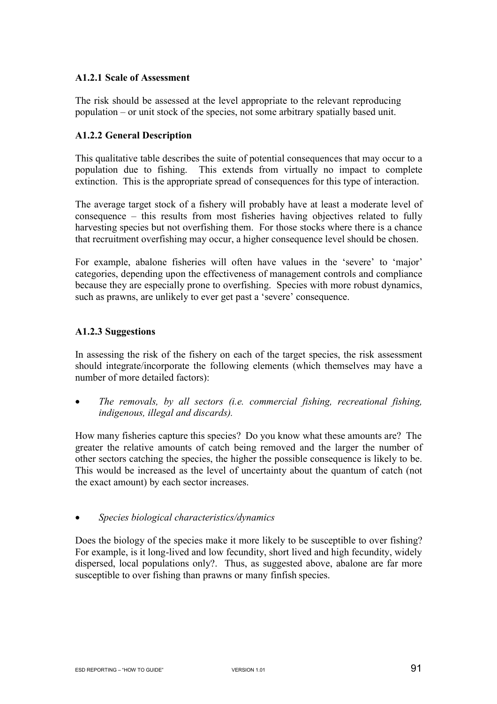#### **A1.2.1 Scale of Assessment**

The risk should be assessed at the level appropriate to the relevant reproducing population – or unit stock of the species, not some arbitrary spatially based unit.

#### **A1.2.2 General Description**

This qualitative table describes the suite of potential consequences that may occur to a population due to fishing. This extends from virtually no impact to complete extinction. This is the appropriate spread of consequences for this type of interaction.

The average target stock of a fishery will probably have at least a moderate level of consequence – this results from most fisheries having objectives related to fully harvesting species but not overfishing them. For those stocks where there is a chance that recruitment overfishing may occur, a higher consequence level should be chosen.

For example, abalone fisheries will often have values in the 'severe' to 'major' categories, depending upon the effectiveness of management controls and compliance because they are especially prone to overfishing. Species with more robust dynamics, such as prawns, are unlikely to ever get past a 'severe' consequence.

#### **A1.2.3 Suggestions**

In assessing the risk of the fishery on each of the target species, the risk assessment should integrate/incorporate the following elements (which themselves may have a number of more detailed factors):

• *The removals, by all sectors (i.e. commercial fishing, recreational fishing, indigenous, illegal and discards).* 

How many fisheries capture this species? Do you know what these amounts are? The greater the relative amounts of catch being removed and the larger the number of other sectors catching the species, the higher the possible consequence is likely to be. This would be increased as the level of uncertainty about the quantum of catch (not the exact amount) by each sector increases.

• *Species biological characteristics/dynamics* 

Does the biology of the species make it more likely to be susceptible to over fishing? For example, is it long-lived and low fecundity, short lived and high fecundity, widely dispersed, local populations only?. Thus, as suggested above, abalone are far more susceptible to over fishing than prawns or many finfish species.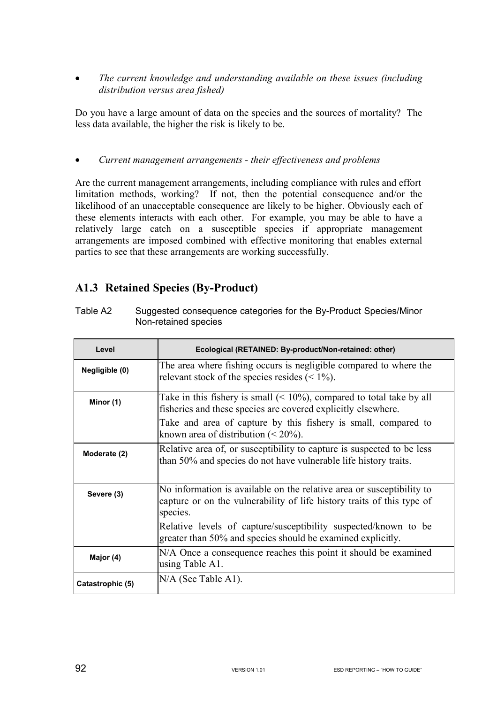• *The current knowledge and understanding available on these issues (including distribution versus area fished)* 

Do you have a large amount of data on the species and the sources of mortality? The less data available, the higher the risk is likely to be.

• *Current management arrangements - their effectiveness and problems* 

Are the current management arrangements, including compliance with rules and effort limitation methods, working? If not, then the potential consequence and/or the likelihood of an unacceptable consequence are likely to be higher. Obviously each of these elements interacts with each other. For example, you may be able to have a relatively large catch on a susceptible species if appropriate management arrangements are imposed combined with effective monitoring that enables external parties to see that these arrangements are working successfully.

# **A1.3 Retained Species (By-Product)**

| Level            | Ecological (RETAINED: By-product/Non-retained: other)                                                                                                       |
|------------------|-------------------------------------------------------------------------------------------------------------------------------------------------------------|
| Negligible (0)   | The area where fishing occurs is negligible compared to where the<br>relevant stock of the species resides $(< 1\%$ ).                                      |
| Minor (1)        | Take in this fishery is small $(< 10\%)$ , compared to total take by all<br>fisheries and these species are covered explicitly elsewhere.                   |
|                  | Take and area of capture by this fishery is small, compared to<br>known area of distribution $(< 20\%)$ .                                                   |
| Moderate (2)     | Relative area of, or susceptibility to capture is suspected to be less<br>than 50% and species do not have vulnerable life history traits.                  |
| Severe (3)       | No information is available on the relative area or susceptibility to<br>capture or on the vulnerability of life history traits of this type of<br>species. |
|                  | Relative levels of capture/susceptibility suspected/known to be<br>greater than 50% and species should be examined explicitly.                              |
| Major (4)        | N/A Once a consequence reaches this point it should be examined<br>using Table A1.                                                                          |
| Catastrophic (5) | N/A (See Table A1).                                                                                                                                         |

Table A2 Suggested consequence categories for the By-Product Species/Minor Non-retained species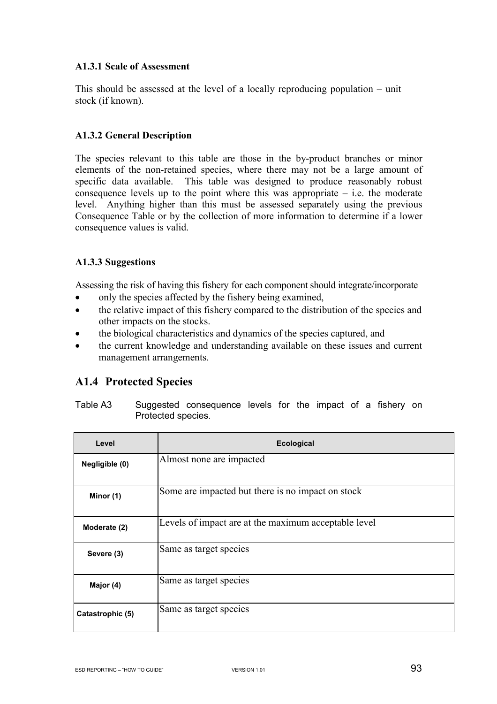### **A1.3.1 Scale of Assessment**

This should be assessed at the level of a locally reproducing population – unit stock (if known).

### **A1.3.2 General Description**

The species relevant to this table are those in the by-product branches or minor elements of the non-retained species, where there may not be a large amount of specific data available. This table was designed to produce reasonably robust consequence levels up to the point where this was appropriate  $-$  i.e. the moderate level. Anything higher than this must be assessed separately using the previous Consequence Table or by the collection of more information to determine if a lower consequence values is valid.

## **A1.3.3 Suggestions**

Assessing the risk of having this fishery for each component should integrate/incorporate

- only the species affected by the fishery being examined,
- the relative impact of this fishery compared to the distribution of the species and other impacts on the stocks.
- the biological characteristics and dynamics of the species captured, and
- the current knowledge and understanding available on these issues and current management arrangements.

# **A1.4 Protected Species**

| Table A3 |                    | Suggested consequence levels for the impact of a fishery on |  |  |  |  |
|----------|--------------------|-------------------------------------------------------------|--|--|--|--|
|          | Protected species. |                                                             |  |  |  |  |

| Level            | <b>Ecological</b>                                    |
|------------------|------------------------------------------------------|
| Negligible (0)   | Almost none are impacted                             |
| Minor (1)        | Some are impacted but there is no impact on stock    |
| Moderate (2)     | Levels of impact are at the maximum acceptable level |
| Severe (3)       | Same as target species                               |
| Major (4)        | Same as target species                               |
| Catastrophic (5) | Same as target species                               |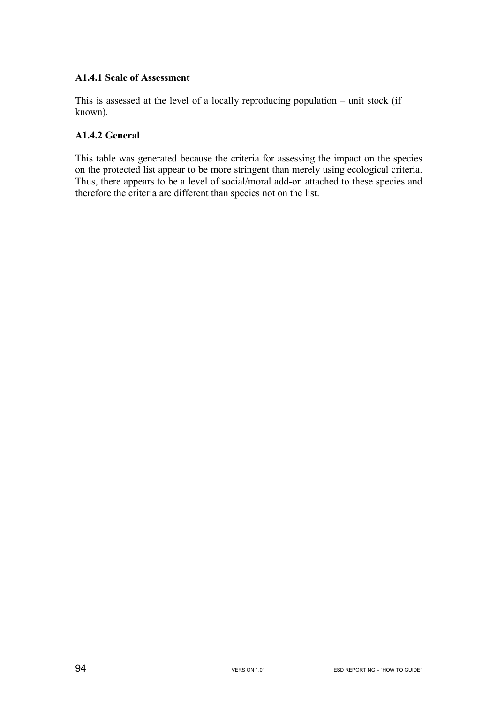#### **A1.4.1 Scale of Assessment**

This is assessed at the level of a locally reproducing population – unit stock (if known).

### **A1.4.2 General**

This table was generated because the criteria for assessing the impact on the species on the protected list appear to be more stringent than merely using ecological criteria. Thus, there appears to be a level of social/moral add-on attached to these species and therefore the criteria are different than species not on the list.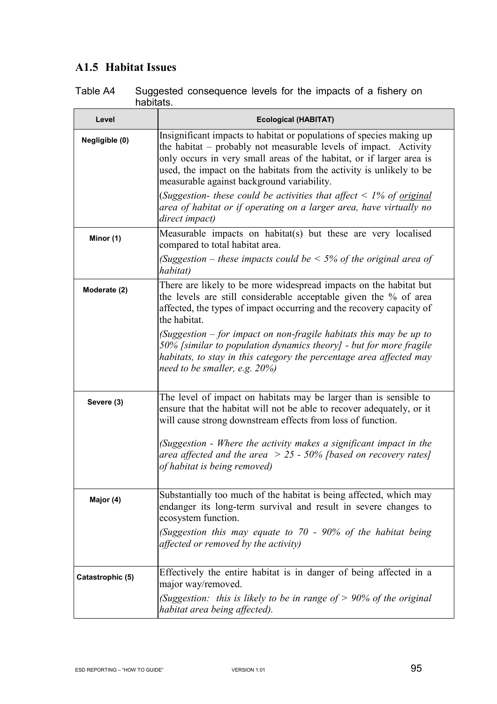# **A1.5 Habitat Issues**

| Table A4 | Suggested consequence levels for the impacts of a fishery on |  |  |  |
|----------|--------------------------------------------------------------|--|--|--|
|          | habitats.                                                    |  |  |  |

| Level            | <b>Ecological (HABITAT)</b>                                                                                                                                                                                                                                                                                                            |
|------------------|----------------------------------------------------------------------------------------------------------------------------------------------------------------------------------------------------------------------------------------------------------------------------------------------------------------------------------------|
| Negligible (0)   | Insignificant impacts to habitat or populations of species making up<br>the habitat – probably not measurable levels of impact. Activity<br>only occurs in very small areas of the habitat, or if larger area is<br>used, the impact on the habitats from the activity is unlikely to be<br>measurable against background variability. |
|                  | (Suggestion- these could be activities that affect $\leq$ 1% of original<br>area of habitat or if operating on a larger area, have virtually no<br>direct impact)                                                                                                                                                                      |
| Minor (1)        | Measurable impacts on habitat(s) but these are very localised<br>compared to total habitat area.                                                                                                                                                                                                                                       |
|                  | (Suggestion – these impacts could be $\leq 5\%$ of the original area of<br>habitat)                                                                                                                                                                                                                                                    |
| Moderate (2)     | There are likely to be more widespread impacts on the habitat but<br>the levels are still considerable acceptable given the % of area<br>affected, the types of impact occurring and the recovery capacity of<br>the habitat.                                                                                                          |
|                  | (Suggestion $-$ for impact on non-fragile habitats this may be up to<br>50% [similar to population dynamics theory] - but for more fragile<br>habitats, to stay in this category the percentage area affected may<br>need to be smaller, e.g. $20\%$ )                                                                                 |
| Severe (3)       | The level of impact on habitats may be larger than is sensible to<br>ensure that the habitat will not be able to recover adequately, or it<br>will cause strong downstream effects from loss of function.                                                                                                                              |
|                  | (Suggestion - Where the activity makes a significant impact in the<br>area affected and the area $> 25$ - 50% [based on recovery rates]<br>of habitat is being removed)                                                                                                                                                                |
| Major (4)        | Substantially too much of the habitat is being affected, which may<br>endanger its long-term survival and result in severe changes to<br>ecosystem function.                                                                                                                                                                           |
|                  | (Suggestion this may equate to $70$ - 90% of the habitat being<br>affected or removed by the activity)                                                                                                                                                                                                                                 |
| Catastrophic (5) | Effectively the entire habitat is in danger of being affected in a<br>major way/removed.                                                                                                                                                                                                                                               |
|                  | (Suggestion: this is likely to be in range of $> 90\%$ of the original<br>habitat area being affected).                                                                                                                                                                                                                                |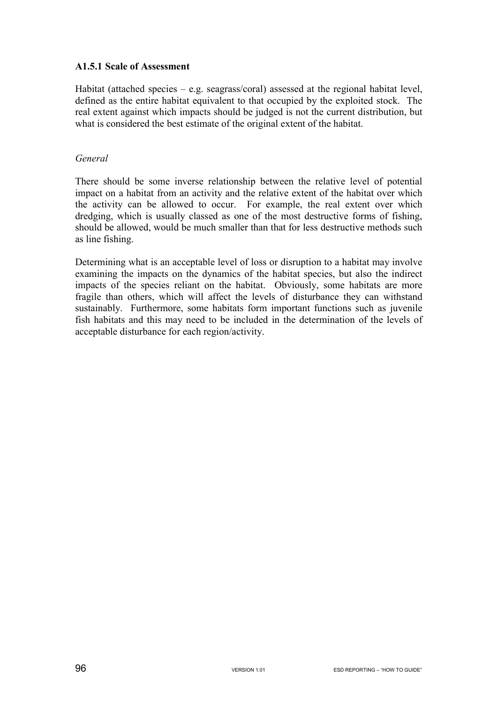#### **A1.5.1 Scale of Assessment**

Habitat (attached species  $-e.g.$  seagrass/coral) assessed at the regional habitat level, defined as the entire habitat equivalent to that occupied by the exploited stock. The real extent against which impacts should be judged is not the current distribution, but what is considered the best estimate of the original extent of the habitat.

### *General*

There should be some inverse relationship between the relative level of potential impact on a habitat from an activity and the relative extent of the habitat over which the activity can be allowed to occur. For example, the real extent over which dredging, which is usually classed as one of the most destructive forms of fishing, should be allowed, would be much smaller than that for less destructive methods such as line fishing.

Determining what is an acceptable level of loss or disruption to a habitat may involve examining the impacts on the dynamics of the habitat species, but also the indirect impacts of the species reliant on the habitat. Obviously, some habitats are more fragile than others, which will affect the levels of disturbance they can withstand sustainably. Furthermore, some habitats form important functions such as juvenile fish habitats and this may need to be included in the determination of the levels of acceptable disturbance for each region/activity.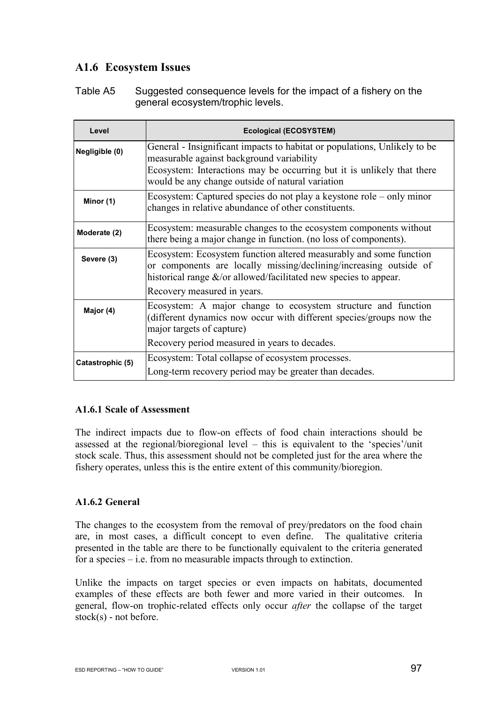# **A1.6 Ecosystem Issues**

Table A5 Suggested consequence levels for the impact of a fishery on the general ecosystem/trophic levels.

| Level            | <b>Ecological (ECOSYSTEM)</b>                                                                                                                                                                                                                        |
|------------------|------------------------------------------------------------------------------------------------------------------------------------------------------------------------------------------------------------------------------------------------------|
| Negligible (0)   | General - Insignificant impacts to habitat or populations, Unlikely to be<br>measurable against background variability<br>Ecosystem: Interactions may be occurring but it is unlikely that there<br>would be any change outside of natural variation |
| Minor (1)        | Ecosystem: Captured species do not play a keystone role – only minor<br>changes in relative abundance of other constituents.                                                                                                                         |
| Moderate (2)     | Ecosystem: measurable changes to the ecosystem components without<br>there being a major change in function. (no loss of components).                                                                                                                |
| Severe (3)       | Ecosystem: Ecosystem function altered measurably and some function<br>or components are locally missing/declining/increasing outside of<br>historical range $\&$ /or allowed/facilitated new species to appear.<br>Recovery measured in years.       |
| Major (4)        | Ecosystem: A major change to ecosystem structure and function<br>(different dynamics now occur with different species/groups now the<br>major targets of capture)<br>Recovery period measured in years to decades.                                   |
| Catastrophic (5) | Ecosystem: Total collapse of ecosystem processes.<br>Long-term recovery period may be greater than decades.                                                                                                                                          |

#### **A1.6.1 Scale of Assessment**

The indirect impacts due to flow-on effects of food chain interactions should be assessed at the regional/bioregional level – this is equivalent to the 'species'/unit stock scale. Thus, this assessment should not be completed just for the area where the fishery operates, unless this is the entire extent of this community/bioregion.

#### **A1.6.2 General**

The changes to the ecosystem from the removal of prey/predators on the food chain are, in most cases, a difficult concept to even define. The qualitative criteria presented in the table are there to be functionally equivalent to the criteria generated for a species – i.e. from no measurable impacts through to extinction.

Unlike the impacts on target species or even impacts on habitats, documented examples of these effects are both fewer and more varied in their outcomes. In general, flow-on trophic-related effects only occur *after* the collapse of the target stock(s) - not before.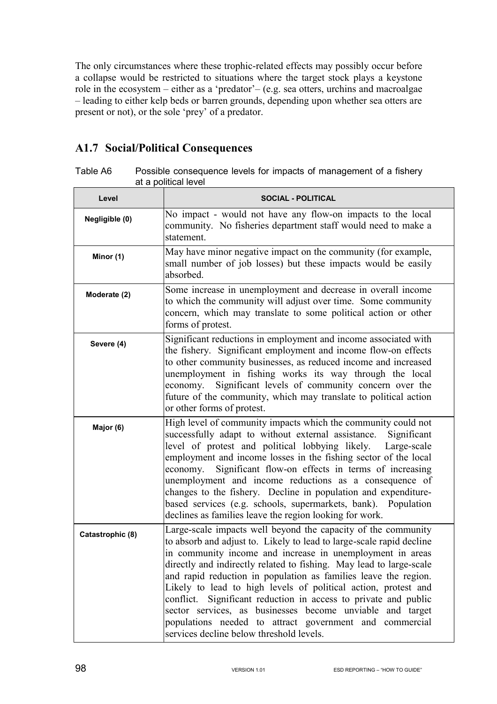The only circumstances where these trophic-related effects may possibly occur before a collapse would be restricted to situations where the target stock plays a keystone role in the ecosystem – either as a 'predator'– (e.g. sea otters, urchins and macroalgae – leading to either kelp beds or barren grounds, depending upon whether sea otters are present or not), or the sole 'prey' of a predator.

# **A1.7 Social/Political Consequences**

| Table A6 | Possible consequence levels for impacts of management of a fishery |
|----------|--------------------------------------------------------------------|
|          | at a political level                                               |

| Level            | <b>SOCIAL - POLITICAL</b>                                                                                                                                                                                                                                                                                                                                                                                                                                                                                                                                                                                                                             |
|------------------|-------------------------------------------------------------------------------------------------------------------------------------------------------------------------------------------------------------------------------------------------------------------------------------------------------------------------------------------------------------------------------------------------------------------------------------------------------------------------------------------------------------------------------------------------------------------------------------------------------------------------------------------------------|
| Negligible (0)   | No impact - would not have any flow-on impacts to the local<br>community. No fisheries department staff would need to make a<br>statement.                                                                                                                                                                                                                                                                                                                                                                                                                                                                                                            |
| Minor (1)        | May have minor negative impact on the community (for example,<br>small number of job losses) but these impacts would be easily<br>absorbed.                                                                                                                                                                                                                                                                                                                                                                                                                                                                                                           |
| Moderate (2)     | Some increase in unemployment and decrease in overall income<br>to which the community will adjust over time. Some community<br>concern, which may translate to some political action or other<br>forms of protest.                                                                                                                                                                                                                                                                                                                                                                                                                                   |
| Severe (4)       | Significant reductions in employment and income associated with<br>the fishery. Significant employment and income flow-on effects<br>to other community businesses, as reduced income and increased<br>unemployment in fishing works its way through the local<br>Significant levels of community concern over the<br>economy.<br>future of the community, which may translate to political action<br>or other forms of protest.                                                                                                                                                                                                                      |
| Major (6)        | High level of community impacts which the community could not<br>successfully adapt to without external assistance.<br>Significant<br>level of protest and political lobbying likely.<br>Large-scale<br>employment and income losses in the fishing sector of the local<br>Significant flow-on effects in terms of increasing<br>economy.<br>unemployment and income reductions as a consequence of<br>changes to the fishery. Decline in population and expenditure-<br>based services (e.g. schools, supermarkets, bank). Population<br>declines as families leave the region looking for work.                                                     |
| Catastrophic (8) | Large-scale impacts well beyond the capacity of the community<br>to absorb and adjust to. Likely to lead to large-scale rapid decline<br>in community income and increase in unemployment in areas<br>directly and indirectly related to fishing. May lead to large-scale<br>and rapid reduction in population as families leave the region.<br>Likely to lead to high levels of political action, protest and<br>conflict. Significant reduction in access to private and public<br>sector services, as businesses become unviable and target<br>populations needed to attract government and commercial<br>services decline below threshold levels. |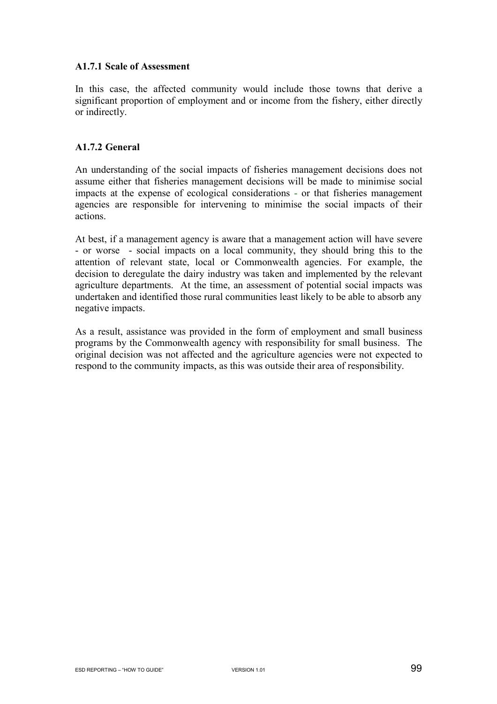#### **A1.7.1 Scale of Assessment**

In this case, the affected community would include those towns that derive a significant proportion of employment and or income from the fishery, either directly or indirectly.

### **A1.7.2 General**

An understanding of the social impacts of fisheries management decisions does not assume either that fisheries management decisions will be made to minimise social impacts at the expense of ecological considerations - or that fisheries management agencies are responsible for intervening to minimise the social impacts of their actions.

At best, if a management agency is aware that a management action will have severe - or worse - social impacts on a local community, they should bring this to the attention of relevant state, local or Commonwealth agencies. For example, the decision to deregulate the dairy industry was taken and implemented by the relevant agriculture departments. At the time, an assessment of potential social impacts was undertaken and identified those rural communities least likely to be able to absorb any negative impacts.

As a result, assistance was provided in the form of employment and small business programs by the Commonwealth agency with responsibility for small business. The original decision was not affected and the agriculture agencies were not expected to respond to the community impacts, as this was outside their area of responsibility.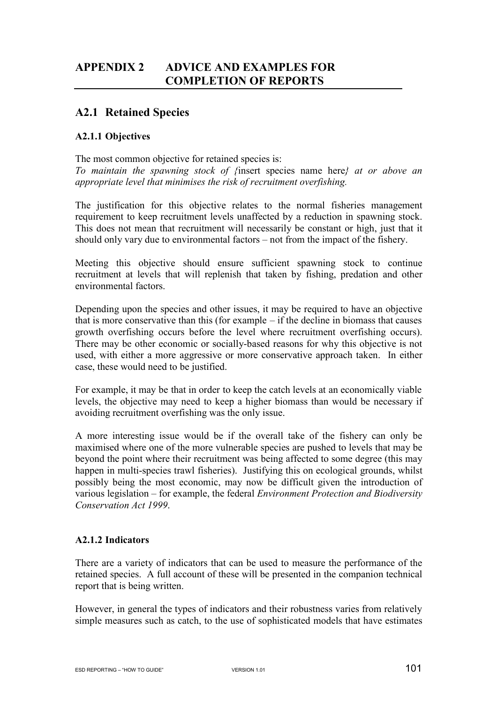# **APPENDIX 2 ADVICE AND EXAMPLES FOR COMPLETION OF REPORTS**

# **A2.1 Retained Species**

### **A2.1.1 Objectives**

The most common objective for retained species is: *To maintain the spawning stock of {*insert species name here*} at or above an appropriate level that minimises the risk of recruitment overfishing.* 

The justification for this objective relates to the normal fisheries management requirement to keep recruitment levels unaffected by a reduction in spawning stock. This does not mean that recruitment will necessarily be constant or high, just that it should only vary due to environmental factors – not from the impact of the fishery.

Meeting this objective should ensure sufficient spawning stock to continue recruitment at levels that will replenish that taken by fishing, predation and other environmental factors.

Depending upon the species and other issues, it may be required to have an objective that is more conservative than this (for example – if the decline in biomass that causes growth overfishing occurs before the level where recruitment overfishing occurs). There may be other economic or socially-based reasons for why this objective is not used, with either a more aggressive or more conservative approach taken. In either case, these would need to be justified.

For example, it may be that in order to keep the catch levels at an economically viable levels, the objective may need to keep a higher biomass than would be necessary if avoiding recruitment overfishing was the only issue.

A more interesting issue would be if the overall take of the fishery can only be maximised where one of the more vulnerable species are pushed to levels that may be beyond the point where their recruitment was being affected to some degree (this may happen in multi-species trawl fisheries). Justifying this on ecological grounds, whilst possibly being the most economic, may now be difficult given the introduction of various legislation – for example, the federal *Environment Protection and Biodiversity Conservation Act 1999*.

## **A2.1.2 Indicators**

There are a variety of indicators that can be used to measure the performance of the retained species. A full account of these will be presented in the companion technical report that is being written.

However, in general the types of indicators and their robustness varies from relatively simple measures such as catch, to the use of sophisticated models that have estimates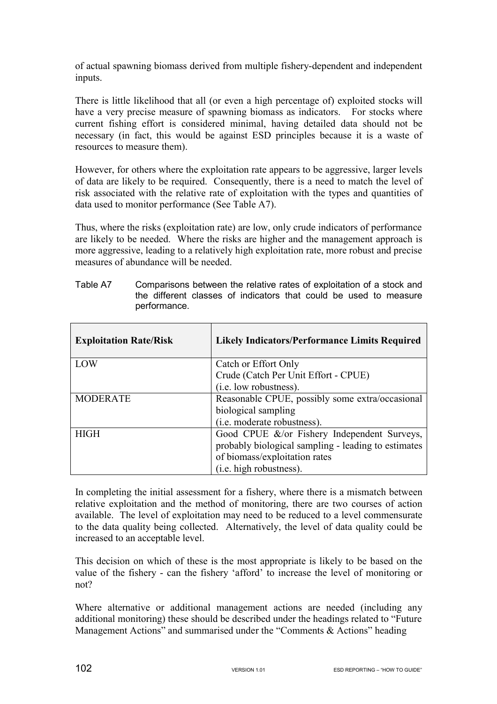of actual spawning biomass derived from multiple fishery-dependent and independent inputs.

There is little likelihood that all (or even a high percentage of) exploited stocks will have a very precise measure of spawning biomass as indicators. For stocks where current fishing effort is considered minimal, having detailed data should not be necessary (in fact, this would be against ESD principles because it is a waste of resources to measure them).

However, for others where the exploitation rate appears to be aggressive, larger levels of data are likely to be required. Consequently, there is a need to match the level of risk associated with the relative rate of exploitation with the types and quantities of data used to monitor performance (See Table A7).

Thus, where the risks (exploitation rate) are low, only crude indicators of performance are likely to be needed. Where the risks are higher and the management approach is more aggressive, leading to a relatively high exploitation rate, more robust and precise measures of abundance will be needed.

| <b>Exploitation Rate/Risk</b> | <b>Likely Indicators/Performance Limits Required</b> |
|-------------------------------|------------------------------------------------------|
| LOW                           | Catch or Effort Only                                 |
|                               | Crude (Catch Per Unit Effort - CPUE)                 |
|                               | (i.e. low robustness).                               |
| <b>MODERATE</b>               | Reasonable CPUE, possibly some extra/occasional      |
|                               | biological sampling                                  |
|                               | (i.e. moderate robustness).                          |
| <b>HIGH</b>                   | Good CPUE &/or Fishery Independent Surveys,          |
|                               | probably biological sampling - leading to estimates  |
|                               | of biomass/exploitation rates                        |
|                               | (i.e. high robustness).                              |

Table A7 Comparisons between the relative rates of exploitation of a stock and the different classes of indicators that could be used to measure performance.

In completing the initial assessment for a fishery, where there is a mismatch between relative exploitation and the method of monitoring, there are two courses of action available. The level of exploitation may need to be reduced to a level commensurate to the data quality being collected. Alternatively, the level of data quality could be increased to an acceptable level.

This decision on which of these is the most appropriate is likely to be based on the value of the fishery - can the fishery 'afford' to increase the level of monitoring or not?

Where alternative or additional management actions are needed (including any additional monitoring) these should be described under the headings related to "Future Management Actions" and summarised under the "Comments & Actions" heading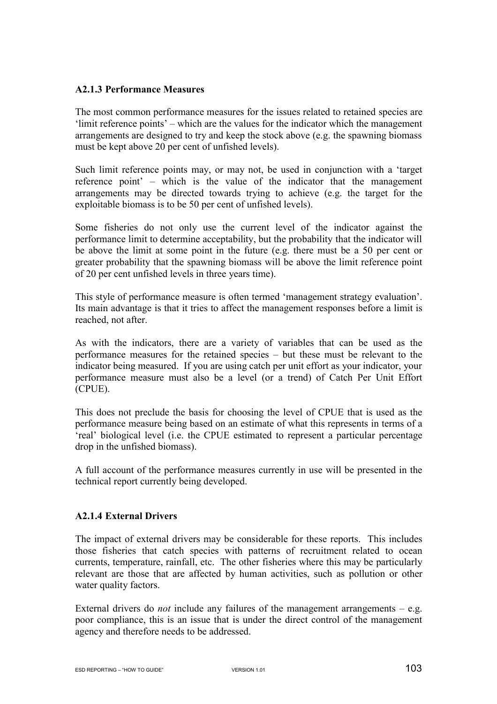#### **A2.1.3 Performance Measures**

The most common performance measures for the issues related to retained species are 'limit reference points' – which are the values for the indicator which the management arrangements are designed to try and keep the stock above (e.g. the spawning biomass must be kept above 20 per cent of unfished levels).

Such limit reference points may, or may not, be used in conjunction with a 'target reference point' – which is the value of the indicator that the management arrangements may be directed towards trying to achieve (e.g. the target for the exploitable biomass is to be 50 per cent of unfished levels).

Some fisheries do not only use the current level of the indicator against the performance limit to determine acceptability, but the probability that the indicator will be above the limit at some point in the future (e.g. there must be a 50 per cent or greater probability that the spawning biomass will be above the limit reference point of 20 per cent unfished levels in three years time).

This style of performance measure is often termed 'management strategy evaluation'. Its main advantage is that it tries to affect the management responses before a limit is reached, not after.

As with the indicators, there are a variety of variables that can be used as the performance measures for the retained species – but these must be relevant to the indicator being measured. If you are using catch per unit effort as your indicator, your performance measure must also be a level (or a trend) of Catch Per Unit Effort (CPUE).

This does not preclude the basis for choosing the level of CPUE that is used as the performance measure being based on an estimate of what this represents in terms of a 'real' biological level (i.e. the CPUE estimated to represent a particular percentage drop in the unfished biomass).

A full account of the performance measures currently in use will be presented in the technical report currently being developed.

## **A2.1.4 External Drivers**

The impact of external drivers may be considerable for these reports. This includes those fisheries that catch species with patterns of recruitment related to ocean currents, temperature, rainfall, etc. The other fisheries where this may be particularly relevant are those that are affected by human activities, such as pollution or other water quality factors.

External drivers do *not* include any failures of the management arrangements – e.g. poor compliance, this is an issue that is under the direct control of the management agency and therefore needs to be addressed.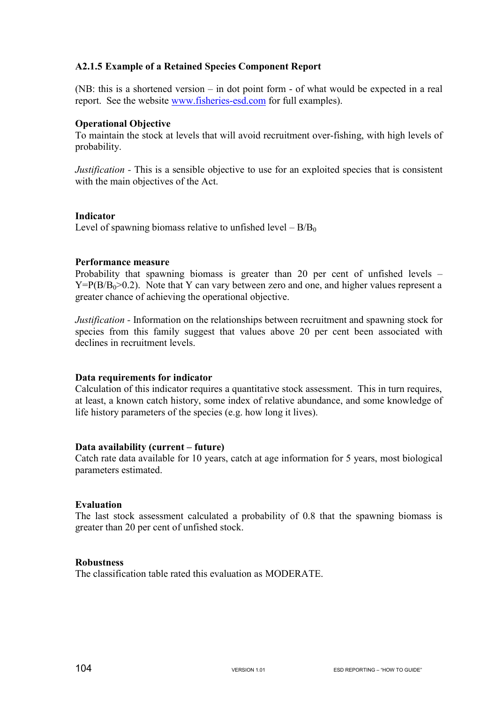### **A2.1.5 Example of a Retained Species Component Report**

(NB: this is a shortened version – in dot point form - of what would be expected in a real report. See the website www.fisheries-esd.com for full examples).

#### **Operational Objective**

To maintain the stock at levels that will avoid recruitment over-fishing, with high levels of probability.

*Justification -* This is a sensible objective to use for an exploited species that is consistent with the main objectives of the Act.

#### **Indicator**

Level of spawning biomass relative to unfished level  $- B/B<sub>0</sub>$ 

#### **Performance measure**

Probability that spawning biomass is greater than 20 per cent of unfished levels –  $Y = P(B/B<sub>0</sub>>0.2)$ . Note that Y can vary between zero and one, and higher values represent a greater chance of achieving the operational objective.

*Justification -* Information on the relationships between recruitment and spawning stock for species from this family suggest that values above 20 per cent been associated with declines in recruitment levels.

## **Data requirements for indicator**

Calculation of this indicator requires a quantitative stock assessment. This in turn requires, at least, a known catch history, some index of relative abundance, and some knowledge of life history parameters of the species (e.g. how long it lives).

#### **Data availability (current – future)**

Catch rate data available for 10 years, catch at age information for 5 years, most biological parameters estimated.

#### **Evaluation**

The last stock assessment calculated a probability of 0.8 that the spawning biomass is greater than 20 per cent of unfished stock.

#### **Robustness**

The classification table rated this evaluation as MODERATE.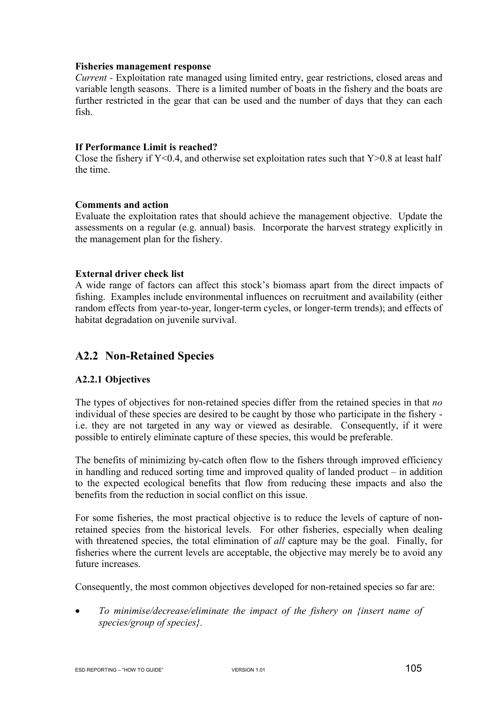#### **Fisheries management response**

*Current -* Exploitation rate managed using limited entry, gear restrictions, closed areas and variable length seasons. There is a limited number of boats in the fishery and the boats are further restricted in the gear that can be used and the number of days that they can each fish.

#### **If Performance Limit is reached?**

Close the fishery if  $Y<0.4$ , and otherwise set exploitation rates such that  $Y>0.8$  at least half the time.

#### **Comments and action**

Evaluate the exploitation rates that should achieve the management objective. Update the assessments on a regular (e.g. annual) basis. Incorporate the harvest strategy explicitly in the management plan for the fishery.

#### **External driver check list**

A wide range of factors can affect this stock's biomass apart from the direct impacts of fishing. Examples include environmental influences on recruitment and availability (either random effects from year-to-year, longer-term cycles, or longer-term trends); and effects of habitat degradation on juvenile survival.

# **A2.2 Non-Retained Species**

#### **A2.2.1 Objectives**

The types of objectives for non-retained species differ from the retained species in that *no*  individual of these species are desired to be caught by those who participate in the fishery i.e. they are not targeted in any way or viewed as desirable. Consequently, if it were possible to entirely eliminate capture of these species, this would be preferable.

The benefits of minimizing by-catch often flow to the fishers through improved efficiency in handling and reduced sorting time and improved quality of landed product – in addition to the expected ecological benefits that flow from reducing these impacts and also the benefits from the reduction in social conflict on this issue.

For some fisheries, the most practical objective is to reduce the levels of capture of nonretained species from the historical levels. For other fisheries, especially when dealing with threatened species, the total elimination of *all* capture may be the goal. Finally, for fisheries where the current levels are acceptable, the objective may merely be to avoid any future increases.

Consequently, the most common objectives developed for non-retained species so far are:

• *To minimise/decrease/eliminate the impact of the fishery on {insert name of species/group of species}.*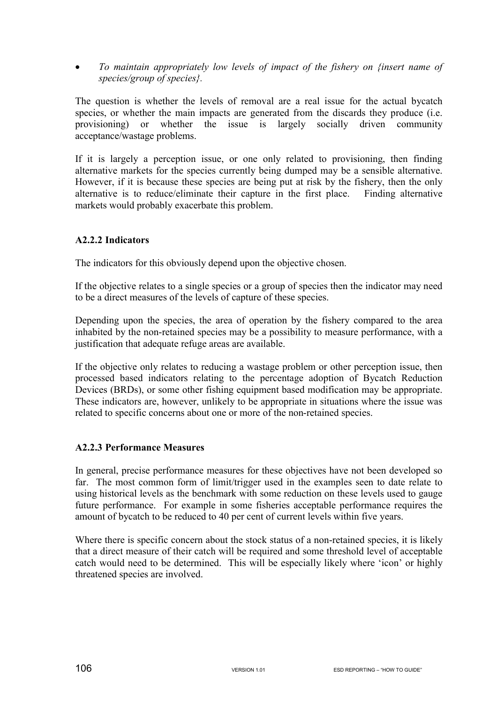• *To maintain appropriately low levels of impact of the fishery on {insert name of species/group of species}.*

The question is whether the levels of removal are a real issue for the actual bycatch species, or whether the main impacts are generated from the discards they produce (i.e. provisioning) or whether the issue is largely socially driven community acceptance/wastage problems.

If it is largely a perception issue, or one only related to provisioning, then finding alternative markets for the species currently being dumped may be a sensible alternative. However, if it is because these species are being put at risk by the fishery, then the only alternative is to reduce/eliminate their capture in the first place. Finding alternative markets would probably exacerbate this problem.

#### **A2.2.2 Indicators**

The indicators for this obviously depend upon the objective chosen.

If the objective relates to a single species or a group of species then the indicator may need to be a direct measures of the levels of capture of these species.

Depending upon the species, the area of operation by the fishery compared to the area inhabited by the non-retained species may be a possibility to measure performance, with a justification that adequate refuge areas are available.

If the objective only relates to reducing a wastage problem or other perception issue, then processed based indicators relating to the percentage adoption of Bycatch Reduction Devices (BRDs), or some other fishing equipment based modification may be appropriate. These indicators are, however, unlikely to be appropriate in situations where the issue was related to specific concerns about one or more of the non-retained species.

#### **A2.2.3 Performance Measures**

In general, precise performance measures for these objectives have not been developed so far. The most common form of limit/trigger used in the examples seen to date relate to using historical levels as the benchmark with some reduction on these levels used to gauge future performance. For example in some fisheries acceptable performance requires the amount of bycatch to be reduced to 40 per cent of current levels within five years.

Where there is specific concern about the stock status of a non-retained species, it is likely that a direct measure of their catch will be required and some threshold level of acceptable catch would need to be determined. This will be especially likely where 'icon' or highly threatened species are involved.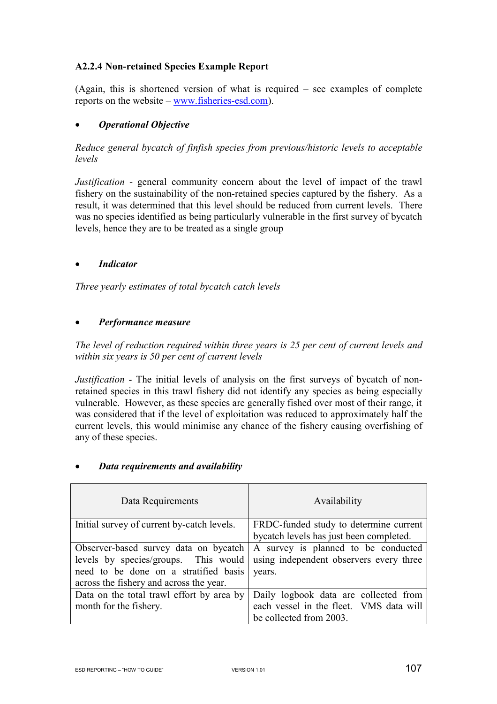## **A2.2.4 Non-retained Species Example Report**

(Again, this is shortened version of what is required – see examples of complete reports on the website – www.fisheries-esd.com).

### • *Operational Objective*

*Reduce general bycatch of finfish species from previous/historic levels to acceptable levels* 

*Justification* - general community concern about the level of impact of the trawl fishery on the sustainability of the non-retained species captured by the fishery. As a result, it was determined that this level should be reduced from current levels. There was no species identified as being particularly vulnerable in the first survey of bycatch levels, hence they are to be treated as a single group

### • *Indicator*

*Three yearly estimates of total bycatch catch levels* 

#### • *Performance measure*

*The level of reduction required within three years is 25 per cent of current levels and within six years is 50 per cent of current levels* 

*Justification -* The initial levels of analysis on the first surveys of bycatch of nonretained species in this trawl fishery did not identify any species as being especially vulnerable. However, as these species are generally fished over most of their range, it was considered that if the level of exploitation was reduced to approximately half the current levels, this would minimise any chance of the fishery causing overfishing of any of these species.

| Data Requirements                          | Availability                            |
|--------------------------------------------|-----------------------------------------|
| Initial survey of current by-catch levels. | FRDC-funded study to determine current  |
|                                            | bycatch levels has just been completed. |
| Observer-based survey data on bycatch      | A survey is planned to be conducted     |
| levels by species/groups. This would       | using independent observers every three |
| need to be done on a stratified basis      | years.                                  |
| across the fishery and across the year.    |                                         |
| Data on the total trawl effort by area by  | Daily logbook data are collected from   |
| month for the fishery.                     | each vessel in the fleet. VMS data will |
|                                            | be collected from 2003.                 |

#### • *Data requirements and availability*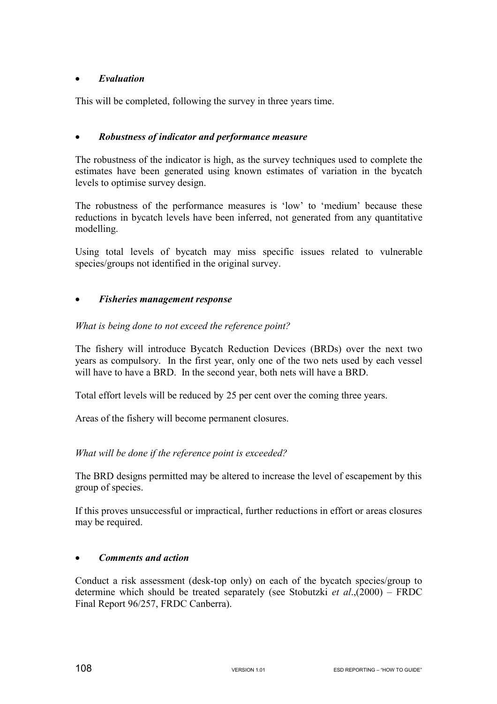## • *Evaluation*

This will be completed, following the survey in three years time.

### • *Robustness of indicator and performance measure*

The robustness of the indicator is high, as the survey techniques used to complete the estimates have been generated using known estimates of variation in the bycatch levels to optimise survey design.

The robustness of the performance measures is 'low' to 'medium' because these reductions in bycatch levels have been inferred, not generated from any quantitative modelling.

Using total levels of bycatch may miss specific issues related to vulnerable species/groups not identified in the original survey.

## • *Fisheries management response*

### *What is being done to not exceed the reference point?*

The fishery will introduce Bycatch Reduction Devices (BRDs) over the next two years as compulsory. In the first year, only one of the two nets used by each vessel will have to have a BRD. In the second year, both nets will have a BRD.

Total effort levels will be reduced by 25 per cent over the coming three years.

Areas of the fishery will become permanent closures.

## *What will be done if the reference point is exceeded?*

The BRD designs permitted may be altered to increase the level of escapement by this group of species.

If this proves unsuccessful or impractical, further reductions in effort or areas closures may be required.

#### • *Comments and action*

Conduct a risk assessment (desk-top only) on each of the bycatch species/group to determine which should be treated separately (see Stobutzki *et al*.,(2000) – FRDC Final Report 96/257, FRDC Canberra).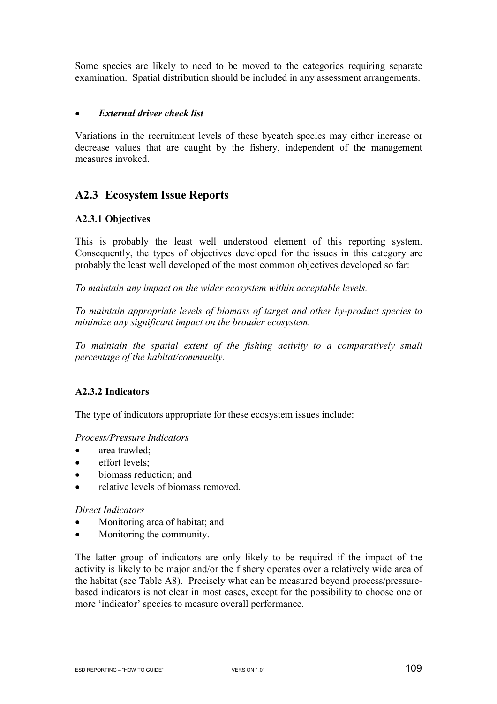Some species are likely to need to be moved to the categories requiring separate examination. Spatial distribution should be included in any assessment arrangements.

## • *External driver check list*

Variations in the recruitment levels of these bycatch species may either increase or decrease values that are caught by the fishery, independent of the management measures invoked.

# **A2.3 Ecosystem Issue Reports**

## **A2.3.1 Objectives**

This is probably the least well understood element of this reporting system. Consequently, the types of objectives developed for the issues in this category are probably the least well developed of the most common objectives developed so far:

*To maintain any impact on the wider ecosystem within acceptable levels.* 

*To maintain appropriate levels of biomass of target and other by-product species to minimize any significant impact on the broader ecosystem.* 

*To maintain the spatial extent of the fishing activity to a comparatively small percentage of the habitat/community.* 

## **A2.3.2 Indicators**

The type of indicators appropriate for these ecosystem issues include:

## *Process/Pressure Indicators*

- area trawled:
- effort levels:
- biomass reduction: and
- relative levels of biomass removed.

#### *Direct Indicators*

- Monitoring area of habitat; and
- Monitoring the community.

The latter group of indicators are only likely to be required if the impact of the activity is likely to be major and/or the fishery operates over a relatively wide area of the habitat (see Table A8). Precisely what can be measured beyond process/pressurebased indicators is not clear in most cases, except for the possibility to choose one or more 'indicator' species to measure overall performance.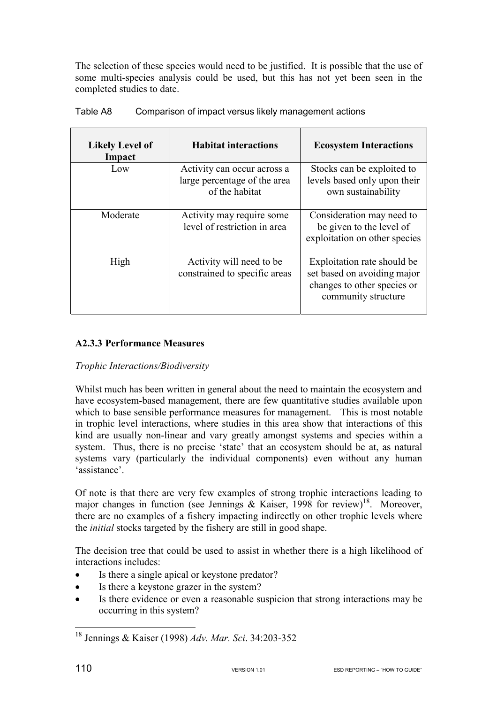The selection of these species would need to be justified. It is possible that the use of some multi-species analysis could be used, but this has not yet been seen in the completed studies to date.

| <b>Likely Level of</b><br>Impact | <b>Habitat interactions</b>                                                   | <b>Ecosystem Interactions</b>                                                                                    |
|----------------------------------|-------------------------------------------------------------------------------|------------------------------------------------------------------------------------------------------------------|
| Low                              | Activity can occur across a<br>large percentage of the area<br>of the habitat | Stocks can be exploited to<br>levels based only upon their<br>own sustainability                                 |
| Moderate                         | Activity may require some<br>level of restriction in area                     | Consideration may need to<br>be given to the level of<br>exploitation on other species                           |
| High                             | Activity will need to be<br>constrained to specific areas                     | Exploitation rate should be<br>set based on avoiding major<br>changes to other species or<br>community structure |

## Table A8 Comparison of impact versus likely management actions

## **A2.3.3 Performance Measures**

## *Trophic Interactions/Biodiversity*

Whilst much has been written in general about the need to maintain the ecosystem and have ecosystem-based management, there are few quantitative studies available upon which to base sensible performance measures for management. This is most notable in trophic level interactions, where studies in this area show that interactions of this kind are usually non-linear and vary greatly amongst systems and species within a system. Thus, there is no precise 'state' that an ecosystem should be at, as natural systems vary (particularly the individual components) even without any human 'assistance'.

Of note is that there are very few examples of strong trophic interactions leading to major changes in function (see Jennings & Kaiser, 1998 for review)<sup>18</sup>. Moreover, there are no examples of a fishery impacting indirectly on other trophic levels where the *initial* stocks targeted by the fishery are still in good shape.

The decision tree that could be used to assist in whether there is a high likelihood of interactions includes:

- Is there a single apical or keystone predator?
- Is there a keystone grazer in the system?
- Is there evidence or even a reasonable suspicion that strong interactions may be occurring in this system?

 $\overline{a}$ 

<sup>18</sup> Jennings & Kaiser (1998) *Adv. Mar. Sci*. 34:203-352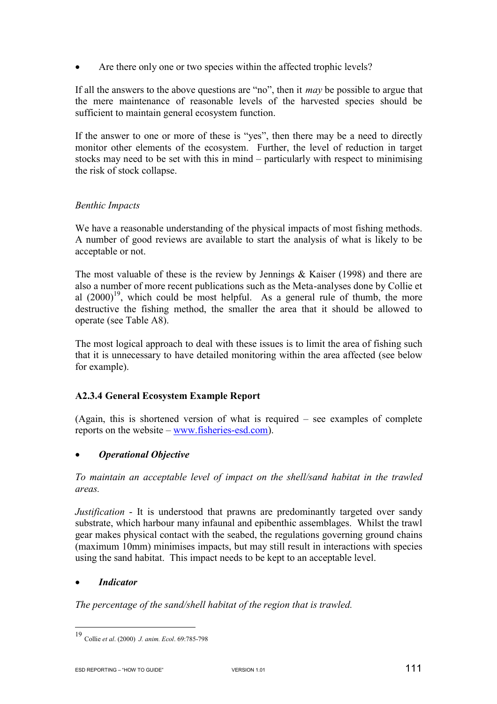• Are there only one or two species within the affected trophic levels?

If all the answers to the above questions are "no", then it *may* be possible to argue that the mere maintenance of reasonable levels of the harvested species should be sufficient to maintain general ecosystem function.

If the answer to one or more of these is "yes", then there may be a need to directly monitor other elements of the ecosystem. Further, the level of reduction in target stocks may need to be set with this in mind – particularly with respect to minimising the risk of stock collapse.

# *Benthic Impacts*

We have a reasonable understanding of the physical impacts of most fishing methods. A number of good reviews are available to start the analysis of what is likely to be acceptable or not.

The most valuable of these is the review by Jennings & Kaiser (1998) and there are also a number of more recent publications such as the Meta-analyses done by Collie et al  $(2000)^{19}$ , which could be most helpful. As a general rule of thumb, the more destructive the fishing method, the smaller the area that it should be allowed to operate (see Table A8).

The most logical approach to deal with these issues is to limit the area of fishing such that it is unnecessary to have detailed monitoring within the area affected (see below for example).

# **A2.3.4 General Ecosystem Example Report**

(Again, this is shortened version of what is required – see examples of complete reports on the website – www.fisheries-esd.com).

# • *Operational Objective*

*To maintain an acceptable level of impact on the shell/sand habitat in the trawled areas.* 

*Justification* - It is understood that prawns are predominantly targeted over sandy substrate, which harbour many infaunal and epibenthic assemblages. Whilst the trawl gear makes physical contact with the seabed, the regulations governing ground chains (maximum 10mm) minimises impacts, but may still result in interactions with species using the sand habitat. This impact needs to be kept to an acceptable level.

# • *Indicator*

 $\overline{a}$ 

*The percentage of the sand/shell habitat of the region that is trawled.* 

<sup>19</sup> Collie *et al*. (2000) *J. anim. Ecol*. 69:785-798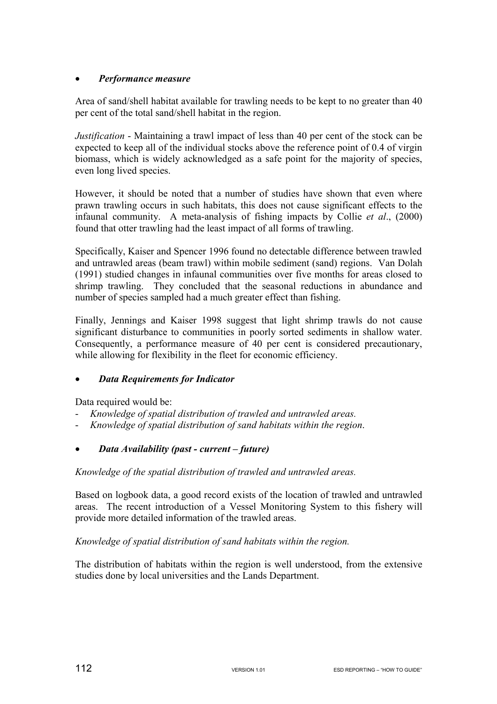# • *Performance measure*

Area of sand/shell habitat available for trawling needs to be kept to no greater than 40 per cent of the total sand/shell habitat in the region.

*Justification* - Maintaining a trawl impact of less than 40 per cent of the stock can be expected to keep all of the individual stocks above the reference point of 0.4 of virgin biomass, which is widely acknowledged as a safe point for the majority of species, even long lived species.

However, it should be noted that a number of studies have shown that even where prawn trawling occurs in such habitats, this does not cause significant effects to the infaunal community. A meta-analysis of fishing impacts by Collie *et al*., (2000) found that otter trawling had the least impact of all forms of trawling.

Specifically, Kaiser and Spencer 1996 found no detectable difference between trawled and untrawled areas (beam trawl) within mobile sediment (sand) regions. Van Dolah (1991) studied changes in infaunal communities over five months for areas closed to shrimp trawling. They concluded that the seasonal reductions in abundance and number of species sampled had a much greater effect than fishing.

Finally, Jennings and Kaiser 1998 suggest that light shrimp trawls do not cause significant disturbance to communities in poorly sorted sediments in shallow water. Consequently, a performance measure of 40 per cent is considered precautionary, while allowing for flexibility in the fleet for economic efficiency.

# • *Data Requirements for Indicator*

Data required would be:

- *Knowledge of spatial distribution of trawled and untrawled areas.*
- *Knowledge of spatial distribution of sand habitats within the region*.

# • *Data Availability (past - current – future)*

*Knowledge of the spatial distribution of trawled and untrawled areas.* 

Based on logbook data, a good record exists of the location of trawled and untrawled areas. The recent introduction of a Vessel Monitoring System to this fishery will provide more detailed information of the trawled areas.

*Knowledge of spatial distribution of sand habitats within the region.* 

The distribution of habitats within the region is well understood, from the extensive studies done by local universities and the Lands Department.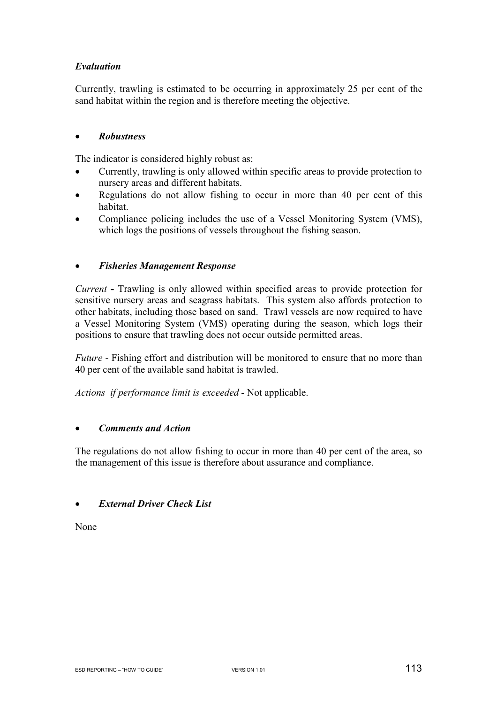# *Evaluation*

Currently, trawling is estimated to be occurring in approximately 25 per cent of the sand habitat within the region and is therefore meeting the objective.

# • *Robustness*

The indicator is considered highly robust as:

- Currently, trawling is only allowed within specific areas to provide protection to nursery areas and different habitats.
- Regulations do not allow fishing to occur in more than 40 per cent of this habitat.
- Compliance policing includes the use of a Vessel Monitoring System (VMS), which logs the positions of vessels throughout the fishing season.

## • *Fisheries Management Response*

*Current* **-** Trawling is only allowed within specified areas to provide protection for sensitive nursery areas and seagrass habitats. This system also affords protection to other habitats, including those based on sand. Trawl vessels are now required to have a Vessel Monitoring System (VMS) operating during the season, which logs their positions to ensure that trawling does not occur outside permitted areas.

*Future* - Fishing effort and distribution will be monitored to ensure that no more than 40 per cent of the available sand habitat is trawled.

*Actions if performance limit is exceeded* - Not applicable.

## • *Comments and Action*

The regulations do not allow fishing to occur in more than 40 per cent of the area, so the management of this issue is therefore about assurance and compliance.

## • *External Driver Check List*

None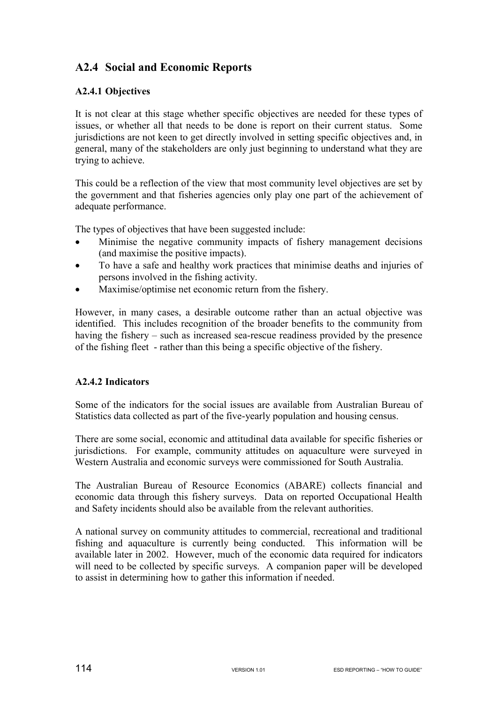# **A2.4 Social and Economic Reports**

# **A2.4.1 Objectives**

It is not clear at this stage whether specific objectives are needed for these types of issues, or whether all that needs to be done is report on their current status. Some jurisdictions are not keen to get directly involved in setting specific objectives and, in general, many of the stakeholders are only just beginning to understand what they are trying to achieve.

This could be a reflection of the view that most community level objectives are set by the government and that fisheries agencies only play one part of the achievement of adequate performance.

The types of objectives that have been suggested include:

- Minimise the negative community impacts of fishery management decisions (and maximise the positive impacts).
- To have a safe and healthy work practices that minimise deaths and injuries of persons involved in the fishing activity.
- Maximise/optimise net economic return from the fishery.

However, in many cases, a desirable outcome rather than an actual objective was identified. This includes recognition of the broader benefits to the community from having the fishery – such as increased sea-rescue readiness provided by the presence of the fishing fleet - rather than this being a specific objective of the fishery.

# **A2.4.2 Indicators**

Some of the indicators for the social issues are available from Australian Bureau of Statistics data collected as part of the five-yearly population and housing census.

There are some social, economic and attitudinal data available for specific fisheries or jurisdictions. For example, community attitudes on aquaculture were surveyed in Western Australia and economic surveys were commissioned for South Australia.

The Australian Bureau of Resource Economics (ABARE) collects financial and economic data through this fishery surveys. Data on reported Occupational Health and Safety incidents should also be available from the relevant authorities.

A national survey on community attitudes to commercial, recreational and traditional fishing and aquaculture is currently being conducted. This information will be available later in 2002. However, much of the economic data required for indicators will need to be collected by specific surveys. A companion paper will be developed to assist in determining how to gather this information if needed.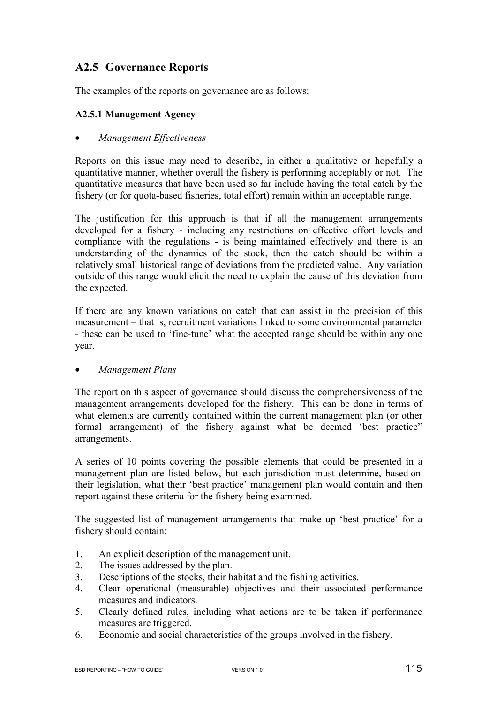# **A2.5 Governance Reports**

The examples of the reports on governance are as follows:

## **A2.5.1 Management Agency**

## • *Management Effectiveness*

Reports on this issue may need to describe, in either a qualitative or hopefully a quantitative manner, whether overall the fishery is performing acceptably or not. The quantitative measures that have been used so far include having the total catch by the fishery (or for quota-based fisheries, total effort) remain within an acceptable range.

The justification for this approach is that if all the management arrangements developed for a fishery - including any restrictions on effective effort levels and compliance with the regulations - is being maintained effectively and there is an understanding of the dynamics of the stock, then the catch should be within a relatively small historical range of deviations from the predicted value. Any variation outside of this range would elicit the need to explain the cause of this deviation from the expected.

If there are any known variations on catch that can assist in the precision of this measurement – that is, recruitment variations linked to some environmental parameter - these can be used to 'fine-tune' what the accepted range should be within any one year.

## • *Management Plans*

The report on this aspect of governance should discuss the comprehensiveness of the management arrangements developed for the fishery. This can be done in terms of what elements are currently contained within the current management plan (or other formal arrangement) of the fishery against what be deemed 'best practice" arrangements.

A series of 10 points covering the possible elements that could be presented in a management plan are listed below, but each jurisdiction must determine, based on their legislation, what their 'best practice' management plan would contain and then report against these criteria for the fishery being examined.

The suggested list of management arrangements that make up 'best practice' for a fishery should contain:

- 1. An explicit description of the management unit.
- 2. The issues addressed by the plan.
- 3. Descriptions of the stocks, their habitat and the fishing activities.
- 4. Clear operational (measurable) objectives and their associated performance measures and indicators.
- 5. Clearly defined rules, including what actions are to be taken if performance measures are triggered.
- 6. Economic and social characteristics of the groups involved in the fishery.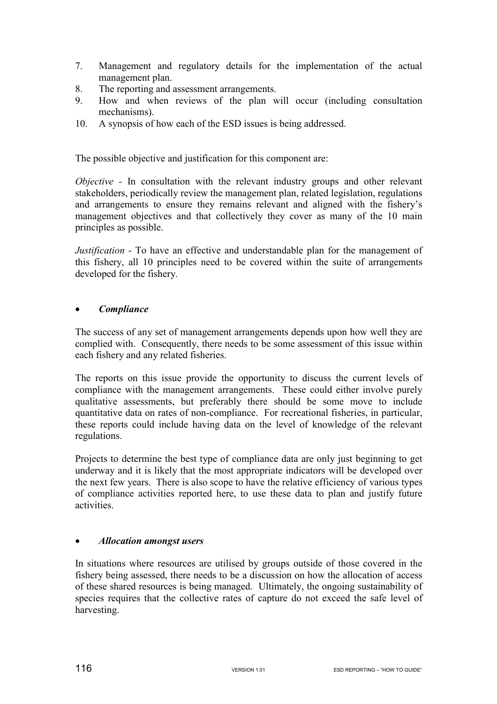- 7. Management and regulatory details for the implementation of the actual management plan.
- 8. The reporting and assessment arrangements.
- 9. How and when reviews of the plan will occur (including consultation mechanisms).
- 10. A synopsis of how each of the ESD issues is being addressed.

The possible objective and justification for this component are:

*Objective* - In consultation with the relevant industry groups and other relevant stakeholders, periodically review the management plan, related legislation, regulations and arrangements to ensure they remains relevant and aligned with the fishery's management objectives and that collectively they cover as many of the 10 main principles as possible.

*Justification* - To have an effective and understandable plan for the management of this fishery, all 10 principles need to be covered within the suite of arrangements developed for the fishery.

## • *Compliance*

The success of any set of management arrangements depends upon how well they are complied with. Consequently, there needs to be some assessment of this issue within each fishery and any related fisheries.

The reports on this issue provide the opportunity to discuss the current levels of compliance with the management arrangements. These could either involve purely qualitative assessments, but preferably there should be some move to include quantitative data on rates of non-compliance. For recreational fisheries, in particular, these reports could include having data on the level of knowledge of the relevant regulations.

Projects to determine the best type of compliance data are only just beginning to get underway and it is likely that the most appropriate indicators will be developed over the next few years. There is also scope to have the relative efficiency of various types of compliance activities reported here, to use these data to plan and justify future activities.

# • *Allocation amongst users*

In situations where resources are utilised by groups outside of those covered in the fishery being assessed, there needs to be a discussion on how the allocation of access of these shared resources is being managed. Ultimately, the ongoing sustainability of species requires that the collective rates of capture do not exceed the safe level of harvesting.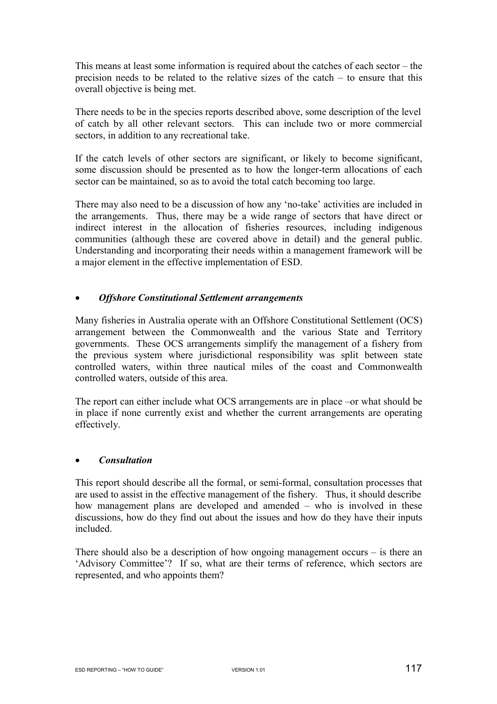This means at least some information is required about the catches of each sector – the precision needs to be related to the relative sizes of the catch – to ensure that this overall objective is being met.

There needs to be in the species reports described above, some description of the level of catch by all other relevant sectors. This can include two or more commercial sectors, in addition to any recreational take.

If the catch levels of other sectors are significant, or likely to become significant, some discussion should be presented as to how the longer-term allocations of each sector can be maintained, so as to avoid the total catch becoming too large.

There may also need to be a discussion of how any 'no-take' activities are included in the arrangements. Thus, there may be a wide range of sectors that have direct or indirect interest in the allocation of fisheries resources, including indigenous communities (although these are covered above in detail) and the general public. Understanding and incorporating their needs within a management framework will be a major element in the effective implementation of ESD.

## • *Offshore Constitutional Settlement arrangements*

Many fisheries in Australia operate with an Offshore Constitutional Settlement (OCS) arrangement between the Commonwealth and the various State and Territory governments. These OCS arrangements simplify the management of a fishery from the previous system where jurisdictional responsibility was split between state controlled waters, within three nautical miles of the coast and Commonwealth controlled waters, outside of this area.

The report can either include what OCS arrangements are in place –or what should be in place if none currently exist and whether the current arrangements are operating effectively.

## • *Consultation*

This report should describe all the formal, or semi-formal, consultation processes that are used to assist in the effective management of the fishery. Thus, it should describe how management plans are developed and amended – who is involved in these discussions, how do they find out about the issues and how do they have their inputs included.

There should also be a description of how ongoing management occurs – is there an 'Advisory Committee'? If so, what are their terms of reference, which sectors are represented, and who appoints them?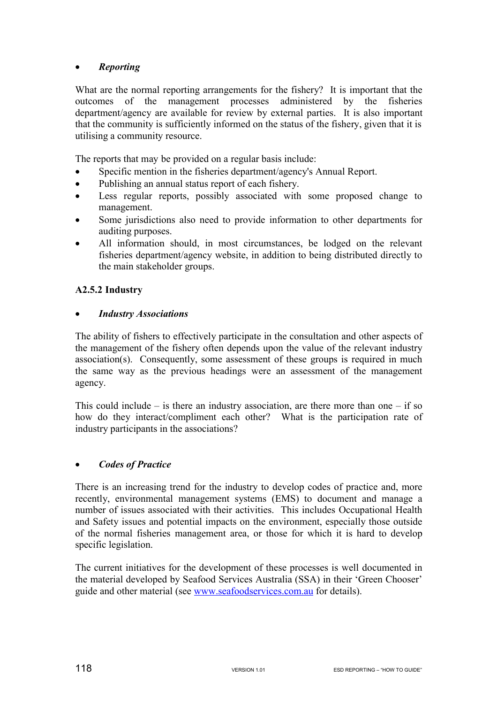# • *Reporting*

What are the normal reporting arrangements for the fishery? It is important that the outcomes of the management processes administered by the fisheries department/agency are available for review by external parties. It is also important that the community is sufficiently informed on the status of the fishery, given that it is utilising a community resource.

The reports that may be provided on a regular basis include:

- Specific mention in the fisheries department/agency's Annual Report.
- Publishing an annual status report of each fishery.
- Less regular reports, possibly associated with some proposed change to management.
- Some jurisdictions also need to provide information to other departments for auditing purposes.
- All information should, in most circumstances, be lodged on the relevant fisheries department/agency website, in addition to being distributed directly to the main stakeholder groups.

# **A2.5.2 Industry**

## • *Industry Associations*

The ability of fishers to effectively participate in the consultation and other aspects of the management of the fishery often depends upon the value of the relevant industry association(s). Consequently, some assessment of these groups is required in much the same way as the previous headings were an assessment of the management agency.

This could include – is there an industry association, are there more than one – if so how do they interact/compliment each other? What is the participation rate of industry participants in the associations?

## • *Codes of Practice*

There is an increasing trend for the industry to develop codes of practice and, more recently, environmental management systems (EMS) to document and manage a number of issues associated with their activities. This includes Occupational Health and Safety issues and potential impacts on the environment, especially those outside of the normal fisheries management area, or those for which it is hard to develop specific legislation.

The current initiatives for the development of these processes is well documented in the material developed by Seafood Services Australia (SSA) in their 'Green Chooser' guide and other material (see www.seafoodservices.com.au for details).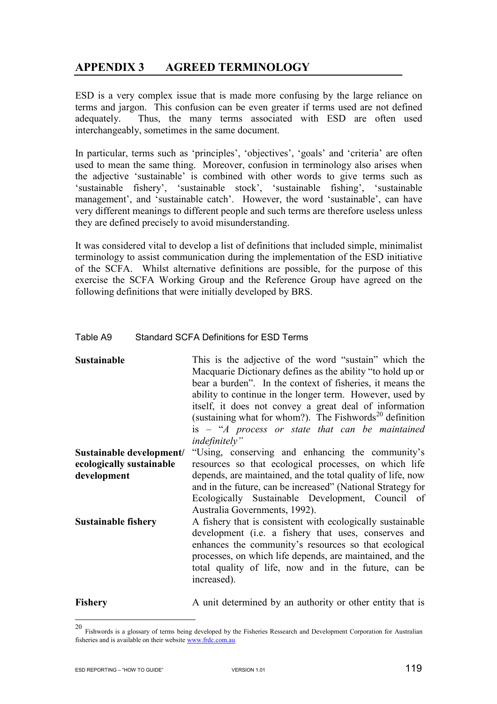# **APPENDIX 3 AGREED TERMINOLOGY**

ESD is a very complex issue that is made more confusing by the large reliance on terms and jargon. This confusion can be even greater if terms used are not defined adequately. Thus, the many terms associated with ESD are often used interchangeably, sometimes in the same document.

In particular, terms such as 'principles', 'objectives', 'goals' and 'criteria' are often used to mean the same thing. Moreover, confusion in terminology also arises when the adjective 'sustainable' is combined with other words to give terms such as 'sustainable fishery', 'sustainable stock', 'sustainable fishing', 'sustainable management', and 'sustainable catch'. However, the word 'sustainable', can have very different meanings to different people and such terms are therefore useless unless they are defined precisely to avoid misunderstanding.

It was considered vital to develop a list of definitions that included simple, minimalist terminology to assist communication during the implementation of the ESD initiative of the SCFA. Whilst alternative definitions are possible, for the purpose of this exercise the SCFA Working Group and the Reference Group have agreed on the following definitions that were initially developed by BRS.

## Table A9 Standard SCFA Definitions for ESD Terms

**Sustainable** This is the adjective of the word "sustain" which the Macquarie Dictionary defines as the ability "to hold up or bear a burden". In the context of fisheries, it means the ability to continue in the longer term. However, used by itself, it does not convey a great deal of information (sustaining what for whom?). The Fishwords<sup>20</sup> definition is – "*A process or state that can be maintained indefinitely"* **Sustainable development/**  "Using, conserving and enhancing the community's

**ecologically sustainable development**  resources so that ecological processes, on which life depends, are maintained, and the total quality of life, now and in the future, can be increased" (National Strategy for Ecologically Sustainable Development, Council of Australia Governments, 1992). **Sustainable fishery** A fishery that is consistent with ecologically sustainable

development (i.e. a fishery that uses, conserves and enhances the community's resources so that ecological processes, on which life depends, are maintained, and the total quality of life, now and in the future, can be increased).

 $\overline{a}$ 

**Fishery A** unit determined by an authority or other entity that is

<sup>20</sup> Fishwords is a glossary of terms being developed by the Fisheries Ressearch and Development Corporation for Australian fisheries and is available on their website www.frdc.com.au